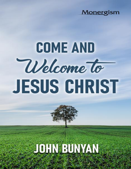## Monergism

# **COME AND** Welcome to **JESUS CHRIST**

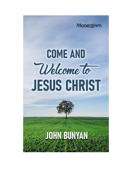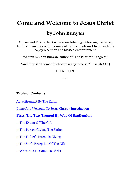## **Come and Welcome to Jesus Christ**

### **by John Bunyan**

A Plain and Profitable Discourse on John 6:37. Showing the cause, truth, and manner of the coming of a sinner to Jesus Christ; with his happy reception and blessed entertainment.

Written by John Bunyan, author of "The Pilgrim's Progress"

"And they shall come which were ready to perish" - Isaiah 27:13

#### LONDON,

1681

#### **Table of Contents**

[Advertisement By The Editor](#page-3-0)

[Come And Welcome To Jesus Christ / Introduction](#page-5-0)

#### **[First, The Text Treated By Way Of Explication](#page-9-0)**

[-- The Extent Of The Gift](#page-9-1)

[-- The Person Giving, The Father](#page-13-0)

[-- The Father's Intent In Giving](#page-17-0)

[-- The Son's Reception Of The Gift](#page-21-0)

[-- What It Is To Come To Christ](#page-22-0)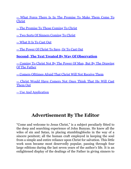[-- What Force There Is In The Promise To Make Them Come To](#page-41-0) Christ

[-- The Promise To Those Coming To Christ](#page-60-0)

[-- Two Sorts Of Sinners Coming To Christ](#page-75-0)

[-- What It Is To Cast Out](#page-88-0)

[-- The Power Of Christ To Save, Or To Cast Out](#page-96-0)

#### **[Second, The Text Treated By Way Of Observation](#page-99-0)**

[-- Coming To Christ Not By The Power Of Man, But By The Drawing](#page-100-0) Of The Father

[-- Comers Ofttimes Afraid That Christ Will Not Receive Them](#page-113-0)

[-- Christ Would Have Comers Not Once Think That He Will Cast](#page-139-0) Them Out

[-- Use And Application](#page-144-0)

## **Advertisement By The Editor**

<span id="page-3-0"></span>"Come and welcome to Jesus Christ," is a subject peculiarly fitted to the deep and searching experience of John Bunyan. He knew all the wiles of sin and Satan, in placing stumblingblocks in the way of a sincere penitent; all the human craft employed in keeping the soul from a simple and entire reliance upon Christ for salvation. This little work soon became most deservedly popular, passing through four large editions during the last seven years of the author's life. It is an enlightened display of the dealings of the Father in giving sinners to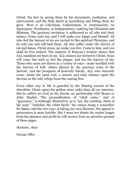Christ; the Son in saving them by his atonement, mediation, and intercession; and the Holy Spirit in sanctifying and fitting them for glory. Here is no Calvinism, Lutheranism, or Arminianism; no Episcopacy, Presbytery, or Independency; nothing but Christism and Bibleism. The gracious invitation is addressed to all who feel their misery, Come unto me, and I will make you happy and blessed. All who feel the leprosy of sin are invited to this spiritual Physician, and he only can and will heal them. All who suffer under the slavery of sin and Satan, Christ alone can make you free. Come to him, and you shall be free indeed. The analysis of Bunyan's treatise shows that ALL mankind are born in sin. ALL sinners are invited to Christ. None will come but such as feel the plague, and see the leprosy of sin. Those who come are drawn in a variety of ways - some terrified with the horrors of hell, others allured by the gracious voice of the Saviour, and the prospects of heavenly felicity. ALL who sincerely come, attain the same end, a sincere and total reliance upon the Saviour as the only refuge from the roaring lion.

Every other way to life is guarded by the flaming swords of the cherubim. Christ opens his golden arms wider than all our miseries. But he suffers no rival on his throne, no partnership with Moses or John Baptist. The personification of "shall come," and of "ignorance," is strikingly illustrative; as is "sin, the winding- sheet of the soul;" "unbelief, the white devil;" the sinner being a counsellor for Satan; and the two ways of taking our own likeness. His appeal to persecutors is most forcible. But I must not detain the reader longer from the pleasure and profit he will receive from an attentive perusal of these pages.

Hackney, 1850

George Offor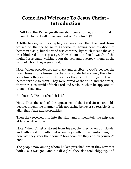#### <span id="page-5-0"></span>**Come And Welcome To Jesus Christ - Introduction**

"All that the Father giveth me shall come to me; and him that cometh to me I will in no wise cast out" - John 6:37

A little before, in this chapter, you may read that the Lord Jesus walked on the sea to go to Capernaum, having sent his disciples before in a ship, but the wind was contrary; by which means the ship was hindered in her passage. Now, about the fourth watch of the night, Jesus came walking upon the sea, and overtook them; at the sight of whom they were afraid.

Note, When providences are black and terrible to God's people, the Lord Jesus shows himself to them in wonderful manner; the which sometimes they can as little bear, as they can the things that were before terrible to them. They were afraid of the wind and the water; they were also afraid of their Lord and Saviour, when he appeared to them in that state.

But he said, "Be not afraid, it is I."

Note, That the end of the appearing of the Lord Jesus unto his people, though the manner of his appearing be never so terrible, is to allay their fears and perplexities.

Then they received him into the ship, and immediately the ship was at land whither it went.

Note, When Christ is absent from his people, they go on but slowly, and with great difficulty; but when he joineth himself unto them, oh! how fast they steer their course! how soon are they at their journey's end!

The people now among whom he last preached, when they saw that both Jesus was gone and his disciples, they also took shipping, and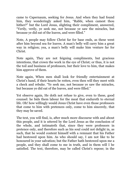came to Capernaum, seeking for Jesus. And when they had found him, they wonderingly asked him, "Rabbi, when camest thou hither?" but the Lord Jesus, slighting their compliment, answered, "Verily, verily, ye seek me, not because ye saw the miracles, but because ye did eat of the loaves, and were filled."

Note, A people may follow Christ far for base ends, as these went after him beyond sea for loaves. A man's belly will carry him a great way in religion; yea, a man's belly will make him venture far for Christ.

Note again, They are not feigning compliments, but gracious intentions, that crown the work in the eye of Christ; or thus, it is not the toil and business of professors, but their love to him, that makes him approve of them.

Note again, When men shall look for friendly entertainment at Christ's hand, if their hearts be rotten, even then will they meet with a check and rebuke. "Ye seek me, not because ye saw the miracles, but because ye did eat of the loaves, and were filled."

Yet observe again, He doth not refuse to give, even to these, good counsel: he bids them labour for the meat that endureth to eternal life. Oh! how willingly would Jesus Christ have even those professors that come to him with pretences only, come to him sincerely, that they may be saved.

The text, you will find, is, after much more discourse with and about this people, and it is uttered by the Lord Jesus as the conclusion of the whole, and intimateth that, since they were professors in pretence only, and therefore such as his soul could not delight in, as such, that he would content himself with a remnant that his Father had bestowed upon him. As who should say, I am not like to be honoured in your salvation; but the Father hath bestowed upon me a people, and they shall come to me in truth, and in them will I be satisfied. The text, therefore, may be called Christ's repose; in the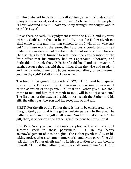fulfilling whereof he resteth himself content, after much labour and many sermons spent, as it were, in vain. As he saith by the prophet, "I have laboured in vain, I have spent my strength for nought, and in vain" (Isa 49:4).

But as there he saith, "My judgment is with the LORD, and my work with my God;" so in the text he saith, "All that the Father giveth me shall come to me; and him that cometh to me I will in no wise cast out." By these words, therefore, the Lord Jesus comforteth himself under the consideration of the dissimulation of some of his followers. He also thus betook himself to rest under the consideration of the little effect that his ministry had in Capernaum, Chorazin, and Bethsaida: "I thank thee, O Father," said he, "Lord of heaven and earth, because thou has hid these things from the wise and prudent, and hast revealed them unto babes; even so, Father, for so it seemed good in thy sight" (Matt 11:25; Luke 10:21).

The text, in the general, standeth of TWO PARTS, and hath special respect to the Father and the Son; as also to their joint management of the salvation of the people: "All that the Father giveth me shall come to me; and him that cometh to me I will in no wise cast out." The first part of the text, as is evident, respecteth the Father and his gift; the other part the Son and his reception of that gift.

FIRST, For the gift of the Father there is this to be considered, to wit, the gift itself; and that is the gift of certain persons to the Son. The Father giveth, and that gift shall come: "And him that cometh." The gift, then, is of persons; the Father giveth persons to Jesus Christ.

SECOND, Next you have the Son's reception of this gift, and that showeth itself in these particulars: - 1. In his hearty acknowledgement of it to be a gift: "The Father giveth me." 2. In his taking notice, after a solemn manner, of all and every part of the gift: "All that the Father giveth me." 3. In his resolution to bring them to himself: "All that the Father giveth me shall come to me." 4. And in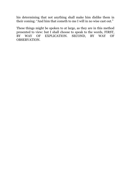his determining that not anything shall make him dislike them in their coming: "And him that cometh to me I will in no wise cast out."

These things might be spoken to at large, as they are in this method presented to view: but I shall choose to speak to the words, FIRST, BY WAY OF EXPLICATION. SECOND, BY WAY OF OBSERVATION.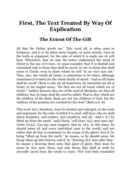## <span id="page-9-0"></span>**First, The Text Treated By Way Of Explication**

#### **The Extent Of The Gift**

<span id="page-9-1"></span>All that the Father giveth me." This word all, is often used in Scripture, and is to be taken more largely, or more strictly, even as the truth or argument, for the sake of which it is made use of, will bear. Wherefore, that we may the better understand the mind of Christ in the use of it here, we must consider, that it is limited and restrained only to those that shall be saved, to wit, to those that shall come to Christ; even to those whom he will "in no wise cast out." Thus, also, the words all Israel, is sometimes to be taken, although sometimes it is taken for the whole family of Jacob. "And so all Israel shall be saved" (Rom 11:26). By all Israel here, he intendeth not all of Israel, in the largest sense; "for they are not all Israel which are of Israel;" "neither because they are of the seed of Abraham, are they all children; but, In Isaac shall thy seed be called. That is, they which are the children of the flesh, these are not the children of God; but the children of the promise are counted for the seed" (Rom 9:6- 8).

This word ALL, therefore, must be limited and enlarged, as the truth and argument, for the sake of which it is used, will bear; else we shall abuse Scripture, and readers, and ourselves, and all. "And I, if I be lifted up from the earth," said Christ, "will draw ALL men unto me" (John 12:32). Can any man imagine, that by ALL, in this place, he should mean all and every individual man in the world, and not rather that all that is consonant to the scope of the place? And if, by being "lifted up from the earth," he means, as he should seem, his being taken up into heaven; and if, by "drawing ALL men after him," he meant a drawing them unto that place of glory; then must he mean by ALL men, those, and only those, that shall in truth be eternally saved from the wrath to come. "For God hath concluded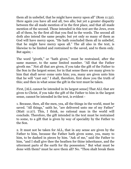them all in unbelief, that he might have mercy upon all" (Rom 11:32). Here again you have all and all, two alls; but yet a greater disparity between the all made mention of in the first place, and that all made mention of the second. Those intended in this text are the Jews, even all of them, by the first all that you find in the words. The second all doth also intend the same people; but yet only so many of them as God will have mercy upon. "He hath concluded them all in unbelief, that he might have mercy upon all." The all also in the text, is likewise to be limited and restrained to the saved, and to them only. But again; -

The word "giveth," or "hath given," must be restrained, after the same manner, to the same limited number. "All that the Father giveth me." Not all that are given, if you take the gift of the Father to the Son in the largest sense; for in that sense there are many given to him that shall never come unto him; yea, many are given unto him that he will "cast out." I shall, therefore, first show you the truth of this; and then in what sense the gift in the text must be taken.

First, [ALL cannot be intended in its largest sense] That ALL that are given to Christ, if you take the gift of the Father to him in the largest sense, cannot be intended in the text, is evident -

1. Because, then, all the men, yea, all the things in the world, must be saved. "All things," saith he, "are delivered unto me of my Father" (Matt 11:27). This, I think, no rational man in the world will conclude. Therefore, the gift intended in the text must be restrained to some, to a gift that is given by way of speciality by the Father to the Son.

2. It must not be taken for ALL, that in any sense are given by the Father to him, because the Father hath given some, yea, many to him, to be dashed in pieces by him. "Ask of me," said the Father to him, "and I shall give thee the heathen for thine inheritance, and the uttermost parts of the earth for thy possession." But what must be done with them? must he save them all? No. "Thou shalt break them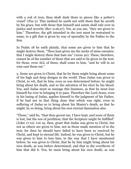with a rod of iron; thou shalt dash them in pieces like a potter's vessel" (Psa 2). This method he useth not with them that he saveth by his grace, but with those that himself and saints shall rule over in justice and severity (Rev 2:26,27). Yet, as you see, "they are given to him." Therefore, the gift intended in the text must be restrained to some, to a gift that is given by way of speciality by the Father to the Son.

In Psalm 18 he saith plainly, that some are given to him that he might destroy them. "Thou hast given me the necks of mine enemies; that I might destroy them that hate me" (verse 40). These, therefore, cannot be of the number of those that are said to be given in the text; for those, even ALL of them, shall come to him, "and he will in no wise cast them out."

3. Some are given to Christ, that he by them might bring about some of his high and deep designs in the world. Thus Judas was given to Christ, to wit, that by him, even as was determined before, he might bring about his death, and so the salvation of his elect by his blood. Yea, and Judas must so manage this business, as that he must lose himself for ever in bringing it to pass. Therefore the Lord Jesus, even in his losing of Judas, applies himself to the judgment of his Father, if he had not in that thing done that which was right, even in suffering of Judas so to bring about his Master's death, as that he might, by so doing, bring about his own eternal damnation also.

"Those," said he, "that thou gavest me, I have kept, and none of them is lost, but the son of perdition; that the Scripture might be fulfilled" (John 17:12). Let us, then, grant that Judas was given to Christ, but not as others are given to him, not as those made mention of in the text; for then he should have failed to have been so received by Christ, and kept to eternal life. Indeed, he was given to Christ; but he was given to him to lose him, in the way that I have mentioned before; he was given to Christ, that he by him might bring about his own death, as was before determined; and that in the overthrow of him that did it. Yea, he must bring about his own death, as was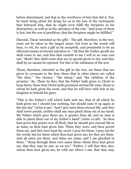before determined, and that in the overthrow of him that did it. Yea, he must bring about his dying for us in the loss of the instrument that betrayed him, that he might even fulfil the Scripture in his destruction, as well as in the salvation of the rest. "And none of them is lost, but the son of perdition; that the Scripture might be fulfilled."

[Second, Those intended as the gift] - The gift, therefore, in the text, must not be taken in the largest sense, but even as the words will bear, to wit, for such a gift as he accepteth, and promiseth to be an effectual means of eternal salvation to. "All that the Father giveth me shall come to me; and him that cometh to me I will in no wise cast out." Mark! they shall come that are in special given to me; and they shall by no means be rejected. For this is the substance of the text.

Those, therefore, intended as the gift in the text, are those that are given by covenant to the Son; those that in other places are called "the elect," "the chosen," "the sheep," and "the children of the promise," &c. These be they that the Father hath given to Christ to keep them; those that Christ hath promised eternal life unto; those to whom he hath given his word, and that he will have with him in his kingdom to behold his glory.

"This is the Father's will which hath sent me, that of all which he hath given me I should lose nothing, but should raise it up again at the last day" (John 6:39). "And I give unto them eternal life; and they shall never perish, neither shall any man pluck them out of my hand. My Father which gave them me, is greater than all; and no man is able to pluck them out of my Father's hand" (John 10:28). "As thou hast given him power over all flesh, that he should give eternal life to as many as thou hast given him. Thine they were, and thou gavest them me, and they have kept thy word; I pray for them: I pray not for the world, but for them which thou hast given me; for they are thine. And all mine are thine, and thine are mine; and I am glorified in them." "Keep through thine own name those whom thou hast given me, that they may be one, as we are." "Father, I will that they also, whom thou hast given me, be with me where I am; that they may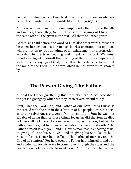behold my glory, which thou hast given me: for thou lovedst me before the foundation of the world" (John 17:1,6,9,10,24).

All these sentences are of the same import with the text; and the alls and manies, those, they, &c., in these several sayings of Christ, are the same with all the given in the text. "All that the Father giveth."

So that, as I said before, the word ALL, as also other words, must not be taken in such sort as our foolish fancies or groundless opinions will prompt us to, but do admit of an enlargement or a restriction, according to the true meaning and intent of the text. We must therefore diligently consult the meaning of the text, by comparing it with other the sayings of God; so shall we be better able to find out the mind of the Lord, in the word which he has given us to know it by.

### **The Person Giving, The Father**

<span id="page-13-0"></span>All that the Father giveth." By this word "Father," Christ describeth the person giving; by which we may learn several useful things.

First, That the Lord God, and Father of our Lord Jesus Christ, is concerned with the Son in the salvation of his people. True, his acts, as to our salvation, are diverse from those of the Son; he was not capable of doing that, or those things for us, as did the Son; he died not, he spilt not blood for our redemption, as the Son; but yet he hath a hand, a great hand, in our salvation too. As Christ saith, "The Father himself loveth you," and his love is manifest in choosing of us, in giving of us to his Son; yea, and in giving his Son also to be a ransom for us. Hence he is called, "The Father of mercies, and the God of all comfort." For here even the Father hath himself found out, and made way for his grace to come to us through the sides and the heart- blood of his well- beloved Son (Col 1:12- 14). The Father,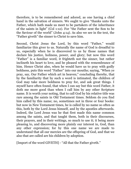therefore, is to be remembered and adored, as one having a chief hand in the salvation of sinners. We ought to give "thanks unto the Father, which hath made us meet to be partakers of the inheritance of the saints in light" (Col 1:12). For "the Father sent the Son to be the Saviour of the world" (John 4:14). As also we see in the text, the "Father giveth" the sinner to Christ to save him.

Second, Christ Jesus the Lord, by this word "Father," would familiarize this giver to us. Naturally the name of God is dreadful to us, especially when he is discovered to us by those names that declare his justice, holiness, power, and glory; but now this word "Father" is a familiar word, it frighteth not the sinner, but rather inclineth his heart to love, and be pleased with the remembrance of him. Hence Christ also, when he would have us to pray with godly boldness, puts this word "Father" into our mouths; saying, "When ye pray, say, Our Father which art in heaven;" concluding thereby, that by the familiarity that by such a word is intimated, the children of God may take more boldness to pray for, and ask great things. I myself have often found, that when I can say but this word Father, it doth me more good than when I call him by any other Scripture name. It is worth your noting, that to call God by his relative title was rare among the saints in Old Testament times. Seldom do you find him called by this name; no, sometimes not in three or four books: but now in New Testament times, he is called by no name so often as this, both by the Lord Jesus himself, and by the apostles afterwards. Indeed, the Lord Jesus was he that first made this name common among the saints, and that taught them, both in their discourses, their prayers, and in their writings, so much to use it; it being more pleasing to, and discovering more plainly our interest in, God, than any other expression; for by this one name we are made to understand that all our mercies are the offspring of God, and that we also that are called are his children by adoption.

[Import of the word GIVETH] - "All that the Father giveth."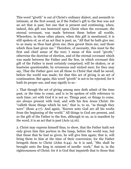This word "giveth" is out of Christ's ordinary dialect, and seemeth to intimate, at the first sound, as if the Father's gift to the Son was not an act that is past, but one that is present and continuing; when, indeed, this gift was bestowed upon Christ when the covenant, the eternal covenant, was made between them before all worlds. Wherefore, in those other places, when this gift is mentioned, it is still spoken of, as of an act that is past; as, "All that he hath give me; to as many as thou hast given me; thou gavest them me; and those which thou hast given me." Therefore, of necessity, this must be the first and chief sense of the text; I mean of this word "giveth," otherwise the doctrine of election, and of the eternal covenant which was made between the Father and the Son, in which covenant this gift of the Father is most certainly comprised, will be shaken, or at leastwise questionable, by erroneous and wicked men: for they may say, That the Father gave not all those to Christ that shall be saved, before the world was made; for that this act of giving is an act of continuation. But again, this word "giveth" is not to be rejected, for it hath its proper use, and may signify to us -

1. That though the act of giving among men doth admit of the time past, or the time to come, and is to be spoken of with reference to such time; yet with God it is not so. Things past, or things to come, are always present with God, and with his Son Jesus Christ: He "calleth those things which be not," that is, to us, "as though they were" (Rom 4:17). And again, "Known unto God are all his works from the beginning of the world." All things to God are present, and so the gift of the Father to the Son, although to us, as is manifest by the word, it is an act that is past (Acts 15:16).

2. Christ may express himself thus, to show, that the Father hath not only given him this portion in the lump, before the world was, but that those that he had so given, he will give him again; that is, will bring them to him at the time of their conversion; for the Father bringeth them to Christ (John 6:44). As it is said, "She shall be brought unto the king in raiment of needle- work;" that is, in the righteousness of Christ; for it is God that imputeth that to those that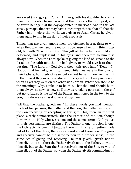are saved (Psa 45:14; 1 Cor 1). A man giveth his daughter to such a man, first in order to marriage, and this respects the time past, and he giveth her again at the day appointed in marriage. And in this last sense, perhaps, the text may have a meaning; that is, that all that the Father hath, before the world was, given to Jesus Christ, he giveth them again to him in the day of their espousals.

Things that are given among men, are ofttimes best at first; to wit, when they are new; and the reason is, because all earthly things wax old; but with Christ it is not so. This gift of the Father is not old and deformed, and unpleasant in his eyes; and therefore to him it is always new. When the Lord spake of giving the land of Canaan to the Israelites, he saith not, that he had given, or would give it to them, but thus: "The Lord thy God giveth thee - this good land" (Deut 9:6). Not but that he had given it to them, while they were in the loins of their fathers, hundreds of years before. Yet he saith now he giveth it to them; as if they were now also in the very act of taking possession, when as yet they were on the other side Jordan. What then should be the meaning? Why, I take it to be this. That the land should be to them always as new; as new as if they were taking possession thereof but now. And so is the gift of the Father, mentioned in the text, to the Son; it is always new, as if it were always new.

"All that the Father giveth me." In these words you find mention made of two persons, the Father and the Son; the Father giving, and the Son receiving or accepting of this gift. This, then, in the first place, clearly demonstrateth, that the Father and the Son, though they, with the Holy Ghost, are one and the same eternal God; yet, as to their personality, are distinct. The Father is one, the Son is one, the Holy Spirit is one. But because there is in this text mention made but of two of the three, therefore a word about these two. The giver and receiver cannot be the same person in a proper sense, in the same act of giving and receiving. He that giveth, giveth not to himself, but to another; the Father giveth not to the Father, to wit, to himself, but to the Son: the Son receiveth not of the Son, to wit, of himself, but of the Father: so when the Father giveth commandment,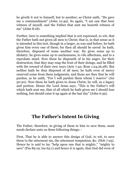he giveth it not to himself, but to another; as Christ saith, "He gave me a commandment" (John 12:49). So again, "I am one that bear witness of myself, and the Father that sent me beareth witness of me" (John 8:18).

Further, here is something implied that is not expressed, to wit, that the Father hath not given all men to Christ; that is, in that sense as it is intended in this text, though in a larger, as was said before, he hath given him every one of them; for then all should be saved: he hath, therefore, disposed of some another way. He gives some up to idolatry; he gives some up to uncleanness, to vile affections, and to a reprobate mind. Now these he disposeth of in his anger, for their destruction, that they may reap the fruit of their doings, and be filled with the reward of their own ways (Acts 7:42; Rom 1:24,26,28). But neither hath he thus disposed of all men; he hath even of mercy reserved some from these judgments, and those are they that he will pardon, as he saith, "For I will pardon them whom I reserve" (Jer 50:20). Now these he hath given to Jesus Christ, by will, as a legacy and portion. Hence the Lord Jesus says, "This is the Father's will which hath sent me, that of all which he hath given me I should lose nothing, but should raise it up again at the last day" (John 6:39).

### **The Father's Intent In Giving**

<span id="page-17-0"></span>The Father, therefore, in giving of them to him to save them, must needs declare unto us these following things: -

First, That he is able to answer this design of God, to wit, to save them to the uttermost sin, the uttermost temptation, &c. (Heb 7:25). Hence he is said to lay "help upon one that is mighty," "mighty to save" (Psa 89:19; Isa 63:1) and hence it is again, that God did even of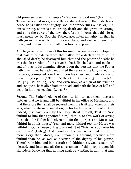old promise to send his people "a Saviour, a great one" (Isa 19:20). To save is a great work, and calls for almightiness in the undertaker: hence he is called the "Mighty God, the wonderful Counsellor," &c. Sin is strong, Satan is also strong, death and the grave are strong, and so is the curse of the law; therefore it follows, that this Jesus must needs be, by God the Father, accounted almighty, in that he hath given his elect to him to save them, and deliver them from these, and that in despite of all their force and power.

And he gave us testimony of this his might, when he was employed in that part of our deliverance that called for a declaration of it. He abolished death; he destroyed him that had the power of death; he was the destruction of the grave; he hath finished sin, and made an end of it, as to its damning effects upon the persons that the Father hath given him; he hath vanquished the curse of the law, nailed it to his cross, triumphed over them upon his cross, and made a show of these things openly (2 Tim 1:10; Heb 2:14,15; Hosea 13:14; Dan 9:24; Gal 3:13; Col 2:14,15). Yea, and even now, as a sign of his triumph and conquest, he is alive from the dead, and hath the keys of hell and death in his own keeping (Rev 1:18).

Second, The Father's giving of them to him to save them, declares unto us that he is and will be faithful in his office of Mediator, and that therefore they shall be secured from the fruit and wages of their sins, which is eternal damnation, by his faithful execution of it. And, indeed, it is said, even by the Holy Ghost himself, That he "was faithful to him that appointed him," that is, to this work of saving those that the Father hath given him for that purpose; as "Moses was faithful in all his house." Yea, and more faithful too, for Moses was faithful in God's house but as a servant; "but Christ as a Son over his own house" (Heb 3). And therefore this man is counted worthy of more glory than Moses, even upon this account, because more faithful than he, as well as because of the dignity of his person. Therefore in him, and in his truth and faithfulness, God resteth well pleased, and hath put all the government of this people upon his shoulders. Knowing that nothing shall be wanting in him, that may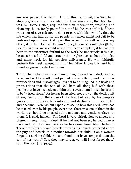any way perfect this design. And of this he, to wit, the Son, hath already given a proof. For when the time was come, that his blood was, by Divine justice, required for their redemption, washing, and cleansing, he as freely poured it out of his heart, as if it had been water out of a vessel; not sticking to part with his own life, that the life which was laid up for his people in heaven might not fail to be bestowed upon them. And upon this account, as well as upon any other, it is that God calleth him "my righteous servant" (Isa 53:11). For his righteousness could never have been complete, if he had not been to the uttermost faithful to the work he undertook; it is also, because he is faithful and true, that in righteousness he doth judge and make work for his people's deliverance. He will faithfully perform this trust reposed in him. The Father knows this, and hath therefore given his elect unto him.

Third, The Father's giving of them to him, to save them, declares that he is, and will be gentle, and patient towards them, under all their provocations and miscarriages. It is not to be imagined, the trials and provocations that the Son of God hath all along had with these people that have been given to him that saves them: indeed he is said to be "a tried stone;" for he has been tried, not only by the devil, guilt of sin, death, and the curse of the law, but also by his people's ignorance, unruliness, falls into sin, and declining to errors in life and doctrine. Were we but capable of seeing how this Lord Jesus has been tried even by his people, ever since there was one of them in the world, we should be amazed at his patience and gentle carriages to them. It is said, indeed, "The Lord is very pitiful, slow to anger, and of great mercy." And, indeed, if he had not been so, he could never have endured their manners as he has done from Adam hitherto. Therefore is his pity and bowels towards his church preferred above the pity and bowels of a mother towards her child. "Can a woman forget her sucking child, that she should not have compassion on the son of her womb? Yea, they may forget, yet will I not forget thee," saith the Lord (Isa 49:15).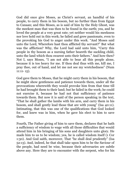God did once give Moses, as Christ's servant, an handful of his people, to carry them in his bosom, but no further than from Egypt to Canaan; and this Moses, as is said of him by the Holy Ghost, was the meekest man that was then to be found in the earth; yea, and he loved the people at a very great rate; yet neither would his meekness nor love hold out in this work; he failed and grew passionate, even to the provoking his God to anger under this work. "And Moses said unto the Lord, Wherefore hast thou afflicted thy servant?" But what was the affliction? Why, the Lord had said unto him, "Carry this people in thy bosom as a nursing father beareth the suckling child, unto the land which thou swarest unto their fathers." And how then? Not I, says Moses, "I am not able to bear all this people alone, because it is too heavy for me. If thou deal thus with me, kill me, I pray thee, out of hand, and let me not see my wretchedness" (Num  $11:11-15$ ).

God gave them to Moses, that he might carry them in his bosom, that he might show gentleness and patience towards them, under all the provocations wherewith they would provoke him from that time till he had brought them to their land; but he failed in the work; he could not exercise it, because he had not that sufficiency of patience towards them. But now it is said of the person speaking in the text, "That he shall gather the lambs with his arm, and carry them in his bosom, and shall gently lead those that are with young" (Isa 40:11). Intimating, that this was one of the qualifications that God looked for, and knew was in him, when he gave his elect to him to save them.

Fourth, The Father giving of him to save them, declares that he hath a sufficiency of wisdom to wage with all those difficulties that would attend him in his bringing of his sons and daughters unto glory. He made him to us to be wisdom; yea, he is called wisdom itself (1 Cor 1:30). And God saith, moreover, That "he shall deal prudently" (Isa 52:13). And, indeed, he that shall take upon him to be the Saviour of the people, had need be wise, because their adversaries are subtle above any. Here they are to encounter with the serpent, who for his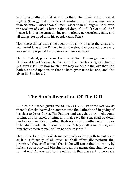subtilty outwitted our father and mother, when their wisdom was at highest (Gen 3). But if we talk of wisdom, our Jesus is wise, wiser than Solomon, wiser than all men, wiser than all angels; he is even the wisdom of God. "Christ is the wisdom of God" (1 Cor 1:24). And hence it is that he turneth sin, temptations, persecutions, falls, and all things, for good unto his people (Rom 8:28).

Now these things thus concluded on do show us also the great and wonderful love of the Father, in that he should choose out one every way so well prepared for the work of man's salvation.

Herein, indeed, perceive we the love of God. Huram gathered, that God loved Israel because he had given them such a king as Solomon (2 Chron 2:11). But how much more may we behold the love that God hath bestowed upon us, in that he hath given us to his Son, and also given his Son for us?

## **The Son's Reception Of The Gift**

<span id="page-21-0"></span>All that the Father giveth me SHALL COME." In these last words there is closely inserted an answer unto the Father's end in giving of his elect to Jesus Christ. The Father's end was, that they might come to him, and be saved by him; and that, says the Son, shall be done; neither sin nor Satan, neither flesh nor world, neither wisdom nor folly, shall hinder their coming to me. "They shall come to me; and him that cometh to me I will in no wise cast out."

Here, therefore, the Lord Jesus positively determineth to put forth such a sufficiency of all grace as shall effectually perform this promise. "They shall come;" that is, he will cause them to come, by infusing of an effectual blessing into all the means that shall be used to that end. As was said to the evil spirit that was sent to persuade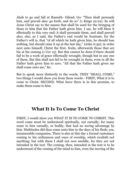Ahab to go and fall at Ramoth- Gilead; Go: "Thou shalt persuade him, and prevail also: go forth, and do so" (1 Kings 22:22). So will Jesus Christ say to the means that shall be used for the bringing of those to him that the Father hath given him. I say, he will bless it effectually to this very end; it shall persuade them, and shall prevail also; else, as I said, the Father's end would be frustrate; for the Father's will is, that "of all which he hath given him, he should lose nothing, but should raise it up at the last day," (John 6:39); in order next unto himself, Christ the first- fruits, afterwards those that are his at his coming (1 Cor 15). But this cannot be done if there should fail to be a work of grace effectually wrought, though but in any one of them. But this shall not fail to be wrought in them, even in all the Father hath given him to save. "All that the Father hath given me shall come unto me," &c.

But to speak more distinctly to the words, THEY "SHALL COME," two things I would show you from these words - FIRST, What it is to come to Christ. SECOND, What force there is in this promise, to make them come to him.

#### **What It Is To Come To Christ**

<span id="page-22-0"></span>FIRST, I would show you WHAT IT IS TO COME TO CHRIST. This word come must be understood spiritually, not carnally; for many came to him carnally, or bodily, that had no saving advantage by him. Multitudes did thus come unto him in the days of his flesh; yea, innumerable companies. There is also at this day a formal customary coming to his ordinances and ways of worship, which availeth not anything; but with them I shall not now meddle, for they are not intended in the text. The coming, then, intended in the text is to be understood of the coming of the mind to him, even the moving of the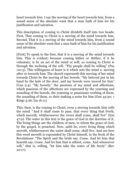heart towards him. I say the moving of the heart towards him, from a sound sense of the absolute want that a man hath of him for his justification and salvation.

This description of coming to Christ divideth itself into two heads: First, That coming to Christ is a moving of the mind towards him. Second, That it is a moving of the mind towards him, from a sound sense of the absolute want that a man hath of him for his justification and salvation.

[First] To speak to the first, that it is a moving of the mind towards him. This is evident; because coming hither or thither, if it be voluntary, is by an act of the mind or will; so coming to Christ is through the inclining of the will. "Thy people shall be willing" (Psa 110:3). This willingness of heart is it which sets the mind a- moving after or towards him. The church expresseth this moving of her mind towards Christ by the moving of her bowels. "My beloved put in his hand by the hole of the door, and my bowels were moved for him" (Can 5:4). "My bowels;" the passions of my mind and affections; which passions of the affections are expressed by the yearning and sounding of the bowels, the yearning or passionate working of them, the sounding of them, or their making a noise for him (Gen 43:30; 1 Kings 3:26; Isa 16:11).

This, then, is the coming to Christ, even a moving towards him with the mind. "And it shall come to pass, that every thing that liveth, which moveth, whithersoever the rivers shall come, shall live" (Eze 47:9). The water in this text is the grace of God in the doctrine of it. The living things are the children of men, to whom the grace of God, by the gospel, is preached. Now, saith he, every living thing which moveth, whithersoever the water shall come, shall live. And see how this word moveth is expounded by Christ himself, in the book of the Revelations: "The Spirit and the bride say, Come. And let him that heareth say, Come. And let him that is athirst, come. And whosoever will," that is, willing, "let him take the water of life freely" (Rev 22:17).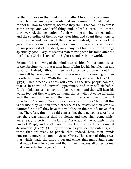So that to move in thy mind and will after Christ, is to be coming to him. There are many poor souls that are coming to Christ, that yet cannot tell how to believe it, because they think that coming to him is some strange and wonderful thing; and, indeed, so it is. But I mean, they overlook the inclination of their will, the moving of their mind, and the sounding of their bowels after him; and count these none of this strange and wonderful thing; when, indeed, it is a work of greatest wonder in this world, to see a man who was sometimes dead in sin possessed of the devil, an enemy to Christ and to all things spiritually good; I say, to see this man moving with his mind after the Lord Jesus Christ, is one of the highest wonders in the world.

Second, It is a moving of the mind towards him, from a sound sense of the absolute want that a man hath of him for his justification and salvation. Indeed, without this sense of a lost condition without him, there will be no moving of the mind towards him. A moving of their mouth there may be; "With their mouth they show much love" (Eze 33:31). Such a people as this will come as the true people cometh; that is, in show and outward appearance. And they will sit before God's ministers, as his people sit before them; and they will hear his words too, but they will not do them; that is, will not come inwardly with their minds. "For with their mouth they shew much love, but their heart," or mind, "goeth after their covetousness." Now, all this is because they want an effectual sense of the misery of their state by nature; for not till they have that will they, in their mind, move after him. Therefore, thus it is said concerning the true comers, At "that day the great trumpet shall be blown, and they shall come which were ready to perish in the land of Assyria, and the outcasts in the land of Egypt, and shall worship the Lord in the holy mount at Jerusalem" (Isa 27:13). They are then, as you see, the outcasts, and those that are ready to perish, that, indeed, have their minds effectually moved to come to Jesus Christ. This sense of things was that which made the three thousand come, that made Saul come, that made the jailer come, and that, indeed, makes all others come, that come effectually (Acts 2:8,18).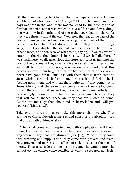Of the true coming to Christ, the four lepers were a famous semblance, of whom you read, (2 Kings 7:3), &c. The famine in those days was sore in the land, there was no bread for the people; and as for that sustenance that was, which was asses' flesh and doves' dung, that was only in Samaria, and of these the lepers had no share, for they were thrust without the city. Well, now they sat in the gate of the city, and hunger was, as I may say, making his last meal of them; and being, therefore, half dead already, what do they think of doing? Why, first they display the dismal colours of death before each other's faces, and then resolve what to do, saying, "If we say we will enter into the city, then famine is in the city, and we shall die there: if we sit still here, we die also. Now, therefore, come, let us fall unto the host of the Syrians: if they save us alive, we shall live; if they kill us, we shall but die." Here, now, was necessity at work, and this necessity drove them to go thither for life, whither else they would never have gone for it. Thus it is with them that in truth come to Jesus Christ. Death is before them, they see it and feel it; he is feeding upon them, and will eat them quite up, if they come not to Jesus Christ; and therefore they come, even of necessity, being forced thereto by that sense they have of their being utterly and everlastingly undone, if they find not safety in him. These are they that will come. Indeed, these are they that are invited to come. "Come unto me, all ye that labour and are heavy laden, and I will give you rest" (Matt 11:28).

Take two or three things to make this more plain; to wit, That coming to Christ floweth from a sound sense of the absolute need that a man hath of him, as afore.

1. "They shall come with weeping, and with supplications will I lead them; I will cause them to walk by the rivers of waters in a straight way wherein they shall not stumble" (Jer 31:9). Mind it; they come with weeping and supplication; they come with prayers and tears. Now prayers and tears are the effects of a right sense of the need of mercy. Thus a senseless sinner cannot come, he cannot pray, he cannot cry, he cannot come sensible of what he sees not, nor feels.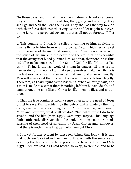"In those days, and in that time - the children of Israel shall come; they and the children of Judah together, going and weeping: they shall go and seek the Lord their God. They shall ask the way to Zion with their faces thitherward, saying, Come and let us join ourselves to the Lord in a perpetual covenant that shall not be forgotten" (Jer  $1:4,5$ ).

2. This coming to Christ, it is called a running to him, as flying to him; a flying to him from wrath to come. By all which terms is set forth the sense of the man that comes; to wit, That he is affected with the sense of his sin, and the death due thereto; that he is sensible that the avenger of blood pursues him, and that, therefore, he is thus off, if he makes not speed to the Son of God for life (Matt 3:7; Psa 143:9). Flying is the last work of a man in danger; all that are in danger do not fly; no, not all that see themselves in danger; flying is the last work of a man in danger; all that hear of danger will not fly. Men will consider if there be no other way of escape before they fly. Therefore, as I said, flying is the last thing. When all refuge fails, and a man is made to see that there is nothing left him but sin, death, and damnation, unless he flies to Christ for life; then he flies, and not till then.

3. That the true coming is from a sense of an absolute need of Jesus Christ to save, &c., is evident by the outcry that is made by them to come, even as they are coming to him, "Lord, save me," or I perish; "Men and brethren, what shall we do?" "Sirs, what must I do to be saved?" and the like (Matt 14:30; Acts 2:37; 16:30). This language doth sufficiently discover that the truly- coming souls are souls sensible of their need of salvation by Jesus Christ; and, moreover, that there is nothing else that can help them but Christ.

4. It is yet further evident by these few things that follow: It is said that such are "pricked in their heart," that is, with the sentence of death by the law; and the least prick in the heart kills a man (Acts 2:37). Such are said, as I said before, to weep, to tremble, and to be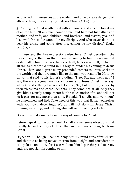astonished in themselves at the evident and unavoidable danger that attends them, unless they fly to Jesus Christ (Acts 9:16).

5. Coming to Christ is attended with an honest and sincere forsaking of all for him. "If any man come to me, and hate not his father and mother, and wife, and children, and brethren, and sisters, yea, and his own life also, he cannot be my disciple. And whosoever doth not bear his cross, and come after me, cannot be my disciple" (Luke 14:26,27).

By these and the like expressions elsewhere, Christ describeth the true comer, or the man that indeed is coming to him; he is one that casteth all behind his back; he leaveth all, he forsaketh all, he hateth all things that would stand in his way to hinder his coming to Jesus Christ. There are a great many pretended comers to Jesus Christ in the world; and they are much like to the man you read of in Matthew 21:30, that said to his father's bidding, "I go, Sir, and went not." I say, there are a great many such comers to Jesus Christ; they say, when Christ calls by his gospel, I come, Sir; but still they abide by their pleasures and carnal delights. They come not at all, only they give him a courtly compliment; but he takes notice of it, and will not let it pass for any more than a lie. He said, "I go, Sir, and went not;" he dissembled and lied. Take heed of this, you that flatter yourselves with your own deceivings. Words will not do with Jesus Christ. Coming is coming, and nothing else will go for coming with him.

Objections that usually lie in the way of coming to Christ

Before I speak to the other head, I shall answer some objections that usually lie in the way of those that in truth are coming to Jesus Christ.

Objection 1. Though I cannot deny but my mind runs after Christ, and that too as being moved thereto from a sight and consideration of my lost condition, for I see without him I perish; yet I fear my ends are not right in coming to him.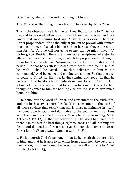Quest. Why, what is thine end in coming to Christ?

Ans. My end is, that I might have life, and be saved by Jesus Christ.

This is the objection; well, let me tell thee, that to come to Christ for life, and to be saved, although at present thou hast no other end, is a lawful and good coming to Jesus Christ. This is evident, because Christ propoundeth life as the only argument to prevail with sinners to come to him, and so also blameth them because they come not to him for life. "And ye will not come to me, that ye might have life" (John 5:40). Besides, there are many other scriptures whereby he allureth sinners to come to him, in which he propoundeth nothing to them but their safety. As, "whosoever believeth in him should not perish;" he that believeth is "passed from death unto life." "He that believeth - shall be saved." "He that believeth on him is not condemned." And believing and coming are all one. So that you see, to come to Christ for life, is a lawful coming and good. In that he believeth, that he alone hath made atonement for sin (Rom 2). And let me add over and above, that for a man to come to Christ for life, though he comes to him for nothing else but life, it is to give much honour to him.

1. He honoureth the word of Christ, and consenteth to the truth of it; and that in these two general heads. (1) He consenteth to the truth of all those sayings that testify that sin is most abominable in itself, dishonourable to God, and damnable to the soul of man; for thus saith the man that cometh to Jesus Christ (Jer 44:4; Rom 2:23; 6:23; 2 Thess 2:12). (2) In that he believeth, as the word hath said, that there is in the world's best things, righteousness and all, nothing but death and damnation; for so also says the man that comes to Jesus Christ for life (Rom 7:24,25; 8:2,3; 2 Cor 3:6- 8).

2. He honoureth Christ's person, in that he believeth that there is life in him, and that he is able to save him from death, hell, the devil, and damnation; for unless a man believes this, he will not come to Christ for life (Heb 7:24,25).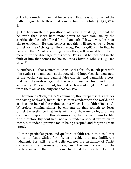3. He honoureth him, in that he believeth that he is authorized of the Father to give life to those that come to him for it (John 5:11,12; 17:1- 3).

4. He honoureth the priesthood of Jesus Christ. (1) In that he believeth that Christ hath more power to save from sin by the sacrifice that he hath offered for it, than hath all law, devils, death, or sin to condemn. He that believes not this, will not come to Jesus Christ for life (Acts 13:38; Heb 2:14,15; Rev 1:17,18). (2) In that he believeth that Christ, according to his office, will be most faithful and merciful in the discharge of his office. This must be included in the faith of him that comes for life to Jesus Christ (1 John 2:1- 3; Heb 2:17,18).

5. Further, He that cometh to Jesus Christ for life, taketh part with him against sin, and against the ragged and imperfect righteousness of the world; yea, and against false Christs, and damnable errors, that set themselves against the worthiness of his merits and sufficiency. This is evident, for that such a soul singleth Christ out from them all, as the only one that can save.

6. Therefore as Noah, at God's command, thou preparest this ark, for the saving of thyself, by which also thou condemnest the world, and art become heir of the righteousness which is by faith (Heb 11:7). Wherefore, coming sinner, be content; he that cometh to Jesus Christ, believeth too that he is willing to show mercy to, and have compassion upon him, though unworthy, that comes to him for life. And therefore thy soul lieth not only under a special invitation to come, but under a promise too of being accepted and forgiven (Matt 11:28).

All these particular parts and qualities of faith are in that soul that comes to Jesus Christ for life, as is evident to any indifferent judgment. For, will he that believeth not the testimony of Christ concerning the baseness of sin, and the insufficiency of the righteousness of the world, come to Christ for life? No. He that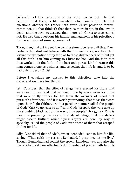believeth not this testimony of the word, comes not. He that believeth that there is life anywhere else, comes not. He that questions whether the Father hath given Christ power to forgive, comes not. He that thinketh that there is more in sin, in the law, in death, and the devil, to destroy, than there is in Christ to save, comes not. He also that questions his faithful management of his priesthood for the salvation of sinners, comes not.

Thou, then, that art indeed the coming sinner, believest all this. True, perhaps thou dost not believe with that full assurance, nor hast thou leisure to take notice of thy faith as to these distinct acts of it; but yet all this faith is in him coming to Christ for life. And the faith that thus worketh, is the faith of the best and purest kind; because this man comes alone as a sinner, and as seeing that life is, and is to be had only in Jesus Christ.

Before I conclude my answer to this objection, take into thy consideration these two things.

1st. [Consider] that the cities of refuge were erected for those that were dead in law, and that yet would live by grace; even for those that were to fly thither for life from the avenger of blood that pursueth after them. And it is worth your noting, that those that were upon their flight thither, are in a peculiar manner called the people of God: "Cast ye up, cast ye up," saith God; "prepare the way; take up the stumblingblock out of the way of my people" (Isa 57:14). This is meant of preparing the way to the city of refuge, that the slayers might escape thither; which flying slayers are here, by way of specialty, called the people of God; even those of them that escaped thither for life.

2dly. [Consider] that of Ahab, when Benhadad sent to him for life, saying, "Thus saith thy servant Benhadad, I pray thee let me live." Though Benhadad had sought the crown, kingdom, yea, and also the life of Ahab, yet how effectually doth Benhadad prevail with him! Is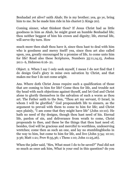Benhadad yet alive? saith Ahab; He is my brother; yea, go ye, bring him to me. So he made him ride in his chariot (1 Kings 20).

Coming sinner, what thinkest thou? If Jesus Christ had as little goodness in him as Ahab, he might grant an humble Benhadad life; thou neither beggest of him his crown and dignity; life, eternal life, will serve thy turn. How

much more then shalt thou have it, since thou hast to deal with him who is goodness and mercy itself! yea, since thou art also called upon, yea, greatly encouraged by a promise of life, to come unto him for life! Read also these Scriptures, Numbers 35:11,14,15, Joshua 20:1- 6, Hebrews 6:16- 21.

Object. 2. When I say I only seek myself, I mean I do not find that I do design God's glory in mine own salvation by Christ, and that makes me fear I do not come aright.

Ans. Where doth Christ Jesus require such a qualification of those that are coming to him for life? Come thou for life, and trouble not thy head with such objections against thyself, and let God and Christ alone to glorify themselves in the salvation of such a worm as thou art. The Father saith to the Son, "Thou art my servant, O Israel, in whom I will be glorified." God propoundeth life to sinners, as the argument to prevail with them to come to him for life; and Christ says plainly, "I am come that they might have life" (John 10:10). He hath no need of thy designs, though thou hast need of his. Eternal life, pardon of sin, and deliverance from wrath to come, Christ propounds to thee, and these be the things that thou hast need of; besides, God will be gracious and merciful to worthless, undeserving wretches; come then as such an one, and lay no stumblingblocks in the way to him, but come to him for life, and live (John 5:34; 10:10; 3:36; Matt 1:21; Prov 8:35,36; 1 Thess 1:10; John 11:25,26).

When the jailer said, "Sirs, What must I do to be saved?" Paul did not so much as once ask him, What is your end in this question? do you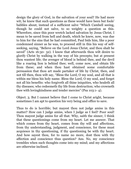design the glory of God, in the salvation of your soul? He had more wit; he knew that such questions as these would have been but fools' babbles about, instead of a sufficient salve "Which Cambell seeing, though he could not salve, to so weighty a question as this. Wherefore, since this poor wretch lacked salvation by Jesus Christ, I mean to be saved from hell and death, which he knew, now, was due to him for the sins that he had committed, Paul bids him, like a poor condemned sinner as he was, to proceed still in this his way of selfseeking, saying, "Believe on the Lord Jesus Christ, and thou shalt be saved" (Acts 16:30- 32). I know that afterwards thou wilt desire to glorify Christ by walking in the way of his precepts; but at present thou wantest life; the avenger of blood is behind thee, and the devil like a roaring lion is behind thee; well, come now, and obtain life from these; and when thou hast obtained some comfortable persuasion that thou art made partaker of life by Christ, then, and not till then, thou wilt say, "Bless the Lord, O my soul, and all that is within me bless his holy name. Bless the Lord, O my soul, and forget not all his benefits: who forgiveth all thine iniquities, who healeth all thy diseases; who redeemeth thy life from destruction; who crowneth thee with lovingkindness and tender mercies" (Psa 103:1- 4).

Object. 3. But I cannot believe that I come to Christ aright, because sometimes I am apt to question his very being and office to save.

Thus to do is horrible; but mayest thou not judge amiss in this matter? How can I judge amiss, when I judge as I feel? Poor soul! Thou mayest judge amiss for all that. Why, saith the sinner, I think that these questionings come from my heart. Let me answer. That which comes from thy heart, comes from thy will and affections, from thy understanding, judgment, and conscience, for these must acquiesce in thy questioning, if thy questioning be with thy heart. And how sayest thou, for to name no more, dost thou with thy affection and conscience thus question? Ans. No, my conscience trembles when such thoughts come into my mind; and my affections are otherwise inclined.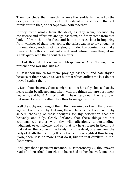Then I conclude, that these things are either suddenly injected by the devil, or else are the fruits of that body of sin and death that yet dwells within thee, or perhaps from both together.

If they come wholly from the devil, as they seem, because thy conscience and affections are against them, or if they come from that body of death that is in thee, and be not thou curious in inquiring from whether of them they come, the safest way is to lay enough at thy own door; nothing of this should hinder thy coming, nor make thee conclude thou comest not aright. And before I leave thee, let me a little query with thee about this matter.

1. Dost thou like these wicked blasphemies? Ans. No, no, their presence and working kills me.

2. Dost thou mourn for them, pray against them, and hate thyself because of them? Ans. Yes, yes; but that which afflicts me is, I do not prevail against them.

3. Dost thou sincerely choose, mightest thou have thy choice, that thy heart might be affected and taken with the things that are best, most heavenly, and holy? Ans. With all my heart, and death the next hour, if it were God's will, rather than thus to sin against him.

Well then, thy not liking of them, thy mourning for them, thy praying against them, and thy loathing thyself because of them, with thy sincere choosing of those thoughts for thy delectation that are heavenly and holy, clearly declares, that these things are not countenanced either with thy will, affections, understanding, judgment, or conscience; and so, that thy heart is not in them, but that rather they come immediately from the devil, or arise from the body of death that is in thy flesh, of which thou oughtest thus to say, "Now, then, it is no more I that do it, but sin that dwelleth in me" (Rom 7:17).

I will give thee a pertinent instance. In Deuteronomy 22, thou mayest read of a betrothed damsel, one betrothed to her beloved, one that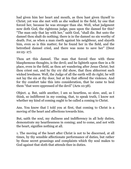had given him her heart and mouth, as thou hast given thyself to Christ; yet was she met with as she walked in the field, by one that forced her, because he was stronger than she. Well, what judgment now doth God, the righteous judge, pass upon the damsel for this? "The man only that lay with her," saith God, "shall die. But unto the damsel thou shalt do nothing; there is in the damsel no sin worthy of death. For, as when a man riseth against his neighbour, and slayeth him, even so is this matter; for he found her in the field, and the betrothed damsel cried, and there was none to save her" (Deut 22:25- 27).

Thou art this damsel. The man that forced thee with these blasphemous thoughts, is the devil; and he lighteth upon thee in a fit place, even in the field, as thou art wandering after Jesus Christ; but thou criest out, and by thy cry did show, that thou abhorrest such wicked lewdness. Well, the Judge of all the earth will do right; he will not lay the sin at thy door, but at his that offered the violence. And for thy comfort take this into consideration, that he came to heal them "that were oppressed of the devil" (Acts 10:38).

Object. 4. But, saith another, I am so heartless, so slow, and, as I think, so indifferent in my coming, that, to speak truth, I know not whether my kind of coming ought to be called a coming to Christ.

Ans. You know that I told you at first, that coming to Christ is a moving of the heart and affections towards him.

But, saith the soul, my dullness and indifferency in all holy duties, demonstrate my heartlessness in coming; and to come, and not with the heart, signifies nothing at all.

1. The moving of the heart after Christ is not to be discerned, at all times, by thy sensible affectionate performance of duties, but rather by those secret groanings and complaints which thy soul makes to God against that sloth that attends thee in duties.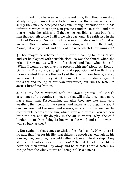2. But grant it to be even as thou sayest it is, that thou comest so slowly, &c., yet, since Christ bids them come that come not at all, surely they may be accepted that come, though attended with those infirmities which thou at present groanest under. He saith, "and him that cometh;" he saith not, If they come sensible; so fast; but, "and him that cometh to me I will in no wise cast out." He saith also in the ninth of Proverbs, "As for him that wanteth understanding," that is, an heart (for oftentimes the understanding is taken for the heart), "come, eat of my bread, and drink of the wine which I have mingled."

3. Thou mayest be vehement in thy spirit in coming to Jesus Christ, and yet be plagued with sensible sloth; so was the church when she cried, "Draw me, we will run after thee;" and Paul, when he said, "When I would do good, evil is present with me" (Song 14; Rom 7; Gal 5:19). The works, strugglings, and oppositions of the flesh, are more manifest than are the works of the Spirit in our hearts, and so are sooner felt than they. What then? Let us not be discouraged at the sight and feeling of our own infirmities, but run the faster to Jesus Christ for salvation.

4. Get thy heart warmed with the sweet promise of Christ's acceptance of the coming sinner, and that will make thee make more haste unto him. Discouraging thoughts they are like unto cold weather, they benumb the senses, and make us go ungainly about our business; but the sweet and warm gleads of promise are like the comfortable beams of the sun, which liven and refresh. You see how little the bee and fly do play in the air in winter; why, the cold hinders them from doing it; but when the wind and sun is warm, who so busy as they?

5. But again, he that comes to Christ, flies for his life. Now, there is no man that flies for his life, that thinks he speeds fast enough on his journey; no, could he, he would willingly take a mile at a step. O my sloth and heartlessness, sayest thou! "Oh that I had wings like a dove! for then would I fly away, and be at rest. I would hasten my escape from the windy storm and tempest" (Psa 55:6,8).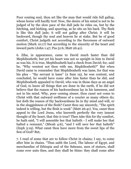Poor coming soul, thou art like the man that would ride full gallop, whose horse will hardly trot! Now, the desire of his mind is not to be judged of by the slow pace of the dull jade he rides on, but by the hitching, and kicking, and spurring, as he sits on his back. Thy flesh is like this dull jade; it will not gallop after Christ; it will be backward, though thy soul and heaven lie at stake. But be of good comfort, Christ judgeth not according to the fierceness of outward motion (Mark 10:17) but according to the sincerity of the heart and inward parts (John 1:47; Psa 51:6; Matt 26:41).

6. Ziba, in appearance, came to David much faster than did Mephibosheth; but yet his heart was not so upright in him to David as was his. It is true, Mephibosheth had a check from David; for, said he, "Why wentest not thou with me, Mephibosheth?" But when David came to remember that Mephibosheth was lame, for that was his plea - "thy servant is lame" (2 Sam 19), he was content, and concluded, he would have come after him faster than he did; and Mephibosheth appealed to David, who was in those days as an angel of God, to know all things that are done in the earth, if he did not believe that the reason of his backwardness lay in his lameness, and not in his mind. Why, poor coming sinner, thou canst not come to Christ with that outward swiftness of a courier as many others do; but doth the reason of thy backwardness lie in thy mind and will, or in the sluggishness of the flesh? Canst thou say sincerely, "The spirit indeed is willing, but the flesh is weak" (Matt 26:41). Yea, canst thou appeal to the Lord Jesus, who knoweth perfectly the very inmost thought of thy heart, that this is true? Then take this for thy comfort, he hath said, "I will assemble her that halteth - I will make her that halted a remnant," (Micah 4:6), "and I will save her that halteth" (Zeph 3:19). What canst thou have more from the sweet lips of the Son of God? But,

7. I read of some that are to follow Christ in chains; I say, to come after him in chains. "Thus saith the Lord, The labour of Egypt, and merchandise of Ethiopia and of the Sabeans, men of stature, shall come over unto thee, and they shall be thine: they shall come after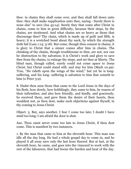thee: in chains they shall come over, and they shall fall down unto thee: they shall make supplication unto thee, saying - Surely there is none else" to save (Isa 45:14). Surely they that come after Christ in chains, come to him in great difficulty, because their steps, by the chains, are straitened. And what chains are so heavy as those that discourage thee? Thy chain, which is made up of guilt and filth, is heavy; it is a wretched bond about thy neck, by which thy strength doth fail (Lam 1:14; 3:18). But come, though thou comest in chains; it is glory to Christ that a sinner comes after him in chains. The chinking of thy chains, though troublesome to thee, are not, nor can be obstruction to thy salvation; it is Christ's work and glory to save thee from thy chains, to enlarge thy steps, and set thee at liberty. The blind man, though called, surely could not come apace to Jesus Christ, but Christ could stand still, and stay for him (Mark 10:49). True, "He rideth upon the wings of the wind;" but yet he is longsuffering, and his long- suffering is salvation to him that cometh to him (2 Peter 3:9).

8. Hadst thou seen those that came to the Lord Jesus in the days of his flesh, how slowly, how hobblingly, they came to him, by reason of their infirmities; and also how friendly, and kindly, and graciously, he received them, and gave them the desire of their hearts, thou wouldest not, as thou dost, make such objections against thyself, in thy coming to Jesus Christ.

Object. 5. But, says another, I fear I come too late; I doubt I have staid too long; I am afraid the door is shut.

Ans. Thou canst never come too late to Jesus Christ, if thou dost come. This is manifest by two instances.

1. By the man that came to him at the eleventh hour. This man was idle all the day long. He had a whole gospel day to come in, and he played it all away save only the last hour thereof. But at last, at the eleventh hour, he came, and goes into the vineyard to work with the rest of the labourers, that had borne the burden and heat of the day.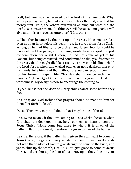Well, but how was he received by the lord of the vineyard? Why, when pay- day came, he had even as much as the rest; yea, had his money first. True, the others murmured at him; but what did the Lord Jesus answer them? "Is thine eye evil, because I am good? I will give unto this last, even as unto thee" (Matt 20:14,15).

2. The other instance is, the thief upon the cross. He came late also, even as at an hour before his death; yea, he stayed from Jesus Christ as long as he had liberty to be a thief, and longer too; for could he have deluded the judge, and by lying words have escaped his just condemnation, for ought I know, he had not come as yet to his Saviour; but being convicted, and condemned to die, yea, fastened to the cross, that he might die like a rogue, as he was in his life; behold the Lord Jesus, when this wicked one, even now, desireth mercy at his hands, tells him, and that without the least reflection upon him, for his former misspent life, "To- day shalt thou be with me in paradise" (Luke 23:43). Let no man turn this grace of God into wantonness. My design is now to encourage the coming soul.

Object. But is not the door of mercy shut against some before they die?

Ans. Yea; and God forbids that prayers should be made to him for them (Jer 6:16; Jude 22).

Quest. Then, why may not I doubt that I may be one of these?

Ans. By no means, if thou art coming to Jesus Christ; because when God shuts the door upon men, he gives them no heart to come to Jesus Christ. "None come but those to whom it is given of the Father." But thou comest, therefore it is given to thee of the Father.

Be sure, therefore, if the Father hath given thee an heart to come to Jesus Christ, the gate of mercy yet stands open to thee. For it stands not with the wisdom of God to give strength to come to the birth, and yet to shut up the womb, (Isa 66:9); to give grace to come to Jesus Christ, and yet shut up the door of his mercy upon thee. "Incline your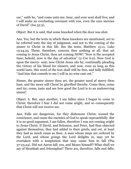ear," saith he, "and come unto me: hear, and your soul shall live; and I will make an everlasting covenant with you, even the sure mercies of David" (Isa 55:3).

Object. But it is said, that some knocked when the door was shut.

Ans. Yes; but the texts in which these knockers are mentioned, are to be referred unto the day of judgment, and not to the coming of the sinner to Christ in this life. See the texts, Matthew 15:11, Luke 13:24,25. These, therefore, concern thee nothing at all, that art coming to Jesus Christ, thou art coming NOW! "Now is the accepted time; behold, now is the day of salvation" (2 Cor 6:2). Now God is upon the mercy- seat; now Christ Jesus sits by, continually pleading the victory of his blood for sinners; and now, even as long as this world lasts, this word of the text shall still be free, and fully fulfilled; "And him that cometh to me I will in no wise cast out."

Sinner, the greater sinner thou art, the greater need of mercy thou hast, and the more will Christ be glorified thereby. Come then, come and try; come, taste and see how good the Lord is to an undeserving sinner!

Object. 6. But, says another, I am fallen since I began to come to Christ; therefore I fear I did not come aright, and so consequently that Christ will not receive me.

Ans. Falls are dangerous, for they dishonour Christ, wound the conscience, and cause the enemies of God to speak reproachfully. But it is no good argument, I am fallen, therefore I was not coming aright to Jesus Christ. If David, and Solomon, and Peter, had thus objected against themselves, they had added to their griefs; and yet, at least they had as much cause as thou. A man whose steps are ordered by the Lord, and whose goings the Lord delights in, may yet be overtaken with a temptation that may cause him to fall (Psa 37:23,24). Did not Aaron fall; yea, and Moses himself? What shall we say of Hezekiah and Jehosaphat? There are, therefore, falls and falls;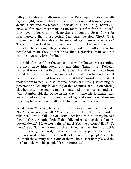falls pardonable and falls unpardonable. Falls unpardonable are falls against light, from the faith, to the despising of, and trampling upon Jesus Christ and his blessed undertakings (Heb 6:2- 5; 10:28,29). Now, as for such, there remains no more sacrifice for sin. Indeed, they have no heart, no mind, no desire to come to Jesus Christ for life, therefore they must perish. Nay, says the Holy Ghost, "It is impossible that they should be renewed again unto repentance." Therefore these God had no compassion for, neither ought we; but for other falls though they be dreadful, and God will chastise his people for them, they do not prove thee a graceless man, one not coming to Jesus Christ for life.

It is said of the child in the gospel, that while "he was yet a coming, the devil threw him down, and tare him" (Luke 9:42). Dejected sinner, it is no wonder that thou hast caught a fall in coming to Jesus Christ. Is it not rather to be wondered at, that thou hast not caught before this a thousand times a thousand falls? considering, 1. What fools we are by nature. 2. What weaknesses are in us. 3. What mighty powers the fallen angels, our implacable enemies, are. 4. Considering also how often the coming man is benighted in his journey; and also what stumblingblocks do lie in his way. 5. Also his familiars, that were so before, now watch for his halting, and seek by what means they may to cause him to fall by the hand of their strong ones.

What then? Must we, because of these temptations, incline to fall? No. Must we not fear falls? Yes. "Let him that thinketh he standeth take heed lest he fall" (1 Cor 10:12). Yet let him not utterly be cast down; "The Lord upholdeth all that fall, and raiseth up those that are bowed down." Make not light of falls! Yet, hast thou fallen? "Ye have," said Samuel, "done all this wickedness; yet turn not aside from following the Lord," but serve him with a perfect heart, and turn not aside, "for the Lord will not forsake his people," and he counteth the coming sinner one of them, "because it hath pleased the Lord to make you his people" (1 Sam 12:20- 22).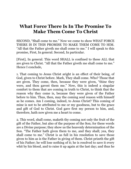## **What Force There Is In The Promise To Make Them Come To Christ**

SECOND, "Shall come to me." Now we come to show WHAT FORCE THERE IS IN THIS PROMISE TO MAKE THEM COME TO HIM. "All that the Father giveth me shall come to me." I will speak to this promise, First, In general. Second, In particular.

[First], In general. This word SHALL is confined to these ALL that are given to Christ. "All that the Father giveth me shall come to me." Hence I conclude,

1. That coming to Jesus Christ aright is an effect of their being, of God, given to Christ before. Mark, They shall come. Who? Those that are given. They come, then, because they were given, "thine they were, and thou gavest them me." Now, this is indeed a singular comfort to them that are coming in truth to Christ, to think that the reason why they come is, because they were given of the Father before to him. Thus, then, may the coming soul reason with himself as he comes. Am I coming, indeed, to Jesus Christ? This coming of mine is not to be attributed to me or my goodness, but to the grace and gift of God to Christ. God gave first my person to him, and, therefore, hath now given me a heart to come.

2. This word, shall come, maketh thy coming not only the fruit of the gift of the Father, but also of the purpose of the Son; for these words are a Divine purpose; they show us the heavenly determination of the Son. "The Father hath given them to me, and they shall; yea, they shall come to me." Christ is as full in his resolution to save those given to him as is the Father in giving of them. Christ prizeth the gift of his Father; he will lose nothing of it; he is resolved to save it every whit by his blood, and to raise it up again at the last day; and thus he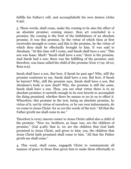fulfills his Father's will, and accomplisheth his own desires (John 6:39).

3. These words, shall come, make thy coming to be also the effect of an absolute promise; coming sinner, thou art concluded in a promise; thy coming is the fruit of the faithfulness of an absolute promise. It was this promise, by the virtue of which thou at first receivedst strength to come; and this is the promise, by the virtue of which thou shalt be effectually brought to him. It was said to Abraham, "At this time will I come, and Sarah shall have a son." This son was Isaac. Mark! "Sarah shall have a son;" there is the promise. And Sarah had a son; there was the fulfilling of the promise; and, therefore, was Isaac called the child of the promise (Gen 17:19; 18:10; Rom 9:9).

Sarah shall have a son. But how, if Sarah be past age? Why, still the promise continues to say, Sarah shall have a son. But how, if Sarah be barren? Why, still the promise says, Sarah shall have a son. But Abraham's body is now dead? Why, the promise is still the same, Sarah shall have a son. Thus, you see what virtue there is in an absolute promise; it carrieth enough in its own bowels to accomplish the thing promised, whether there be means or no in us to effect it. Wherefore, this promise in the text, being an absolute promise, by virtue of it, not by virtue of ourselves, or by our own inducements, do we come to Jesus Christ: for so are the words of the text: "All that the Father giveth me shall come to me."

Therefore is every sincere comer to Jesus Christ called also a child of the promise. "Now we, brethren, as Isaac was, are the children of promise," (Gal 4:28); that is, we are the children that God hath promised to Jesus Christ, and given to him; yea, the children that Jesus Christ hath promised shall come to him. "All that the Father giveth me shall come."

4. This word, shall come, engageth Christ to communicate all manner of grace to those thus given him to make them effectually to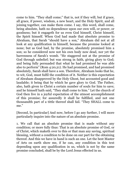come to him. "They shall come;" that is, not if they will, but if grace, all grace, if power, wisdom, a new heart, and the Holy Spirit, and all joining together, can make them come. I say, this word, shall come, being absolute, hath no dependence upon our own will, or power, or goodness; but it engageth for us even God himself, Christ himself, the Spirit himself. When God had made that absolute promise to Abraham, that Sarah "should have a son," Abraham did not at all look at any qualification in himself, because the promise looked at none; but as God had, by the promise, absolutely promised him a son; so he considered now not his own body now dead, nor yet the barrenness of Sarah's womb. "He staggered not at the promise of God through unbelief; but was strong in faith, giving glory to God; and being fully persuaded that what he had promised he was able also to perform" (Rom 4:20,21). He had promised, and had promised absolutely, Sarah shall have a son. Therefore, Abraham looks that he, to wit, God, must fulfil the condition of it. Neither is this expectation of Abraham disapproved by the Holy Ghost, but accounted good and laudable; it being that by which he gave glory to God. The Father, also, hath given to Christ a certain number of souls for him to save; and he himself hath said, "They shall come to him." Let the church of God then live in a joyful expectation of the utmost accomplishment of this promise; for assuredly it shall be fulfilled, and not one thousandth part of a tittle thereof shall fail. "They SHALL come to me."

[Second, In particular] And now, before I go any further, I will more particularly inquire into the nature of an absolute promise.

1. We call that an absolute promise that is made without any condition; or more fully thus: That is an absolute promise of God, or of Christ, which maketh over to this or that man any saving, spiritual blessing, without a condition to be done on our part for the obtaining thereof. And this we have in hand is such an one. Let the best Master of Arts on earth show me, if he can, any condition in this text depending upon any qualification in us, which is not by the same promise concluded, shall be by the Lord Jesus effected in us.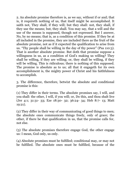2. An absolute promise therefore is, as we say, without if or and; that is, it requireth nothing of us, that itself might be accomplished. It saith not, They shall, if they will; but they shall: not, they shall, if they use the means; but, they shall. You may say, that a will and the use of the means is supposed, though not expressed. But I answer, No, by no means; that is, as a condition of this promise. If they be at all included in the promise, they are included there as the fruit of the absolute promise, not as if it expected the qualification to arise from us. "Thy people shall be willing in the day of thy power" (Psa 110:3). That is another absolute promise. But doth that promise suppose a willingness in us, as a condition of God's making us willing? They shall be willing, if they are willing; or, they shall be willing, if they will be willing. This is ridiculous; there is nothing of this supposed. The promise is absolute as to us; all that it engageth for its own accomplishment is, the mighty power of Christ and his faithfulness to accomplish.

3. The difference, therefore, betwixt the absolute and conditional promise is this:

(1) They differ in their terms. The absolute promises say, I will, and you shall: the other, I will, if you will; or, Do this, and thou shalt live (Jer 4:1; 31:31- 33; Eze 18:30- 32; 36:24- 34; Heb 8:7- 13; Matt 19:21).

(2) They differ in their way of communicating of good things to men; the absolute ones communicate things freely, only of grace; the other, if there be that qualification in us, that the promise calls for, not else.

(3) The absolute promises therefore engage God, the other engage us: I mean, God only, us only.

(4) Absolute promises must be fulfilled; conditional may, or may not be fulfilled. The absolute ones must be fulfilled, because of the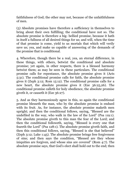faithfulness of God; the other may not, because of the unfaithfulness of men.

(5) Absolute promises have therefore a sufficiency in themselves to bring about their own fulfilling; the conditional have not so. The absolute promise is therefore a big- bellied promise, because it hath in itself a fullness of all desired things for us; and will, when the time of that promise is come, yield to us mortals that which will verily save us; yea, and make us capable of answering of the demands of the promise that is conditional.

4. Wherefore, though there be a real, yea, an eternal difference, in these things, with others, betwixt the conditional and absolute promise; yet again, in other respects, there is a blessed harmony betwixt them; as may be seen in these particulars. The conditional promise calls for repentance, the absolute promise gives it (Acts 5:31). The conditional promise calls for faith, the absolute promise gives it (Zeph 3:12; Rom 15:12). The conditional promise calls for a new heart, the absolute promise gives it (Eze 36:25,26). The conditional promise calleth for holy obedience, the absolute promise giveth it, or causeth it (Eze 36:27).

5. And as they harmoniously agree in this, so again the conditional promise blesseth the man, who by the absolute promise is endued with its fruit. As, for instance, the absolute promise maketh men upright; and then the conditional follows, saying, "Blessed are the undefiled in the way, who walk in the law of the Lord" (Psa 119:1). The absolute promise giveth to this man the fear of the Lord; and then the conditional followeth, saying, "Blessed is every one that feareth the Lord" (Psa 128:1). The absolute promise giveth faith, and then this conditional follows, saying, "Blessed is she that believed" (Zeph 3:12; Luke 1:45). The absolute promise brings free forgiveness of sins; and then says the condition, "Blessed are they whose iniquities are forgiven, and whose sins are covered" (Rom 4:7). The absolute promise says, that God's elect shall hold out to the end; then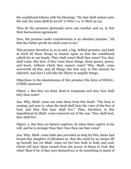the conditional follows with his blessings, "He that shall endure unto the end, the same shall be saved" (1 Peter 1:4- 6; Matt 24:13).

Thus do the promises gloriously serve one another and us, in this their harmonious agreement.

Now, the promise under consideration is an absolute promise. "All that the Father giveth me shall come to me."

This promise therefore is, as is said, a big- bellied promise, and hath in itself all those things to bestow upon us that the conditional calleth for at our hands. They shall come! Shall they come? Yes, they shall come. But how, if they want those things, those graces, power, and heart, without which they cannot come? Why, Shall- come answereth all this, and all things else that may in this manner be objected. And here I will take the liberty to amplify things.

Objections to the absoluteness of this promise (the force of SHALL-COME) answered

Object. 1. But they are dead, dead in trespasses and sins, how shall they then come?

Ans. Why, Shall- come can raise them from this death. "The hour is coming, and now is, when the dead shall hear the voice of the Son of God, and they that hear shall live." Thus, therefore, is this impediment by Shall- come removed out of the way. They shall heal, they shall live.

Object. 2. But they are Satan's captives; he takes them captive at his will, and he is stronger than they: how then can they come?

Ans. Why, Shall- come hath also provided an help for this. Satan had bound that daughter of Abraham so, that she could by no means lift up herself; but yet Shall- come set her free both in body and soul. Christ will have them turned from the power of Satan to God. But what! Must it be, if they turn themselves, or do something to merit of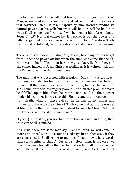him to turn them? No, he will do it freely, of his own good will. Alas! Man, whose soul is possessed by the devil, is turned whithersoever that governor listeth, is taken captive by him, notwithstanding its natural powers, at his will; but what will he do? Will he hold him when Shall- come puts forth itself, will he then let him, for coming to Jesus Christ? No, that cannot be! His power is but the power of a fallen angel, but Shall- come is the Word of God. Therefore Shallcome must be fulfilled; "and the gates of hell shall not prevail against it."

There were seven devils in Mary Magdalene, too many for her to get from under the power of; but when the time was come that Shallcome was to be fulfilled upon her, they give place, fly from her, and she comes indeed to Jesus Christ, according as it is written, "All that the Father giveth me shall come to me."

The man that was possessed with a legion, (Mark 5), was too much by them captivated for him by human force to come; yea, had he had, to boot, all the men under heaven to help him, had he that said, He shall come, withheld his mighty power: but when this promise was to be fulfilled upon him, then he comes; nor could all their power hinder his coming. It was also this Shall- come that preserved him from death; when by these evil spirits he was hurled hither and thither; and it was by the virtue of Shall- come that at last he was set at liberty from them, and enabled indeed to come to Christ. "All that the Father giveth me shall come to me."

Object. 3. They shall, you say; but how if they will not; and, if so, then what can Shall- come do?

Ans. True, there are some men say, "We are lords; we will come no more unto thee" (Jer 2:31). But as God says in another case, if they are concerned in Shall- come to me, they "shall know whose words shall stand, mine or theirs" (Jer 41:28). Here, then, is the case; we must now see who will be the liar, he that saith, I will not; or he that saith, He shall come to me. You shall come, says God; I will not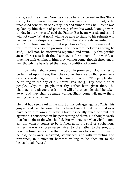come, saith the sinner. Now, as sure as he is concerned in this Shallcome, God will make that man eat his own words; for I will not, is the unadvised conclusion of a crazy- headed sinner; but Shall- come was spoken by him that is of power to perform his word. "Son, go work to- day in my vineyard," said the Father. But he answered, and said, I will not come. What now? will he be able to stand to his refusal? will he pursue his desperate denial? No, "he afterwards repented and went." But how came he by that repentance? Why, it was wrapped up for him in the absolute promise; and therefore, notwithstanding he said, "I will not, he afterwards repented and went." By this parable Jesus Christ sets forth the obstinacy of the sinners of the world, as touching their coming to him; they will not come, though threatened: yea, though life be offered them upon condition of coming.

But now, when Shall- come, the absolute promise of God, comes to be fulfilled upon them, then they come; because by that promise a cure is provided against the rebellion of their will. "Thy people shall be willing in the day of thy power"(Psa 110:3). Thy people, what people? Why, the people that thy Father hath given thee. The obstinacy and plague that is in the will of that people, shall be taken away; and they shall be made willing; Shall- come will make them willing to come to thee.

He that had seen Paul in the midst of his outrages against Christ, his gospel, and people, would hardly have thought that he would ever have been a follower of Jesus Christ, especially since he went not against his conscience in his persecuting of them. He thought verily that he ought to do what he did. But we may see what Shall- come can do, when it comes to be fulfilled upon the soul of a rebellious sinner: he was a chosen vessel, given by the Father to the Son; and now the time being come that Shall- come was to take him in hand, behold, he is over- mastered, astonished, and with trembling and reverence, in a moment becomes willing to be obedient to the heavenly call (Acts 9).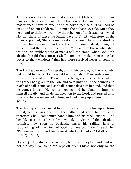And were not they far gone, that you read of, (Acts 2) who had their hands and hearts in the murder of the Son of God; and to show their resolvedness never to repent of that horrid fact, said, "His blood be on us and on our children?" But must their obstinacy rule? Must they be bound to their own ruin, by the rebellion of their stubborn wills? No, not those of these the Father gave to Christ; wherefore, at the times appointed, Shall- come breaks in among them; the absolute promise takes them in hand; and then they come indeed, crying out to Peter, and the rest of the apostles, "Men and brethren, what shall we do?" No stubbornness of man's will can stand, when God hath absolutely said the contrary; Shall- come can make them come "as doves to their windows," that had afore resolved never to come to him.

The Lord spake unto Manasseh, and to his people, by the prophets, but would he hear? No, he would not. But shall Manasseh come off thus? No, he shall not. Therefore, he being also one of those whom the Father had given to the Son, and so falling within the bounds and reach of Shall- come, at last Shall- come takes him in hand, and then he comes indeed. He comes bowing and bending; he humbles himself greatly, and made supplication to the Lord, and prayed unto him; and he was entreated of him, and had mercy upon him (2 Chron 30:10).

The thief upon the cross, at first, did rail with his fellow upon Jesus Christ; but he was one that the Father had given to him, and, therefore, Shall- come must handle him and his rebellious will. And behold, so soon as he is dealt withal, by virtue of that absolute promise, how soon he buckleth, leaves his railing, falls to supplicating of the Son of God for mercy; "Lord," saith he, "Remember me when thou comest into thy kingdom" (Matt 27:44; Luke 23:40- 42).

Object. 4. They shall come, say you, but how if they be blind, and see not the way? For some are kept off from Christ, not only by the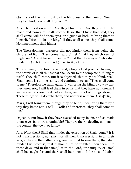obstinacy of their will, but by the blindness of their mind. Now, if they be blind, how shall they come?

Ans. The question is not, Are they blind? But, Are they within the reach and power of Shall- come? If so, that Christ that said, they shall come, will find them eyes, or a guide or both, to bring them to himself. "Must is for the king." If they shall come, they shall come. No impediment shall hinder.

The Thessalonians' darkness did not hinder them from being the children of light; "I am come," said Christ, "that they which see not might see." And if he saith, See, ye "blind that have eyes," who shall hinder it? (Eph 5:8; John 9:39; Isa 29:18; 43:8).

This promise, therefore, is, as I said, a big- bellied promise, having in the bowels of it, all things that shall occur to the complete fulfilling of itself. They shall come. But it is objected, that they are blind. Well, Shall- come is still the same, and continueth to say, "They shall come to me." Therefore he saith again, "I will bring the blind by a way that they know not, I will lead them in paths that they have not known; I will make darkness light before them, and crooked things straight. These things will I do unto them, and not forsake them" (Isa 42:16).

Mark, I will bring them, though they be blind; I will bring them by a way they know not; I will - I will; and therefore "they shall come to me."

Object. 5. But how, if they have exceeded many in sin, and so made themselves far more abominable? They are the ringleading sinners in the county, the town, or family.

Ans. What then? Shall that hinder the execution of Shall- come? It is not transgressions, nor sins, nor all their transgressions in all their sins, if they by the Father are given to Christ to save them, that shall hinder this promise, that it should not be fulfilled upon them. "In those days, and in that time," saith the Lord, "the iniquity of Israel shall be sought for, and there shall be none; and the sins of Judah,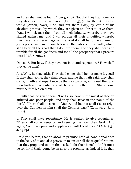and they shall not be found" (Jer 50:20). Not that they had none, for they abounded in transgression, (2 Chron 33:9; Eze 16:48), but God would pardon, cover, hide, and put them away, by virtue of his absolute promise, by which they are given to Christ to save them. "And I will cleanse them from all their iniquity, whereby they have sinned against me; and I will pardon all their iniquities, whereby they have transgressed against me. And it shall be to me a name of joy, a praise, and an honour before all the nations of the earth, which shall bear all the good that I do unto them; and they shall fear and tremble for all the goodness and for all the prosperity that I procure unto it" (Jer 33:8,9).

Object. 6. But how, if they have not faith and repentance? How shall they come then?

Ans. Why, he that saith, They shall come, shall he not make it good? If they shall come, they shall come; and he that hath said, they shall come, if faith and repentance be the way to come, as indeed they are, then faith and repentance shall be given to them! for Shall- come must be fulfilled on them.

1. Faith shall be given them. "I will also leave in the midst of thee an afflicted and poor people, and they shall trust in the name of the Lord." "There shall be a root of Jesse, and he that shall rise to reign over the Gentiles; in him shall the Gentiles trust" (Zeph 3:12; Rom 15:12).

2. They shall have repentance. He is exalted to give repentance. "They shall come weeping, and seeking the Lord their God." And again, "With weeping and supplication will I lead them" (Acts 5:31; Jer 31:9).

I told you before, that an absolute promise hath all conditional ones in the belly of it, and also provision to answer all those qualifications, that they propound to him that seeketh for their benefit. And it must be so; for if Shall- come be an absolute promise, as indeed it is, then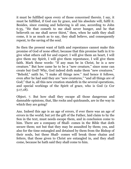it must be fulfilled upon every of those concerned therein. I say, it must be fulfilled, if God can by grace, and his absolute will, fulfil it. Besides, since coming and believing is all one, according to John 6:35, "He that cometh to me shall never hunger, and he that believeth on me shall never thirst," then, when he saith they shall come, it is as much as to say, they shall believe, and consequently repent, to the saving of the soul.

So then the present want of faith and repentance cannot make this promise of God of none effect; because that this promise hath in it to give what others call for and expect. I will give them an heart, I will give them my Spirit, I will give them repentance, I will give them faith. Mark these words: "If any man be in Christ, he is a new creature." But how came he to be a "new creature," since none can create but God? Why, God indeed doth make them "new creatures." "Behold," saith he, "I make all things new." And hence it follows, even after he had said they are "new creatures," "and all things are of God;" that is, all this new creation standeth in the several operations, and special workings of the Spirit of grace, who is God (2 Cor 5:17,18).

Object. 7. But how shall they escape all those dangerous and damnable opinions, that, like rocks and quicksands, are in the way in which they are going?

Ans. Indeed this age is an age of errors, if ever there was an age of errors in the world; but yet the gift of the Father, laid claim to by the Son in the text, must needs escape them, and in conclusion come to him. There are a company of Shall- comes in the Bible that doth secure them; not but that they may be assaulted by them; yea, and also for the time entangled and detained by them from the Bishop of their souls, but these Shall- comes will break those chains and fetters, that those given to Christ are entangled in, and they shall come, because he hath said they shall come to him.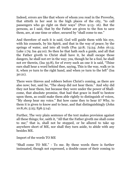Indeed, errors are like that whore of whom you read in the Proverbs, that sitteth in her seat in the high places of the city, "to call passengers who go right on their ways" (Prov 9:13- 16). But the persons, as I said, that by the Father are given to the Son to save them, are, at one time or other, secured by "shall come to me."

And therefore of such it is said, God will guide them with his eye, with his counsels, by his Spirit, and that in the way of peace; by the springs of water, and into all truth (Psa 32:8; 73:24; John 16:13; Luke 1:79; Isa 49:10). So then he that hath such a guide, and all that the Father giveth to Christ shall have it, he shall escape those dangers, he shall not err in the way; yea, though he be a fool, he shall not err therein, (Isa 35:8), for of every such an one it is said, "Thine ears shall hear a word behind thee, saying, This is the way, walk ye in it, when ye turn to the right hand, and when ye turn to the left" (Isa 30:21).

There were thieves and robbers before Christ's coming, as there are also now; but, said he, "The sheep did not hear them." And why did they not hear them, but because they were under the power of Shallcome, that absolute promise, that had that grace in itself to bestow upon them, as could make them able rightly to distinguish of voices, "My sheep hear my voice." But how came they to hear it? Why, to them it is given to know and to hear, and that distinguishingly (John 10:8,16; 5:25; Eph 5:14).

Further, The very plain sentence of the text makes provision against all these things; for, saith it, "All that the Father giveth me shall come to me;" that is, shall not be stopped, or be allured to take up anywhere short of ME, nor shall they turn aside, to abide with any besides ME.

Import of the words TO ME

"Shall come TO ME." - To me. By these words there is further insinuated, though not expressed, a double cause of their coming to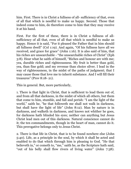him. First. There is in Christ a fullness of all- sufficiency of that, even of all that which is needful to make us happy. Second. Those that indeed come to him, do therefore come to him that they may receive it at his hand.

First. For the first of these, there is in Christ a fullness of allsufficiency of all that, even of all that which is needful to make us happy. Hence it is said, "For it pleased the Father that in him should all fullness dwell" (Col 1:19). And again, "Of his fullness have all we received, and grace for grace" (John 1:16). It is also said of him, that his riches are unsearchable - "the unsearchable riches of Christ" (Eph 3:8). Hear what he saith of himself, "Riches and honour are with me; yea, durable riches and righteousness. My fruit is better than gold, yea, than fine gold; and my revenue than choice silver. I lead in the way of righteousness, in the midst of the paths of judgment; that I may cause those that love me to inherit substance. And I will fill their treasures" (Prov 8:18- 21).

This in general. But, more particularly,

1. There is that light in Christ, that is sufficient to lead them out of, and from all that darkness, in the midst of which all others, but them that come to him, stumble, and fall and perish: "I am the light of the world," saith he, "he that followeth me shall not walk in darkness, but shall have the light of life" (John 8:12). Man by nature is in darkness, and walketh in darkness, and knows not whither he goes, for darkness hath blinded his eyes; neither can anything but Jesus Christ lead men out of this darkness. Natural conscience cannot do it; the ten commandments, though in the heart of man, cannot do it. This prerogative belongs only to Jesus Christ.

2. There is that life in Christ, that is to be found nowhere else (John 5:40). Life, as a principle in the soul, by which it shall be acted and enabled to do that which through him is pleasing to God. "He that believeth in," or cometh to, "me," saith he, as the Scripture hath said, "out of his belly shall flow rivers of living water" (John 7:38).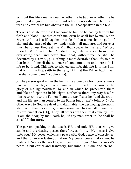Without this life a man is dead, whether he be bad, or whether he be good; that is, good in his own, and other men's esteem. There is no true and eternal life but what is in the ME that speaketh in the text.

There is also life for those that come to him, to be had by faith in his flesh and blood. "He that eateth me, even he shall live by me" (John 6:57). And this is a life against that death that comes by the guilt of sin, and the curse of the law, under which all men are, and for ever must be, unless they eat the ME that speaks in the text. "Whoso findeth ME," saith he, "findeth life;" deliverance from that everlasting death and destruction, that, without me, he shall be devoured by (Prov 8:35). Nothing is more desirable than life, to him that hath in himself the sentence of condemnation; and here only is life to be found. This life, to wit, eternal life, this life is in his Son; that is, in him that saith in the text, "All that the Father hath given me shall come to me" (1 John 5:10).

3. The person speaking in the text, is he alone by whom poor sinners have admittance to, and acceptance with the Father, because of the glory of his righteousness, by and in which he presenteth them amiable and spotless in his sight; neither is there any way besides him so to come to the Father: "I am the way," says he, "and the truth, and the life; no man cometh to the Father but by me" (John 14:6). All other ways to God are dead and damnable; the destroying cherubim stand with flaming swords, turning every way to keep all others from his presence (Gen 3:24). I say, all others but them that come by him. "I am the door; by me," saith he, "if any man enter in, he shall be saved" (John 10:9).

The person speaking in the text is HE, and only HE, that can give stable and everlasting peace; therefore, saith he, "My peace I give unto you." My peace, which is a peace with God, peace of conscience, and that of an everlasting duration. My peace, peace that cannot be matched, "not as the world giveth, give I unto you;" for the world's peace is but carnal and transitory, but mine is Divine and eternal.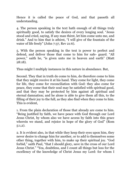Hence it is called the peace of God, and that passeth all understanding.

4. The person speaking in the text hath enough of all things truly spiritually good, to satisfy the desires of every longing soul. "Jesus stood and cried, saying, If any man thirst, let him come unto me, and drink." And to him that is athirst, "I will give of the fountain of the water of life freely" (John 7:37, Rev 21:6).

5. With the person speaking in the text is power to perfect and defend, and deliver those that come to him for safe- guard. "All power," saith he, "is given unto me in heaven and earth" (Matt 28:18).

Thus might I multiply instances in this nature in abundance. But,

Second. They that in truth do come to him, do therefore come to him that they might receive it at his hand. They come for light, they come for life, they come for reconciliation with God: they also come for peace, they come that their soul may be satisfied with spiritual good, and that they may be protected by him against all spiritual and eternal damnation; and he alone is able to give them all this, to the filling of their joy to the full, as they also find when they come to him. This is evident,

1. From the plain declaration of those that already are come to him. "Being justified by faith, we have peace with God through our Lord Jesus Christ, by whom also we have access by faith into this grace wherein we stand, and rejoice in hope of the glory of God" (Rom 5:1,2).

2. It is evident also, in that while they keep their eyes upon him, they never desire to change him for another, or to add to themselves some other thing, together with him, to make up their spiritual joy. "God forbid," saith Paul, "that I should glory, save in the cross of our Lord Jesus Christ." "Yea, doubtless, and I count all things but loss for the excellency of the knowledge of Christ Jesus my Lord: for whom I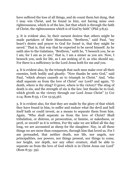have suffered the loss of all things, and do count them but dung, that I may win Christ, and be found in him, not having mine own righteousness, which is of the law, but that which is through the faith of Christ, the righteousness which is of God by faith" (Phil 3:8,9).

3. It is evident also, by their earnest desires that others might be made partakers of their blessedness. "Brethren," said Paul, "my heart's desire and prayer to God for Israel is, that they might be saved." That is, that way that he expected to be saved himself. As he saith also to the Galatians, "Brethren," saith he, "I beseech you, be as I am; for I am as ye are;" that is, I am a sinner as you are. Now, I beseech you, seek for life, as I am seeking of it; as who should say, For there is a sufficiency in the Lord Jesus both for me and you.

4. It is evident also, by the triumph that such men make over all their enemies, both bodily and ghostly: "Now thanks be unto God," said Paul, "which always causeth us to triumph in Christ." And, "who shall separate us from the love of Christ" our Lord? and again, "O death, where is thy sting? O grave, where is thy victory? The sting of death is sin, and the strength of sin is the law; but thanks be to God, which giveth us the victory through our Lord Jesus Christ" (2 Cor 2:14; Rom 8:35; 1 Cor 15:55,56).

5. It is evident also, for that they are made by the glory of that which they have found in him, to suffer and endure what the devil and hell itself hath or could invent, as a means to separate them from him. Again, "Who shall separate us from the love of Christ? Shall tribulation, or distress, or persecution, or famine, or nakedness, or peril, or sword? as it is written, For thy sake we are killed all the day long, we are accounted as sheep for the slaughter. Nay, in all these things we are more than conquerors, through him that loved us. For I am persuaded, that neither death, nor life, nor angels, nor principalities, nor powers, nor things present, nor things to come, nor height, nor depth, nor any other creature, shall be able to separate us from the love of God which is in Christ Jesus our Lord" (Rom 8:35- 39).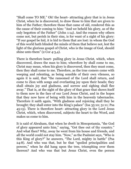"Shall come TO ME." Oh! the heart- attracting glory that is in Jesus Christ, when he is discovered, to draw those to him that are given to him of the Father; therefore those that came of old, rendered this as the cause of their coming to him: "And we beheld his glory, as of the only begotten of the Father" (John 1:14). And the reason why others come not, but perish in their sins, is for want of a sight of his glory: "If our gospel be hid, it is hid to them that are lost: in whom the God of this world hath blinded the minds of them that believe not, lest the light of the glorious gospel of Christ, who is the image of God, should shine unto them" (2 Cor 4:3,4).

There is therefore heart- pulling glory in Jesus Christ, which, when discovered, draws the man to him; wherefore by shall come to me, Christ may mean, when his glory is discovered, then they must come, then they shall come to me. Therefore, as the true comers come with weeping and relenting, as being sensible of their own vileness, so again it is said, that "the ransomed of the Lord shall return, and come to Zion with songs and everlasting joy upon their heads; they shall obtain joy and gladness, and sorrow and sighing shall flee away." That is, at the sight of the glory of that grace that shows itself to them now in the face of our Lord Jesus Christ, and in the hopes that they now have of being with him in the heavenly tabernacles. Therefore it saith again, "With gladness and rejoicing shall they be brought; they shall enter into the King's palace" (Isa 35:10; 51:11; Psa 45:15). There is therefore heart- attracting glory in the Lord Jesus Christ, which, when discovered, subjects the heart to the Word, and makes us come to him.

It is said of Abraham, that when he dwelt in Mesopotamia, "the God of glory appeared unto him," saying, "Get thee out of thy country." And what then? Why, away he went from his house and friends, and all the world could not stay him. "Now," as the Psalmist says, "Who is this King of glory?" he answers, "The Lord, mighty in battle" (Psa 24:8). And who was that, but he that "spoiled principalities and powers," when he did hang upon the tree, triumphing over them thereon? And who was that but Jesus Christ, even the person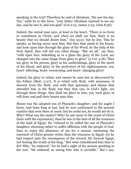speaking in the text? Therefore he said of Abraham, "He saw his day. Yea," saith he to the Jews, "your father Abraham rejoiced to see my day, and he saw it, and was glad" (Col 2:15; James 2:23; John 8:56).

Indeed, the carnal man says, at least in his heart, "There is no form or comeliness in Christ; and when we shall see him, there is no beauty that we should desire him," (Isa 53:2); but he lies. This he speaks, as having never seen him. But they that stand in his house, and look upon him through the glass of his Word, by the help of his Holy Spirit, they will tell you other things. "But we all," say they, "with open face, beholding as in a glass the glory of the Lord, are changed into the same image from glory to glory" (2 Cor 3:18). They see glory in his person, glory in his undertakings, glory in the merit of his blood, and glory in the perfection of his righteousness; yea, heart- affecting, heart- sweetening, and heart- changing glory!

Indeed, his glory is veiled, and cannot be seen but as discovered by the Father (Matt 11:27). It is veiled with flesh, with meanness of descent from the flesh, and with that ignominy and shame that attended him in the flesh; but they that can, in God's light, see through these things, they shall see glory in him; yea, such glory as will draw and pull their hearts unto him.

Moses was the adopted son of Pharaoh's daughter; and for aught I know, had been king at last, had he now conformed to the present vanities that were there at court; but he could not, he would not do it. Why? What was the matter? Why! he saw more in the worst of Christ (bear with the expression), than he saw in the best of all the treasures of the land of Egypt. He "refused to be called the son of Pharaoh's daughter; choosing rather to suffer affliction with the people of God, than to enjoy the pleasures of sin for a season; esteeming the reproach of Christ greater riches than the treasures in Egypt; for he had respect unto the recompence of the reward. He forsook Egypt, not fearing the wrath of the king." But what emboldened him thus to do? Why, "he endured;" for he had a sight of the person speaking in the text. "He endured, as seeing him who is invisible." But I say,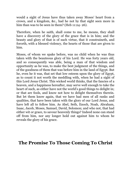would a sight of Jesus have thus taken away Moses' heart from a crown, and a kingdom, &c., had he not by that sight seen more in him than was to be seen in them? (Heb 11:24-26).

Therefore, when he saith, shall come to me, he means, they shall have a discovery of the glory of the grace that is in him; and the beauty and glory of that is of such virtue, that it constraineth, and forceth, with a blessed violency, the hearts of those that are given to him.

Moses, of whom we spake before, was no child when he was thus taken with the beauteous glory of his Lord. He was forty years old, and so consequently was able, being a man of that wisdom and opportunity as he was, to make the best judgment of the things, and of the goodness of them that was before him in the land of Egypt. But he, even he it was, that set that low esteem upon the glory of Egypt, as to count it not worth the meddling with, when he had a sight of this Lord Jesus Christ. This wicked world thinks, that the fancies of a heaven, and a happiness hereafter, may serve well enough to take the heart of such, as either have not the world's good things to delight in; or that are fools, and know not how to delight themselves therein. But let them know again, that we have had men of all ranks and qualities, that have been taken with the glory of our Lord Jesus, and have left all to follow him. As Abel, Seth, Enoch, Noah, Abraham, Isaac, Jacob, Moses, Samuel, David, Solomon; and who not, that had either wit or grace, to savour heavenly things? Indeed none can stand off from him, nor any longer hold out against him to whom he reveals the glory of his grace.

## **The Promise To Those Coming To Christ**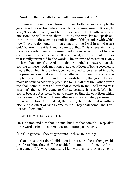"And him that cometh to me I will in no wise cast out."

By these words our Lord Jesus doth set forth yet more amply the great goodness of his nature towards the coming sinner. Before, he said, They shall come; and here he declareth, That with heart and affections he will receive them. But, by the way, let me speak one word or two to the seeming conditionality of this promise with which now I have to do. "And him that cometh to me I will in no wise cast out." Where it is evident, may some say, that Christ's receiving us to mercy depends upon our coming, and so our salvation by Christ is conditional. If we come, we shall be received; if not, we shall not; for that is fully intimated by the words. The promise of reception is only to him that cometh. "And him that cometh." I answer, that the coming in these words mentioned, as a condition of being received to life, is that which is promised, yea, concluded to be effected in us by the promise going before. In those latter words, coming to Christ is implicitly required of us; and in the words before, that grace that can make us come is positively promised to us. "All that the Father giveth me shall come to me; and him that cometh to me I will in no wise cast out" thence. We come to Christ, because it is said, We shall come; because it is given to us to come. So that the condition which is expressed by Christ in these latter words is absolutely promised in the words before. And, indeed, the coming here intended is nothing else but the effect of "shall come to me. They shall come, and I will not cast them out."

## "AND HIM THAT COMETH."

He saith not, and him that is come, but him that cometh. To speak to these words, First, In general. Second, More particularly.

[First] In general. They suggest unto us these four things: -

1. That Jesus Christ doth build upon it, that since the Father gave his people to him, they shall be enabled to come unto him. "And him that cometh." As who should say, I know that since they are given to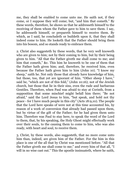me, they shall be enabled to come unto me. He saith not, if they come, or I suppose they will come; but, "and him that cometh." By these words, therefore, he shows us that he addresseth himself to the receiving of them whom the Father gave to him to save them. I say, he addresseth himself, or prepareth himself to receive them. By which, as I said, he concludeth or buildeth upon it, that they shall indeed come to him. He looketh that the Father should bring them into his bosom, and so stands ready to embrace them.

2. Christ also suggesteth by these words, that he very well knoweth who are given to him; not by their coming to him, but by their being given to him. "All that the Father giveth me shall come to me; and him that cometh," &c. This him he knoweth to be one of them that the Father hath given him; and, therefore, he received him, even because the Father hath given him to him (John 10). "I know my sheep," saith he. Not only those that already have knowledge of him, but those, too, that yet are ignorant of him. "Other sheep I have," said he, "which are not of this fold," (John 10:16); not of the Jewish church, but those that lie in their sins, even the rude and barbarous Gentiles. Therefore, when Paul was afraid to stay at Corinth, from a supposition that some mischief might befall him there; "Be not afraid," said the Lord Jesus to him, "but speak, and hold not thy peace - for I have much people in this city" (Acts 18:9,10). The people that the Lord here speaks of were not at this time accounted his, by reason of a work of conversion that already had passed upon them, but by virtue of the gift of the Father; for he had given them unto him. Therefore was Paul to stay here, to speak the word of the Lord to them, that, by his speaking, the Holy Ghost might effectually work over their souls, to the causing them to come to him, who was also ready, with heart and soul, to receive them.

3. Christ, by these words, also suggesteth, that no more come unto him than, indeed, are given him of the Father. For the him in this place is one of the all that by Christ was mentioned before. "All that the Father giveth me shall come to me;" and every him of that all, "I will in no wise cast out." This the apostle insinuateth, where he saith,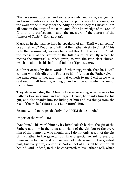"He gave some, apostles; and some, prophets; and some, evangelists; and some, pastors and teachers; for the perfecting of the saints, for the work of the ministry, for the edifying of the body of Christ; till we all come in the unity of the faith, and of the knowledge of the Son of God, unto a perfect man, unto the measure of the stature of the fullness of Christ" (Eph 4:11- 13).

Mark, as in the text, so here he speaketh of all. "Until we all come." We all! all who? Doubtless, "All that the Father giveth to Christ." This is further insinuated, because he called this ALL the body of Christ; the measure of the stature of the fullness of Christ. By which he means the universal number given; to wit, the true elect church, which is said to be his body and fullness (Eph 1:22,23).

4. Christ Jesus, by these words, further suggesteth, that he is well content with this gift of the Father to him. "All that the Father giveth me shall come to me; and him that cometh to me I will in no wise cast out." I will heartily, willingly, and with great content of mind, receive him.

They show us, also, that Christ's love in receiving is as large as his Father's love in giving, and no larger. Hence, he thanks him for his gift, and also thanks him for hiding of him and his things from the rest of the wicked (Matt 11:25; Luke 10:21). But,

Secondly, and more particularly, "And HIM that cometh."

Import of the word HIM

"And him." This word him; by it Christ looketh back to the gift of the Father; not only in the lump and whole of the gift, but to the every him of that lump. As who should say, I do not only accept of the gift of my Father in the general, but have a special regard to every of them in particular; and will secure not only some, or the greatest part, but every him, every dust. Not a hoof of all shall be lost or left behind. And, indeed, in this he consenteth to his Father's will, which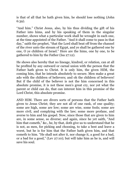is that of all that he hath given him, he should lose nothing (John 6:39).

"And him." Christ Jesus, also, by his thus dividing the gift of his Father into hims, and by his speaking of them in the singular number, shows what a particular work shall be wrought in each one, at the time appointed of the Father. "And it shall come to pass in that day," saith the prophet, "that the Lord shall beat off from the channel of the river unto the stream of Egypt, and ye shall be gathered one by one, O ye children of Israel." Here are the hims, one by one, to be gathered to him by the Father (Isa 27:12).

He shows also hereby that no lineage, kindred, or relation, can at all be profited by any outward or carnal union with the person that the Father hath given to Christ. It is only him, the given HIM, the coming him, that he intends absolutely to secure. Men make a great ado with the children of believers; and oh the children of believers! But if the child of the believer is not the him concerned in this absolute promise, it is not these men's great cry, nor yet what the parent or child can do, that can interest him in this promise of the Lord Christ, this absolute promise.

AND HIM. There are divers sorts of persons that the Father hath given to Jesus Christ; they are not all of one rank, of one quality; some are high, some are low; some are wise, some fools; some are more civil, and complying with the law; some more profane, and averse to him and his gospel. Now, since those that are given to him are, in some sense, so diverse; and again, since he yet saith, "And him that cometh," &c., he, by that, doth give us to understand that he is not, as men, for picking and choosing, to take a best and leave a worst, but he is for him that the Father hath given him, and that cometh to him. "He shall not alter it, nor change it, a good for a bad, or a bad for a good," (Lev 27:10); but will take him as he is, and will save his soul.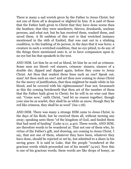There is many a sad wretch given by the Father to Jesus Christ; but not one of them all is despised or slighted by him. It is said of those that the Father hath given to Christ that they have done worse than the heathen; that they were murderers, thieves, drunkards, unclean persons, and what not; but he has received them, washed them, and saved them. A fit emblem of this sort is that wretched instance mentioned in the 16th of Ezekiel, that was cast out in a stinking condition, to the loathing of its person, in the days that it was born; a creature in such a wretched condition, that no eye pitied, to do any of the things there mentioned unto it, or to have compassion upon it; no eye but his that speaketh in the text.

AND HIM. Let him be as red as blood, let him be as red as crimson. Some men are blood- red sinners, crimson- sinners, sinners of a double die; dipped and dipped again, before they come to Jesus Christ. Art thou that readest these lines such an one? Speak out, man! Art thou such an one? and art thou now coming to Jesus Christ for the mercy of justification, that thou mightest be made white in his blood, and be covered with his righteousness? Fear not; forasmuch as this thy coming betokeneth that thou art of the number of them that the Father hath given to Christ; for he will in no wise cast thee out. "Come now," saith Christ, "and let us reason together; though your sins be as scarlet, they shall be as white as snow; though they be red like crimson, they shall be as wool" (Isa 1:18).

AND HIM. There was many a strange HIM came to Jesus Christ, in the days of his flesh; but he received them all, without turning any away; speaking unto them "of the kingdom of God, and healed them that had need of healing" (Luke 9:11; 4:40). These words, AND HIM, are therefore words to be wondered at. That not one of them who, by virtue of the Father's gift, and drawing, are coming to Jesus Christ, I say, that not one of them, whatever they have been, whatever they have done, should be rejected or set by, but admitted to a share in his saving grace. It is said in Luke, that the people "wondered at the gracious words which proceeded out of his mouth" (4:22). Now this is one of his gracious words; these words are like drops of honey, as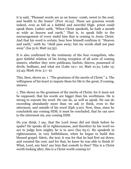it is said, "Pleasant words are as an honey- comb, sweet to the soul, and health to the bones" (Prov 16:24). These are gracious words indeed, even as full as a faithful and merciful High- priest could speak them. Luther saith, "When Christ speaketh, he hath a mouth as wide as heaven and earth." That is, to speak fully to the encouragement of every sinful him that is coming to Jesus Christ. And that his word is certain, hear how himself confirms it: "Heaven and earth," saith he, "shall pass away; but my words shall not pass away" (Isa 51:6; Matt 24:35).

It is also confirmed by the testimony of the four evangelists, who gave faithful relation of his loving reception of all sorts of coming sinners, whether they were publicans, harlots, thieves, possessed of devils, bedlams, and what not (Luke 19:1- 10; Matt 21:31; Luke 15; 23:43; Mark 16:9; 5:1- 9).

This, then, shows us, 1. "The greatness of the merits of Christ." 2. The willingness of his heart to impute them for life to the great, if coming, sinners.

1. This shows us the greatness of the merits of Christ; for it must not be supposed, that his words are bigger than his worthiness. He is strong to execute his word. He can do, as well as speak. He can do exceeding abundantly more than we ask or think, even to the uttermost, and outside of his word (Eph 3:20). Now, then, since he concludeth any coming HIM; it must be concluded, that he can save to the uttermost sin, any coming HIM.

Do you think, I say, that the Lord Jesus did not think before he spake? He speaks all in righteousness, and therefore by his word we are to judge how mighty he is to save (Isa 63:1). He speaketh in righteousness, in very faithfulness, when he began to build this blessed gospel- fabric, the text; it was for that he had first sat down, and counted the cost; and for that, he knew he was able to finish it! What, Lord, any him? any him that cometh to thee? This is a Christ worth looking after, this is a Christ worth coming to!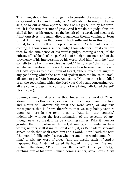This, then, should learn us diligently to consider the natural force of every word of God; and to judge of Christ's ability to save, not by our sins, or by our shallow apprehensions of his grace; but by his word, which is the true measure of grace. And if we do not judge thus, we shall dishonour his grace, lose the benefit of his word, and needlessly fright ourselves into many discouragements though coming to Jesus Christ. Him, any him that cometh, hath sufficient from this word of Christ, to feed himself with hopes of salvation. As thou art therefore coming, O thou coming sinner, judge thou, whether Christ can save thee by the true sense of his words: judge, coming sinner, of the efficacy of his blood, of the perfection of his righteousness, and of the prevalency of his intercession, by his word. "And him," saith he, "that cometh to me I will in no wise cast out." "In no wise," that is, for no sin. Judge therefore by his word, how able he is to save thee. It is said of God's sayings to the children of Israel, "There failed not aught of any good thing which the Lord had spoken unto the house of Israel; all came to pass" (Josh 21:45). And again, "Not one thing hath failed of all the good things which the Lord your God spake concerning you, all are come to pass unto you; and not one thing hath failed thereof" (Josh 23:14).

Coming sinner, what promise thou findest in the word of Christ, strain it whither thou canst, so thou dost not corrupt it, and his blood and merits will answer all; what the word saith, or any true consequence that is drawn therefrom, that we may boldly venture upon. As here in the text he saith, "And him that cometh," indefinitely, without the least intimation of the rejection of any, though never so great, if he be a coming sinner. Take it then for granted, that thou, whoever thou art, if coming, art intended in these words; neither shall it injure Christ at all, if, as Benhadad's servants served Ahab, thou shalt catch him at his word. "Now," saith the text, "the man did diligently observe whether anything would come from him," to wit, any word of grace; "and did hastily catch it." And it happened that Ahab had called Benhadad his brother. The man replied, therefore, "Thy brother Benhadad!" (1 Kings 20:33), catching him at his word. Sinner, coming sinner, serve Jesus Christ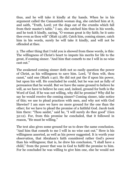thus, and he will take it kindly at thy hands. When he in his argument called the Canaanitish woman dog, she catched him at it, and saith, "Truth, Lord; yet the dogs eat of the crumbs which fall from their master's table." I say, she catched him thus in his words, and he took it kindly, saying, "O woman great is thy faith; be it unto thee even as thou wilt" (Matt 15:28). Catch him, coming sinner, catch him in his words, surely he will take it kindly, and will not be offended at thee.

2. The other thing that I told you is showed from these words, is this: The willingness of Christ's heart to impute his merits for life to the great, if coming sinner. "And him that cometh to me I will in no wise cast out."

The awakened coming sinner doth not so easily question the power of Christ, as his willingness to save him. Lord, "if thou wilt, thou canst," said one (Mark 1:40). He did not put the if upon his power, but upon his will. He concluded he could, but he was not as fully of persuasion that he would. But we have the same ground to believe he will, as we have to believe he can; and, indeed, ground for both is the Word of God. If he was not willing, why did he promise? Why did he say he would receive the coming sinner? Coming sinner, take notice of this; we use to plead practices with men, and why not with God likewise? I am sure we have no more ground for the one than the other; for we have to plead the promise of a faithful God. Jacob took him there: "Thou saidst," said he, "I will surely do thee good" (Gen 32:12). For, from this promise he concluded, that it followed in reason, "He must be willing."

The text also gives some ground for us to draw the same conclusion. "And him that cometh to me I will in no wise cast out." Here is his willingness asserted, as well as his power suggested. It is worth your observation, that Abraham's faith considered rather God's power than his willingness; that is, he drew his conclusion, "I shall have a child," from the power that was in God to fulfil the promise to him. For he concluded he was willing to give him one, else he would not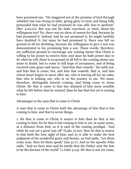have promised one. "He staggered not at the promise of God through unbelief; but was strong in faith, giving glory to God; and being fully persuaded that what he had promised he was able also to perform" (Rev 4:20,21). But was not his faith exercised, or tried, about his willingness too? No, there was no show of reason for that, because he had promised it. Indeed, had he not promised it, he might lawfully have doubted it; but since he had promised it, there was left no ground at all for doubting, because his willingness to give a son was demonstrated in his promising him a son. These words, therefore, are sufficient ground to encourage any coming sinner that Christ is willing to his power to receive him; and since he hath power also to do what he will, there is no ground at all left to the coming sinner any more to doubt; but to come in full hope of acceptance, and of being received unto grace and mercy. "And him that cometh." He saith not, and him that is come; but, and him that cometh; that is, and him whose heart begins to move after me, who is leaving all for my sake; him who is looking out, who is on his journey to me. We must, therefore, distinguish betwixt coming, and being come to Jesus Christ. He that is come to him has attained of him more sensibly what he felt before that he wanted, than he has that but yet is coming to him.

Advantages to the man that is come to Christ

A man that is come to Christ hath the advantage of him that is but coming to him; and that in seven things.

1. He that is come to Christ is nearer to him than he that is but coming to him; for he that is but coming to him is yet, in some sense, at a distance from him; as it is said of the coming prodigal, "And while he was yet a great way off" (Luke 15:20). Now he that is nearer to him hath the best sight of him; and so is able to make the best judgment of his wonderful grace and beauty, as God saith, "Let them come near, then let them speak" (Isa 41:1). And as the apostle John saith, "And we have seen and do testify that the Father sent the Son to be the Saviour of the world" (1 John 4:14). He that is not yet come,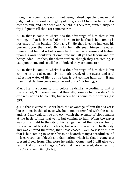though he is coming, is not fit, not being indeed capable to make that judgment of the worth and glory of the grace of Christ, as he is that is come to him, and hath seen and beheld it. Therefore, sinner, suspend thy judgment till thou art come nearer.

2. He that is come to Christ has the advantage of him that is but coming, in that he is eased of his burden; for he that is but coming is not eased of his burden (Matt 11:28). He that is come has cast his burden upon the Lord. By faith he hath seen himself released thereof; but he that is but coming hath it yet, as to sense and feeling, upon his own shoulders. "Come unto me, all ye that labour and are heavy laden," implies, that their burden, though they are coming, is yet upon them, and so will be till indeed they are come to him.

3. He that is come to Christ has the advantage of him that is but coming in this also, namely, he hath drank of the sweet and soul refreshing water of life; but he that is but coming hath not. "If any man thirst, let him come unto me and drink" (John 7:37).

Mark, He must come to him before he drinks: according to that of the prophet, "Ho! every one that thirsteth, come ye to the waters." He drinketh not as he cometh, but when he is come to the waters (Isa 55:1).

4. He that is come to Christ hath the advantage of him that as yet is but coming in this also, to wit, he is not so terrified with the noise, and, as I may call it, hue and cry, which the avenger of blood makes at the heels of him that yet is but coming to him. When the slayer was on his flight to the city of his refuge, he had the noise or fear of the avenger of blood at his heels; but when he was come to the city, and was entered thereinto, that noise ceased. Even so it is with him that is but coming to Jesus Christ, he heareth many a dreadful sound in is ear; sounds of death and damnation, which he that is come is at present freed from. Therefore he saith, "Come, and I will give you rest." And so he saith again, "We that have believed, do enter into rest," as he said, &c. (Heb 4).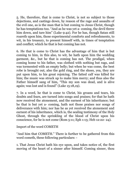5. He, therefore, that is come to Christ, is not so subject to those dejections, and castings down, by reason of the rage and assaults of the evil one, as is the man that is but coming to Jesus Christ, though he has temptations too. "And as he was yet a- coming, the devil threw him down, and tare him" (Luke 9:42). For he has, though Satan still roareth upon him, those experimental comforts and refreshments, to wit, in his treasury, to present himself with, in times of temptation and conflict; which he that is but coming has not.

6. He that is come to Christ has the advantage of him that is but coming to him, in this also, to wit, he hath upon him the wedding garment, &c., but he that is coming has not. The prodigal, when coming home to his father, was clothed with nothing but rags, and was tormented with an empty belly; but when he was come, the best robe is brought out, also the gold ring, and the shoes, yea, they are put upon him, to his great rejoicing. The fatted calf was killed for him; the music was struck up to make him merry; and thus also the Father himself sang of him, "This my son was dead, and is alive again; was lost and is found" (Luke 15:18,19).

7. In a word, he that is come to Christ, his groans and tears, his doubts and fears, are turned into songs and praises; for that he hath now received the atonement, and the earnest of his inheritance; but he that is but yet a- coming, hath not those praises nor songs of deliverance with him; nor has he as yet received the atonement and earnest of his inheritance, which is, the sealing testimony of the Holy Ghost, through the sprinkling of the blood of Christ upon his conscience, for he is not come (Rom 5:11; Eph 1:13; Heb 12:22- 24).

Import of the word COMETH

"And him that COMETH." There is further to be gathered from this word cometh, these following particulars: -

1. That Jesus Christ hath his eye upon, and takes notice of, the first moving of the heart of a sinner after himself. Coming sinner, thou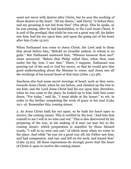canst not move with desires after Christ, but he sees the working of those desires in thy heart. "All my desire," said David, "is before thee; and my groaning is not hid from thee" (Psa 38:9). This he spake, as he was coming, after he had backslidden, to the Lord Jesus Christ. It is said of the prodigal, that while he was yet a great way off, his father saw him, had his eye upon him, and upon the going out of his heart after him (Luke 15:20).

When Nathanael was come to Jesus Christ, the Lord said to them that stood before him, "Behold an Israelite indeed, in whom is no guile." But Nathanael answered him, "Whence knowest thou me?" Jesus answered, "Before that Philip called thee, when thou wast under the fig- tree, I saw thee." There, I suppose, Nathanael was pouring out of his soul to God for mercy, or that he would give him good understanding about the Messias to come; and Jesus saw all the workings of his honest heart at that time (John 1:47,48).

Zaccheus also had some secret movings of heart, such as they were, towards Jesus Christ, when he ran before, and climbed up the tree to see him; and the Lord Jesus Christ had his eye upon him: therefore, when he was come to the place, he looked up to him, bids him come down, "For today," said he, "I must abide at thy house;" to wit, in order to the further completing the work of grace in his soul (Luke 19:1- 9). Remember this, coming sinner.

2. As Jesus Christ hath his eye upon, so he hath his heart open to receive, the coming sinner. This is verified by the text: "And him that cometh to me I will in no wise cast out." This is also discovered by his preparing of the way, in his making of it easy (as may be) to the coming sinner; which preparation is manifest by those blessed words, "I will in no wise cast out;" of which more when we come to the place. And while "he was yet a great way off, his Father saw him, and had compassion, and ran, and fell on his neck, and kissed him" (Luke 15:20). All these expressions do strongly prove that the heart of Christ is open to receive the coming sinner.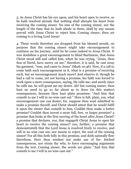3. As Jesus Christ has his eye upon, and his heart open to receive, so he hath resolved already that nothing shall alienate his heart from receiving the coming sinner. No sins of the coming sinner, nor the length of the time that he hath abode in them, shall by any means prevail with Jesus Christ to reject him. Coming sinner, thou art coming to a loving Lord Jesus!

4. These words therefore are dropped from his blessed mouth, on purpose that the coming sinner might take encouragement to continue on his journey, until he be come indeed to Jesus Christ. It was doubtless a great encouragement to blind Bartimeus, that Jesus Christ stood still and called him, when he was crying, "Jesus, thou Son of David, have mercy on me;" therefore, it is said, he cast away his garment, "rose, and came to Jesus" (Mark 10:46). Now, if a call to come hath such encouragement in it, what is a promise of receiving such, but an encouragement much more? And observe it, though he had a call to come, yet not having a promise, his faith was forced to work upon a mere consequence, saying, He calls me; and surely since he calls me, he will grant me my desire. Ah! but coming sinner, thou hast no need to go so far about as to draw (in this matter) consequences, because thou hast plain promises: "And him that cometh to me I will in no wise cast out." Here is full, plain, yea, what encouragement one can desire; for, suppose thou wast admitted to make a promise thyself, and Christ should attest that he would fulfil it upon the sinner that cometh to him, Couldst thou make a better promise? Couldst thou invent a more full, free, or larger promise? a promise that looks at the first moving of the heart after Jesus Christ? a promise that declares, yea, that engageth Christ Jesus to open his heart to receive the coming sinner? yea, further, a promise that demonstrateth that the Lord Jesus is resolved freely to receive, and will in no wise cast out, nor means to reject, the soul of the coming sinner! For all this lieth fully in this promise, and doth naturally flow therefrom. Here thou needest not make use of far- fetched consequences, nor strain thy wits, to force encouraging arguments from the text. Coming sinner, the words are plain: "And him that cometh to me I will in no wise cast out."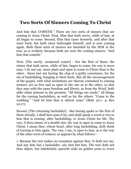# **Two Sorts Of Sinners Coming To Christ**

And him that COMETH." There are two sorts of sinners that are coming to Jesus Christ. First, Him that hath never, while of late, at all began to come. Second, Him that came formerly, and after that went back; but hath since bethought himself, and is now coming again. Both these sorts of sinners are intended by the HIM in the text, as is evident; because both are now the coming sinners. "And him that cometh."

First. [The newly- awakened comer] - For the first of these: the sinner that hath never, while of late, began to come, his way is more easy; I do not say, more plain and open to come to Christ than is the other - those last not having the clog of a guilty conscience, for the sin of backsliding, hanging at their heels. But all the encouragement of the gospel, with what invitations are therein contained to coming sinners, are as free and as open to the one as to the other; so that they may with the same freedom and liberty, as from the Word, both alike claim interest in the promise. "All things are ready;" all things for the coming backsliders, as well as for the others: "Come to the wedding." "And let him that is athirst come" (Matt 22:1- 4; Rev 22:17).

Second. [The returning backslider] - But having spoke to the first of these already, I shall here pass it by; and shall speak a word or two to him that is coming, after backsliding, to Jesus Christ for life. Thy way, O thou sinner of a double dye, thy way is open to come to Jesus Christ. I mean thee, whose heart, after long backsliding, doth think of turning to him again. Thy way, I say, is open to him, as is the way of the other sorts of comers; as appears by what follows: -

1. Because the text makes no exception against thee. It doth not say, And any him but a backslider, any him but him. The text doth not thus object, but indefinitely openeth wide its golden arms to every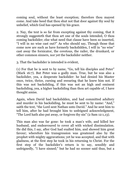coming soul, without the least exception; therefore thou mayest come. And take heed that thou shut not that door against thy soul by unbelief, which God has opened by his grace.

2. Nay, the text is so far from excepting against thy coming, that it strongly suggesteth that thou art one of the souls intended, O thou coming backslider; else what need that clause have been so inserted, "I will in no wise cast out?" As who should say, Though those that come now are such as have formerly backslidden, I will in "no wise" cast away the fornicator, the covetous, the railer, the drunkard, or other common sinners, nor yet the backslider neither.

3. That the backslider is intended is evident,

(1) For that he is sent to by name, "Go, tell his disciples and Peter" (Mark 16:7). But Peter was a godly man. True, but he was also a backslider, yea, a desperate backslider: he had denied his Master once, twice, thrice, cursing and swearing that he knew him not. If this was not backsliding, if this was not an high and eminent backsliding, yea, a higher backsliding than thou art capable of, I have thought amiss.

Again, when David had backslidden, and had committed adultery and murder in his backsliding, he must be sent to by name: "And," saith the text, "the Lord sent Nathan unto David." And he sent him to tell him, after he had brought him to unfeigned acknowledgment, "The Lord hath also put away, or forgiven thy sin" (2 Sam 12:1,13).

This man also was far gone: he took a man's wife, and killed her husband, and endeavoured to cover all with wicked dissimulation. He did this, I say, after God had exalted him, and showed him great favour; wherefore his transgression was greatened also by the prophet with mighty aggravations; yet he was accepted, and that with gladness, at the first step he took in his returning to Christ. For the first step of the backslider's return is to say, sensibly and unfeignedly, "I have sinned;" but he had no sooner said thus, but a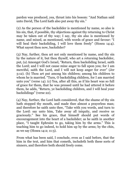pardon was produced, yea, thrust into his bosom: "And Nathan said unto David, The Lord hath also put away thy sin."

(2) As the person of the backslider is mentioned by name, so also is his sin, that, if possible, thy objections against thy returning to Christ may be taken out of thy way; I say, thy sin also is mentioned by name, and mixed, as mentioned, with words of grace and favour: "I will heal their backsliding, I will love them freely" (Hosea 14:4). What sayest thou now, backslider?

(3) Nay, further, thou art not only mentioned by name, and thy sin by the nature of it, but thou thyself, who art a returning backslider, put, (a) Amongst God's Israel, "Return, thou backsliding Israel, saith the Lord; and I will not cause mine anger to fall upon you; for I am merciful, saith the Lord, and I will not keep anger for ever" (Jer 3:12). (b) Thou art put among his children; among his children to whom he is married. "Turn, O backsliding children, for I am married unto you" (verse 14). (c) Yea, after all this, as if his heart was so full of grace for them, that he was pressed until he had uttered it before them, he adds, "Return, ye backsliding children, and I will heal your backslidings" (verse 22).

(4) Nay, further, the Lord hath considered, that the shame of thy sin hath stopped thy mouth, and made thee almost a prayerless man; and therefore he saith unto thee, "Take with you words, and turn to the Lord: say unto him, Take away all iniquity, and receive us graciously." See his grace, that himself should put words of encouragement into the heart of a backslider; as he saith in another place, "I taught Ephraim to go, taking him by the arms." This is teaching him to go indeed, to hold him up by the arms; by the chin, as we say (Hosea 14:2; 11:3).

From what has been said, I conclude, even as I said before, that the him in the text, and him that cometh, includeth both these sorts of sinners, and therefore both should freely come.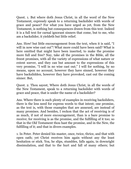Quest. 1. But where doth Jesus Christ, in all the word of the New Testament, expressly speak to a returning backslider with words of grace and peace? For what you have urged as yet, from the New Testament, is nothing but consequences drawn from this text. Indeed it is a full text for carnal ignorant sinners that come, but to me, who am a backslider, it yieldeth but little relief.

Ans. How! but little encouragement from the text, when it is said, "I will in now wise cast out"! What more could have been said? What is here omitted that might have been inserted, to make the promise more full and free? Nay, take all the promises in the Bible, all the freest promises, with all the variety of expressions of what nature or extent soever, and they can but amount to the expressions of this very promise, "I will in no wise cast out;" I will for nothing, by no means, upon no account, however they have sinned, however they have backslidden, however they have provoked, cast out the coming sinner. But,

Quest. 2. Thou sayest, Where doth Jesus Christ, in all the words of the New Testament, speak to a returning backslider with words of grace and peace, that is under the name of a backslider?

Ans. Where there is such plenty of examples in receiving backsliders, there is the less need for express words to that intent; one promise, as the text is, with those examples that are annexed, are instead of many promises. And besides, I reckon that the act of receiving is of as much, if not of more encouragement, than is a bare promise to receive; for receiving is as the promise, and the fulfilling of it too; so that in the Old Testament thou hast the promise, and in the New, the fulfilling of it; and that in divers examples.

1. In Peter. Peter denied his master, once, twice, thrice, and that with open oath; yet Christ receives him again without any the least hesitation or stick. Yea, he slips, stumbles, falls again, in downright dissimulation, and that to the hurt and fall of many others; but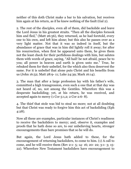neither of this doth Christ make a bar to his salvation, but receives him again at his return, as if he knew nothing of the fault (Gal 2).

2. The rest of the disciples, even all of them, did backslide and leave the Lord Jesus in his greatest straits. "Then all the disciples forsook him and fled," (Matt 26:56), they returned, as he had foretold, every one to his own, and left him alone; but this also he passes over as a very light matter. Not that it was so indeed in itself, but the abundance of grace that was in him did lightly roll it away; for after his resurrection, when first he appeared unto them, he gives them not the least check for their perfidious dealings with him, but salutes them with words of grace, saying, "All hail! be not afraid, peace be to you; all power in heaven and earth is given unto me." True, he rebuked them for their unbelief, for the which also thou deservest the same. For it is unbelief that alone puts Christ and his benefits from us (John 16:52; Matt 28:9- 11; Luke 24:39; Mark 16:14).

3. The man that after a large profession lay with his father's wife, committed a high transgression, even such a one that at that day was not heard of, no, not among the Gentiles. Wherefore this was a desperate backsliding; yet, at his return, he was received, and accepted again to mercy (1 Cor 5:1,2; 2 Cor 2:6- 8).

4. The thief that stole was bid to steal no more; not at all doubting but that Christ was ready to forgive him this act of backsliding (Eph 4:28).

Now all these are examples, particular instances of Christ's readiness to receive the backsliders to mercy; and, observe it, examples and proofs that he hath done so are, to our unbelieving hearts, stronger encouragements than bare promises that so he will do.

But again, the Lord Jesus hath added to these, for the encouragement of returning backsliders, to come to him. (1) A call to come, and he will receive them (Rev 2:1- 5; 14- 16; 20- 22; 3:1- 3; 15- 22). Wherefore New Testament backsliders have encouragement to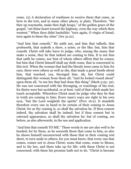come. (2) A declaration of readiness to receive them that come, as here in the text, and in many other places, is plain. Therefore, "Set thee up waymarks, make thee high heaps," of the golden grace of the gospel, "set thine heart toward the highway, even the way which thou wentest." When thou didst backslide; "turn again, O virgin of Israel, turn again to these thy cities" (Jer 31:21).

"And him that cometh." He saith not, and him that talketh, that professeth, that maketh a show, a noise, or the like; but, him that cometh. Christ will take leave to judge, who, among the many that make a noise, they be that indeed are coming to him. It is not him that saith he comes, nor him of whom others affirm that he comes; but him that Christ himself shall say doth come, that is concerned in this text. When the woman that had the bloody issue came to him for cure, there were others as well as she, that made a great bustle about him, that touched, yea, thronged him. Ah, but Christ could distinguish this woman from them all; "And he looked round about" upon them all, "to see her that had done this thing" (Mark 5:25- 32). He was not concerned with the thronging, or touchings of the rest; for theirs were but accidental, or at best, void of that which made her touch acceptable. Wherefore Christ must be judge who they be that in truth are coming to him; Every man's ways are right in his own eyes, "but the Lord weigheth the spirits" (Prov 16:2). It standeth therefore every one in hand to be certain of their coming to Jesus Christ; for as thy coming is, so shall thy salvation be. If thou comest indeed, thy salvation shall be indeed; but if thou comest but in outward appearance, so shall thy salvation be; but of coming, see before, as also afterwards, in the use and application.

"And him that cometh TO ME." These words to me are also well to be heeded; for by them, as he secureth those that come to him, so also he shows himself unconcerned with those that in their coming rest short, to turn aside to others; for you must know, that every one that comes, comes not to Jesus Christ; some that come, come to Moses, and to his law, and there take up for life; with these Christ is not concerned; with these his promise hath not to do. "Christ is become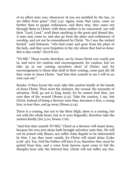of no effect unto you; whosoever of you are justified by the law, ye are fallen from grace" (Gal 5:4). Again, some that came, came no further than to gospel ordinances, and there stay; they came not through them to Christ; with these neither is he concerned; nor will their "Lord, Lord," avail them anything in the great and dismal day. A man may come to, and also go from the place and ordinances of worship, and yet not be remembered by Christ. "So I saw the wicked buried," said Solomon, "who had come and gone from the place of the holy, and they were forgotten in the city where they had so done; this is also vanity" (Eccl 8:10).

"TO ME." These words, therefore, are by Jesus Christ very warily put in, and serve for caution and encouragement; for caution, lest we take up in our coming anywhere short of Christ; and for encouragement to those that shall in their coming, come past all; till they come to Jesus Christ. "And him that cometh to me I will in no wise cast out."

Reader, if thou lovest thy soul, take this caution kindly at the hands of Jesus Christ. Thou seest thy sickness, thy wound, thy necessity of salvation. Well, go not to king Jareb, for he cannot heal thee, nor cure thee of thy wound (Hosea 5:13). Take the caution, I say, lest Christ, instead of being a Saviour unto thee, becomes a lion, a young lion, to tear thee, and go away (Hosea 5:14).

There is a coming, but not to the Most High; there is a coming, but not with the whole heart, but as it were feignedly; therefore take the caution kindly (Jer 3:10; Hosea 7:16).

"And him that cometh TO ME;" Christ as a Saviour will stand alone, because his own arm alone hath brought salvation unto him. He will not be joined with Moses, nor suffer John Baptist to be tabernacled by him. I say they must vanish, for Christ will stand alone (Luke 9:28- 36). Yea, God the Father will have it so; therefore they must be parted from him, and a voice from heaven must come to bid the disciples hear only the beloved Son. Christ will not suffer any law,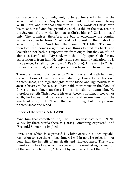ordinance, statute, or judgment, to be partners with him in the salvation of the sinner. Nay, he saith not, and him that cometh to my WORD; but, and him that cometh to ME. The words of Christ, even his most blessed and free promises, such as this in the text, are not the Saviour of the world; for that is Christ himself, Christ himself only. The promises, therefore, are but to encourage the coming sinner to come to Jesus Christ, and not to rest in them, short of salvation by him. "And him that cometh TO ME." The man, therefore, that comes aright, casts all things behind his back, and looketh at, nor hath his expectations from ought, but the Son of God alone; as David said, "My soul, wait thou only upon God; for my expectation is from him. He only is my rock, and my salvation; he is my defence; I shall not be moved" (Psa 62:5,6). His eye is to Christ, his heart is to Christ, and his expectation is from him, from him only.

Therefore the man that comes to Christ, is one that hath had deep considerations of his own sins, slighting thoughts of his own righteousness, and high thoughts of the blood and righteousness of Jesus Christ; yea, he sees, as I have said, more virtue in the blood of Christ to save him, than there is in all his sins to damn him. He therefore setteth Christ before his eyes; there is nothing in heaven or earth, he knows, that can save his soul and secure him from the wrath of God, but Christ; that is, nothing but his personal righteousness and blood.

Import of the words IN NO WISE

"And him that cometh to me, I will in no wise cast out." IN NO WISE: by these words there is [First,] Something expressed; and [Second,] Something implied.

First, That which is expressed is Christ Jesus, his unchangeable resolution to save the coming sinner; I will in no wise reject him, or deny him the benefit of my death and righteousness. This word, therefore, is like that which he speaks of the everlasting damnation of the sinner in hell- fire; "He shall by no means depart thence;" that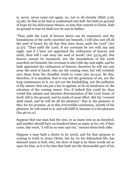is, never, never come out again, no, not to all eternity (Matt 5:26; 25:46). So that as he that is condemned into hell- fire hath no ground of hope for his deliverance thence; so him that cometh to Christ, hath no ground to fear he shall ever be cast in thither.

"Thus saith the Lord, If heaven above can be measured, and the foundations of the earth searched out beneath, I will also cast off all the seed of Israel, for all that they have done, saith the Lord" (Jer 31:37). "Thus saith the Lord, If my covenant be not with day and night, and if I have not appointed the ordinances of heaven and earth, then will I cast away the seed of Jacob" (Jer 33:25,26). But heaven cannot be measured, nor the foundations of the earth searched out beneath; his covenant is also with day and night, and he hath appointed the ordinances of heaven; therefore he will not cast away the seed of Jacob, who are the coming ones, but will certainly save them from the dreadful wrath to come (Jer 50:4,5). By this, therefore, it is manifest, that it was not the greatness of sin, nor the long continuance in it, no, nor yet the backsliding, nor the pollution of thy nature, that can put a bar in against, or be an hindrance of, the salvation of the coming sinner. For, if indeed this could be, then would this solemn and absolute determination of the Lord Jesus, of itself, fall to the ground, and be made of none effect. But his "counsel shall stand, and he will do all his pleasure;" that is, his pleasure in this; for his promise, as to this irreversible conclusion, ariseth of his pleasure; he will stand to it, and will fulfil it, because it is his pleasure (Isa 46:10,11).

Suppose that one man had the sins, or as many sins as an hundred, and another should have an hundred times as many as he; yet, if they come, this word, "I will in no wise cast out," secures them both alike.

Suppose a man hath a desire to be saved, and for that purpose is coming in truth to Jesus Christ; but he, by his debauched life, has damned many in hell; why, the door of hope is by these words set as open for him, as it is for him that hath not the thousandth part of his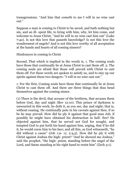transgressions. "And him that cometh to me I will in no wise cast out."

Suppose a man is coming to Christ to be saved, and hath nothing but sin, and an ill- spent life, to bring with him; why, let him come, and welcome to Jesus Christ, "And he will in no wise cast him out" (Luke 7:42). Is not this love that passeth knowledge? Is not this love the wonderment of angels? And is not this love worthy of all acceptation at the hands and hearts of all coming sinners?

Hindrances in coming to Christ

Second, That which is implied in the words is, 1. The coming souls have those that continually lie at Jesus Christ to cast them off. 2. The coming souls are afraid that those will prevail with Christ to cast them off. For these words are spoken to satisfy us, and to stay up our spirits against these two dangers: "I will in no wise cast out."

1. For the first, Coming souls have those that continually lie at Jesus Christ to cast them off. And there are three things that thus bend themselves against the coming sinner.

(1) There is the devil, that accuser of the brethren, that accuses them before God, day and night (Rev 12:10). This prince of darkness is unwearied in this work; he doth it, as you see, day and night; that is, without ceasing. He continually puts in his caveats against thee, if so be he may prevail. How did he ply it against that good man Job, if possibly he might have obtained his destruction in hell- fire? He objected against him, that he served not God for nought, and tempted God to put forth his hand against him, urging, that if he did it, he would curse him to his face; and all this, as God witnesseth, "he did without a cause" (Job 1:9- 11; 2:4,5). How did he ply it with Christ against Joshua the high- priest? "And he showed me Joshua," said the prophet, "the high- priest, standing before the angel of the Lord, and Satan standing at his right hand to resist him" (Zech 3:1).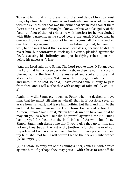To resist him; that is, to prevail with the Lord Jesus Christ to resist him; objecting the uncleanness and unlawful marriage of his sons with the Gentiles; for that was the crime that Satan laid against them (Ezra 10:18). Yea, and for aught I know, Joshua was also guilty of the fact; but if not of that, of crimes no whit inferior; for he was clothed with filthy garments, as he stood before the angel. Neither had he one word to say in vindication of himself, against all that this wicked one had to say against him. But notwithstanding that, he came off well; but he might for it thank a good Lord Jesus, because he did not resist him, but contrariwise, took up his cause, pleaded against the devil, excusing his infirmity, and put justifying robes upon him before his adversary's face.

"And the Lord said unto Satan, The Lord rebuke thee, O Satan, even the Lord that hath chosen Jerusalem, rebuke thee. Is not this a brand plucked out of the fire? And he answered and spoke to those that stood before him, saying, Take away the filthy garments from him; and unto him he said, Behold, I have caused thine iniquity to pass from thee, and I will clothe thee with change of raiment" (Zech 3:2- 4).

Again, how did Satan ply it against Peter, when he desired to have him, that he might sift him as wheat? that is, if possible, sever all grace from his heart, and leave him nothing but flesh and filth, to the end that he might make the Lord Jesus loathe and abhor him. "Simon, Simon," said Christ, "Satan hath desired to have you, that he may sift you as wheat." But did he prevail against him? No: "But I have prayed for thee, that thy faith fail not." As who should say, Simon, Satan hath desired me that I would give thee up to him, and not only thee, but all the rest of thy brethren - for that the word you imports - but I will not leave thee in his hand: I have prayed for thee, thy faith shall not fail; I will secure thee to the heavenly inheritance (Luke 22:30- 32).

(2) As Satan, so every sin of the coming sinner, comes in with a voice against him, if perhaps they may prevail with Christ to cast off the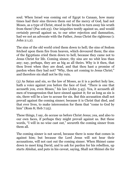soul. When Israel was coming out of Egypt to Canaan, how many times had their sins thrown them out of the mercy of God, had not Moses, as a type of Christ, stood in the breach to turn away his wrath from them! (Psa 106:23). Our iniquities testify against us, and would certainly prevail against us, to our utter rejection and damnation, had we not an advocate with the Father, Jesus Christ the righteous (1 John 2:1,2).

The sins of the old world cried them down to hell; the sins of Sodom fetched upon them fire from heaven, which devoured them; the sins of the Egyptians cried them down to hell, because they came not to Jesus Christ for life. Coming sinner, thy sins are no whit less than any; nay, perhaps, they are as big as all theirs. Why is it then, that thou livest when they are dead, and that thou hast a promise of pardon when they had not? "Why, thou art coming to Jesus Christ;" and therefore sin shall not be thy ruin.

(3) As Satan and sin, so the law of Moses, as it is a perfect holy law, hath a voice against you before the face of God. "There is one that accuseth you, even Moses," his law (John 5:45). Yea, it accuseth all men of transgression that have sinned against it; for as long as sin is sin, there will be a law to accuse for sin. But this accusation shall not prevail against the coming sinner; because it is Christ that died, and that ever lives, to make intercession for them that "come to God by him" (Rom 8; Heb 7:25).

These things, I say, do accuse us before Christ Jesus; yea, and also to our own faces, if perhaps they might prevail against us. But these words, "I will in no wise cast out," secureth the coming sinner from them all.

The coming sinner is not saved, because there is none that comes in against him; but because the Lord Jesus will not hear their accusations, will not cast out the coming sinner. When Shimei came down to meet king David, and to ask for pardon for his rebellion, up starts Abishai, and puts in his caveat, saying, Shall not Shimei die for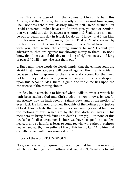this? This is the case of him that comes to Christ. He hath this Abishai, and that Abishai, that presently steps in against him, saying, Shall not this rebel's sins destroy him in hell? Read further. But David answered, "What have I to do with you, ye sons of Zeruiah, that ye should this day be adversaries unto me? Shall there any man be put to death this day in Israel, for do not I know, that I am king this day over Israel?" (2 Sam 19:16- 22). That is Christ's answer by the text, to all that accuse the coming Shimeis. What have I to do with you, that accuse the coming sinners to me? I count you adversaries, that are against my showing mercy to them. Do not I know that I am exalted this day to be king of righteousness, and king of peace? "I will in no wise cast them out."

2. But again, these words do closely imply, that the coming souls are afraid that these accusers will prevail against them, as is evident, because the text is spoken for their relief and succour. For that need not be, if they that are coming were not subject to fear and despond upon this account. Alas, there is guilt, and the curse lies upon the conscience of the coming sinner!

Besides, he is conscious to himself what a villain, what a wretch he hath been against God and Christ. Also he now knows, by woeful experience, how he hath been at Satan's beck, and at the motion of every lust. He hath now also new thoughts of the holiness and justice of God. Also he feels, that he cannot forbear sinning against him. For the motions of sins, which are by the law, doth still work in his members, to bring forth fruit unto death (Rom 7:5). But none of this needs be [a discouragement] since we have so good, so tenderhearted, and so faithful a Jesus to come to, who will rather overthrow heaven and earth, than suffer a tittle of this text to fail. "And him that cometh to me I will in no wise cast out."

Import of the words TO CAST OUT

Now, we have yet to inquire into two things that lie in the words, to which there hath yet been nothing said. As, FIRST, What it is to cast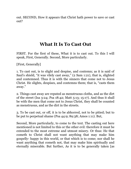out. SECOND, How it appears that Christ hath power to save or cast out?

# **What It Is To Cast Out**

FIRST. For the first of these, What it is to cast out. To this I will speak, First, Generally. Second, More particularly.

[First, Generally]

1. To cast out, is to slight and despise, and contemn; as it is said of Saul's shield, "it was vilely cast away," (2 Sam 1:21), that is, slighted and contemned. Thus it is with the sinners that come not to Jesus Christ. He slights, despises, and contemns them; that is, "casts them away."

2. Things cast away are reputed as menstruous cloths, and as the dirt of the street (Isa 3:24; Psa 18:42; Matt 5:13; 15:17). And thus it shall be with the men that come not to Jesus Christ, they shall be counted as menstruous, and as the dirt in the streets.

3. To be cast out, or off, it is to be abhorred, not to be pitied; but to be put to perpetual shame (Psa 44:9; 89:38; Amos 1:11). But,

Second, More particularly, to come to the text. The casting out here mentioned is not limited to this or the other evil: therefore it must be extended to the most extreme and utmost misery. Or thus: He that cometh to Christ shall not want anything that may make him gospelly- happy in this world, or that which is to come; nor shall he want anything that cometh not, that may make him spiritually and eternally miserable. But further, As it is to be generally taken [as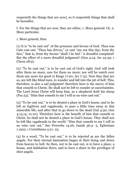respecteth the things that are now], so it respecteth things that shall be hereafter.

I. For the things that are now, they are either, 1. More general: Or, 2. More particular.

1. More general, thus:

(1) It is "to be cast out" of the presence and favour of God. Thus was Cain cast out: "Thou has driven," or cast "me out this day; from thy face," that is, from thy favour "shall I be hid." A dreadful complaint! But the effect of a more dreadful judgment! (Gen 4:14; Jer 23:39; 1 Chron 28:9).

(2) "To be cast out," is to be cast out of God's sight. God will look after them no more, care for them no more; nor will he watch over them any more for good (2 Kings 17:20; Jer 7:15). Now they that are so, are left like blind men, to wander and fall into the pit of hell. This, therefore, is also a sad judgment! therefore here is the mercy of him that cometh to Christ. He shall not be left to wander at uncertainties. The Lord Jesus Christ will keep him, as a shepherd doth his sheep (Psa 23). "Him that cometh to me I will in no wise cast out."

(3) "To be cast out," is to be denied a place in God's house, and to be left as fugitives and vagabonds, to pass a little time away in this miserable life, and after that to go down to the dead (Gal 4:30; Gen 4:13,14; 21:10). Therefore here is the benefit of him that cometh to Christ, he shall not be denied a place in God's house. They shall not be left like vagabonds in the world. "Him that cometh to me I will in no wise cast out." See Proverbs 14:26, Isaiah 56:3- 5, Ephesians 1:1922, 1 Corinthians 3:21- 23.

(4) In a word, "To be cast out," is to be rejected as are the fallen angels. For their eternal damnation began at their being cast down from heaven to hell. So then, not to be cast out, is to have a place, a house, and habitation there; and to have a share in the privileges of elect angels.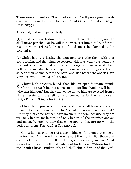These words, therefore, "I will not cast out," will prove great words one day to them that come to Jesus Christ (2 Peter 2:4; John 20:31; Luke 20:35).

2. Second, and more particularly,

(1) Christ hath everlasting life for him that cometh to him, and he shall never perish; "For he will in no wise cast him out;" but for the rest, they are rejected, "cast out," and must be damned (John 10:27,28).

(2) Christ hath everlasting righteousness to clothe them with that come to him, and they shall be covered with it as with a garment, but the rest shall be found in the filthy rags of their own stinking pollutions, and shall be wrapt up in them, as in a winding- sheet, and so bear their shame before the Lord, and also before the angels (Dan 9:27; Isa 57:20; Rev 3:4- 18, 15, 16).

(3) Christ hath precious blood, that, like an open fountain, stands free for him to wash in, that comes to him for life; "And he will in no wise cast him out;" but they that come not to him are rejected from a share therein, and are left to ireful vengeance for their sins (Zech 13:1; 1 Peter 1:18,19; John 13:8; 3:16).

(4) Christ hath precious promises, and they shall have a share in them that come to him for life; for "he will in no wise cast them out." But they that come not can have no share in them, because they are true only in him; for in him, and only in him, all the promises are yea and amen. Wherefore they that come not to him, are no whit the better for them (Psa 50:16; 2 Cor 1:20,21).

(5) Christ hath also fullness of grace in himself for them that come to him for life: "And he will in no wise cast them out." But those that come not unto him are left in their graceless state; and as Christ leaves them, death, hell, and judgment finds them. "Whoso findeth me," saith Christ, "findeth life, and shall obtain favour of the Lord.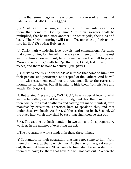But he that sinneth against me wrongeth his own soul: all they that hate me love death" (Prov 8:35,36).

(6) Christ is an Intercessor, and ever liveth to make intercession for them that come to God by him: "But their sorrows shall be multiplied, that hasten after another," or other gods, their sins and lusts. "Their drink- offerings will I not offer, nor take up their names into his lips" (Psa 16:4; Heb 7:25).

(7) Christ hath wonderful love, bowels, and compassions, for those that come to him; for "he will in no wise cast them out." But the rest will find him a lion rampant; he will one day tear them all to pieces. "Now consider this," saith he, "ye that forget God, lest I tear you in pieces, and there be none to deliver" (Psa 50:22).

(8) Christ is one by and for whose sake those that come to him have their persons and performances accepted of the Father: "And he will in no wise cast them out;" but the rest must fly to the rocks and mountains for shelter, but all in vain, to hide them from his face and wrath (Rev 6:15- 17).

II. But again, These words, CAST OUT, have a special look to what will be hereafter, even at the day of judgment. For then, and not till then, will be the great anathema and casting out made manifest, even manifest by execution. Therefore here to speak to this, and that under these two heads. As, First, Of the casting out itself. Second, Of the place into which they shall be cast, that shall then be cast out.

First, The casting out itself standeth in two things. 1. In a preparatory work. 2. In the manner of executing the act.

1. The preparatory work standeth in these three things.

(1) It standeth in their separation that have not come to him, from them that have, at that day. Or thus: At the day of the great casting out, those that have not NOW come to him, shall be separated from them that have; for them that have "he will not cast out." "When the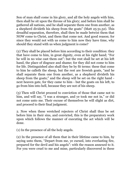Son of man shall come in his glory, and all the holy angels with him, then shall he sit upon the throne of his glory; and before him shall be gathered all nations, and he shall separate them one from another, as a shepherd divideth his sheep from the goats" (Matt 25:31,32). This dreadful separation, therefore, shall then be made betwixt them that NOW come to Christ, and them that come not. And good reason; for since they would not with us come to him now they have time, why should they stand with us when judgment is come?

(2) They shall be placed before him according to their condition: they that have come to him, in great dignity, even at his right hand; "For he will in no wise cast them out": but the rest shall be set at his left hand, the place of disgrace and shame; for they did not come to him for life. Distinguished also shall they be by fit terms: these that come to him he calleth the sheep, but the rest are frowish goats, "and he shall separate them one from another, as a shepherd divideth his sheep from the goats;" and the sheep will be set on the right hand next heaven gate, for they came to him - but the goats on his left, to go from him into hell, because they are not of his sheep.

(3) Then will Christ proceed to conviction of those that came not to him, and will say, "I was a stranger, and ye took me not in," or did not come unto me. Their excuse of themselves he will slight as dirt, and proceed to their final judgment.

2. Now when these wretched rejecters of Christ shall thus be set before him in their sins, and convicted, this is the preparatory work upon which follows the manner of executing the act which will be done.

(1) In the presence of all the holy angels.

(2) In the presence of all them that in their lifetime came to him, by saying unto them, "Depart from me, ye cursed, into everlasting fire, prepared for the devil and his angels": with the reason annexed to it. For you were cruel to me and mine, particularly discovered in these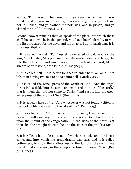words, "For I was an hungered, and ye gave me no meat; I was thirsty, and ye gave me no drink; I was a stranger, and ye took me not in; naked, and ye clothed me not: sick, and in prison, and ye visited me not" (Matt 25:41- 43).

Second, Now it remains that we speak of the place into which these shall be cast, which, in the general, you have heard already, to wit, the first prepared for the devil and his angels. But, in particular, it is thus described: -

1. It is called Tophet: "For Tophet is ordained of old, yea, for the king," the Lucifer, "it is prepared; he hath made it deep and large; the pile thereof is fire and much wood; the breath of the Lord, like a stream of brimstone, doth kindle it" (Isa 30:32).

2. It is called hell. "It is better for thee to enter halt" or lame "into life, than having two feet to be cast into hell" (Mark 9:45).

3. It is called the wine- press of the wrath of God. "And the angel thrust in his sickle into the earth, and gathered the vine of the earth," that is, them that did not come to Christ, "and cast it into the great wine- press of the wrath of God" (Rev 14:19).

4. It is called a lake of fire. "And whosoever was not found written in the book of life was cast into the lake of fire" (Rev 20:15).

5. It is called a pit. "Thou hast said in thy heart, I will ascend into heaven, I will exalt my throne above the stars of God: I will sit also upon the mount of the congregation, in the sides of the north. Yet thou shalt be brought down to hell, to the sides of the pit" (Isa 14:13- 15).

6. It is called a bottomless pit, out of which the smoke and the locust came, and into which the great dragon was cast; and it is called bottomless, to show the endlessness of the fall that they will have into it, that come not, in the acceptable time, to Jesus Christ (Rev  $9:1,2; 20:3$ )...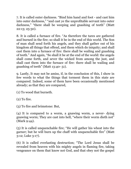7. It is called outer darkness. "Bind him hand and foot - and cast him into outer darkness," "and cast ye the unprofitable servant into outer darkness," "there shall be weeping and gnashing of teeth" (Matt 22:13; 25:30).

8. It is called a furnace of fire. "As therefore the tares are gathered and burned in the fire; so shall it be in the end of this world. The Son of man shall send forth his angels, and they shall gather out of his kingdom all things that offend, and them which do iniquity; and shall cast them into a furnace of fire: there shall be wailing and gnashing of teeth." And again, "So shall it be at the end of the world: the angels shall come forth, and sever the wicked from among the just, and shall cast them into the furnace of fire: there shall be wailing and gnashing of teeth" (Matt 13:40- 51).

9. Lastly, It may not be amiss, if, in the conclusion of this, I show in few words to what the things that torment them in this state are compared. Indeed, some of them have been occasionally mentioned already; as that they are compared,

(1) To wood that burneth.

(2) To fire.

(3) To fire and brimstone: But,

(4) It is compared to a worm, a gnawing worm, a never- dying gnawing worm; They are cast into hell, "where their worm dieth not" (Mark 9:44).

(5) It is called unquenchable fire; "He will gather his wheat into the garner; but he will burn up the chaff with unquenchable fire" (Matt 3:12; Luke 3:17).

(6) It is called everlasting destruction; "The Lord Jesus shall be revealed from heaven with his mighty angels in flaming fire, taking vengeance on them that know not God, and that obey not the gospel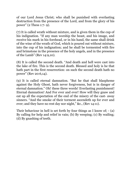of our Lord Jesus Christ; who shall be punished with everlasting destruction from the presence of the Lord, and from the glory of his power" (2 Thess 1:7- 9).

(7) It is called wrath without mixture, and is given them in the cup of his indignation. "If any man worship the beast, and his image, and receive his mark in his forehead, or in his hand, the same shall drink of the wine of the wrath of God, which is poured out without mixture, into the cup of his indignation; and he shall be tormented with fire and brimstone in the presence of the holy angels, and in the presence of the Lamb" (Rev 14:9,10).

(8) It is called the second death. "And death and hell were cast into the lake of fire. This is the second death. Blessed and holy is he that hath part in the first resurrection: on such the second death hath no power" (Rev 20:6,14).

(9) It is called eternal damnation. "But he that shall blaspheme against the Holy Ghost, hath never forgiveness, but is in danger of eternal damnation." Oh! these three words! Everlasting punishment! Eternal damnation! And For ever and ever! How will they gnaw and eat up all the expectation of the end of the misery of the cast- away sinners. "And the smoke of their torment ascendeth up for ever and ever; and they have no rest day nor night," &c., (Rev 14:11).

Their behaviour in hell is set forth by four things as I know of; - (a) By calling for help and relief in vain; (b) By weeping; (c) By wailing; (d) By gnashing of teeth.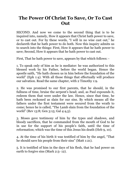## **The Power Of Christ To Save, Or To Cast Out**

SECOND. And now we come to the second thing that is to be inquired into, namely, How it appears that Christ hath power to save, or to cast out. For by these words, "I will in no wise cast out," he declareth that he hath power to do both. Now this inquiry admits us to search into the things: First, How it appears that he hath power to save; Second, How it appears that he hath power to cast out.

First, That he hath power to save, appears by that which follows: -

1. To speak only of him as he is mediator: he was authorized to this blessed work by his Father, before the world began. Hence the apostle saith, "He hath chosen us in him before the foundation of the world" (Eph 1:4). With all those things that effectually will produce our salvation. Read the same chapter, with 2 Timothy 1:9.

2. He was promised to our first parents, that he should, in the fullness of time, bruise the serpent's head; and, as Paul expounds it, redeem them that were under the law. Hence, since that time, he hath been reckoned as slain for our sins. By which means all the fathers under the first testament were secured from the wrath to come; hence he is called, "The Lamb slain from the foundation of the world" (Rev 13:8; Gen 3:15; Gal 4:4,5).

3. Moses gave testimony of him by the types and shadows, and bloody sacrifices, that he commanded from the mouth of God to be in use for the support of his people's faith, until the time of reformation; which was the time of this Jesus his death (Heb 9, 10).

4. At the time of his birth it was testified of him by the angel, "That he should save his people from their sins" (Matt 1:21).

5. It is testified of him in the days of his flesh, that he had power on earth to forgive sins (Mark 2:5- 12).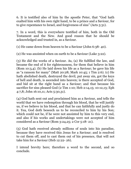6. It is testified also of him by the apostle Peter, that "God hath exalted him with his own right hand, to be a prince and a Saviour, for to give repentance to Israel, and forgiveness of sins" (Acts 5:31).

7. In a word, this is everywhere testified of him, both in the Old Testament and the New. And good reason that he should be acknowledged and trusted in, as a Saviour.

(1) He came down from heaven to be a Saviour (John 6:38- 40).

(2) He was anointed when on earth to be a Saviour (Luke 3:22).

(3) He did the works of a Saviour. As, (a) He fulfilled the law, and became the end of it for righteousness, for them that believe in him (Rom 10:3,4). (b) He laid down his life as a Saviour; he gave his life as "a ransom for many" (Matt 20:28; Mark 10:45; 1 Tim 2:6). (c) He hath abolished death, destroyed the devil, put away sin, got the keys of hell and death, is ascended into heaven; is there accepted of God, and bid sit at the right hand as a Saviour; and that because his sacrifice for sins pleased God (2 Tim 1:10; Heb 2:14,15; 10:12,13; Eph 4:7,8; John 16:10,11; Acts 5:30,31).

(4) God hath sent out and proclaimed him as a Saviour, and tells the world that we have redemption through his blood, that he will justify us, if we believe in his blood, and that he can faithfully and justly do it. Yea, God doth beseech us to be reconciled to him by his Son; which could not be, if he were not anointed by him to this very end, and also if his works and undertakings were not accepted of him considered as a Saviour (Rom 3:24,25; 2 Cor 5:18- 21).

(5) God hath received already millions of souls into his paradise, because they have received this Jesus for a Saviour; and is resolved to cut them off, and to cast them out of his presence, that will not take him for a Saviour (Heb 12:22- 26).

I intend brevity here; therefore a word to the second, and so conclude.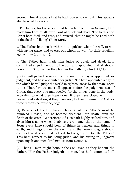Second, How it appears that he hath power to cast out. This appears also by what follows: -

1. The Father, for the service that he hath done him as Saviour, hath made him Lord of all, even Lord of quick and dead. "For to this end Christ both died, and rose, and revived, that he might be Lord both of the dead and living" (Rom 14:9).

2. The Father hath left it with him to quicken whom he will, to wit, with saving grace, and to cast out whom he will, for their rebellion against him (John 5:21).

3. The Father hath made him judge of quick and dead, hath committed all judgment unto the Son, and appointed that all should honour the Son, even as they honour the Father (John 5:22,23).

4. God will judge the world by this man: the day is appointed for judgment, and he is appointed for judge. "He hath appointed a day in the which he will judge the world in righteousness by that man" (Acts 17:31). Therefore we must all appear before the judgment seat of Christ, that every one may receive for the things done in the body, according to what they have done. If they have closed with him, heaven and salvation; if they have not, hell and damnation!And for these reasons he must be judge: -

(1) Because of his humiliation, because of his Father's word he humbled himself, and he became obedient unto death, even the death of the cross. "Wherefore God also hath highly exalted him, and given him a name which is above every name: that at the name of Jesus every knee should bow, of things in heaven, and things in earth, and things under the earth; and that every tongue should confess that Jesus Christ is Lord, to the glory of God the Father." This hath respect to his being judge, and his sitting in judgment upon angels and men (Phil 2:7- 11; Rom 14:10,11).

(2) That all men might honour the Son, even as they honour the Father. "For the Father judgeth no man, but hath committed all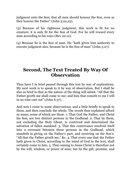judgment unto the Son; that all men should honour the Son, even as they honour the Father" (John 5:22,23).

(3) Because of his righteous judgment, this work is fit for no creature; it is only fit for the Son of God. For he will reward every man according to his ways (Rev 22:12).

(4) Because he is the Son of man. He "hath given him authority to execute judgment also, because he is the Son of man" (John 5:27).

## **Second, The Text Treated By Way Of Observation**

Thus have I in brief passed through this text by way of explications. My next work is to speak to it by way of observation. But I shall be also as brief in that as the nature of the thing will admit. "All that the Father giveth me shall come to me; and him that cometh to me I will in no wise cast out" (John 6:37).

And now I come to some observations, and a little briefly to speak to them, and then conclude the whole. The words thus explained afford us many, some of which are these. 1. That God the Father, and Christ his Son, are two distinct persons in the Godhead. 2. That by them, not excluding the Holy Ghost, is contrived and determined the salvation of fallen mankind. 3. That this contrivance resolved itself into a covenant between these persons in the Godhead, which standeth in giving on the Father's part, and receiving on the Son's. "All that the Father giveth me," &c. 4. That every one that the Father hath given to Christ, according to the mind of God in the text, shall certainly come to him. 5. That coming to Jesus Christ is therefore not by the will, wisdom, or power of man; but by the gift, promise, and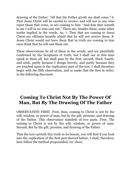drawing of the Father. "All that the Father giveth me shall come." 6. That Jesus Christ will be careful to receive, and will not in any wise reject those that come, or are coming to him. "And him that cometh to me I will in no wise cast out." There are, besides these, some other truths implied in the words. As, 7. They that are coming to Jesus Christ are ofttimes heartily afraid that he will not receive them. 8. Jesus Christ would not have them that in truth are coming to him once think that he will cast them out.

These observations lie all of them in the words, and are plentifully confirmed by the Scriptures of truth; but I shall not at this time speak to them all, but shall pass by the first, second, third, fourth, and sixth, partly because I design brevity, and partly because they are touched upon in the explicatory part of the text. I shall therefore begin with the fifth observation, and so make that the first in order, in the following discourse.

# **Coming To Christ Not By The Power Of Man, But By The Drawing Of The Father**

OBSERVATION FIRST. First, then, coming to Christ is not by the will, wisdom, or power of man, but by the gift, promise, and drawing of the Father. This observation standeth of two parts. First, The coming to Christ is not by the will, wisdom, or power of man; Second, But by the gift, promise, and drawing of the Father.

That the text carrieth this truth in its bosom, you will find if you look into the explication of the first part thereof before. I shall, therefore, here follow the method propounded, viz: show,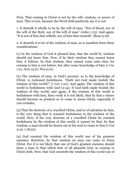First, That coming to Christ is not by the will, wisdom, or power of man. This is true, because the Word doth positively say it is not.

1. It denieth it wholly to be by the will of man. "Not of blood, nor of the will of the flesh, nor of the will of man" (John 1:13). And again, "It is not of him that willeth, nor of him that runneth" (Rom 9:16).

2. It denieth it to be of the wisdom of man, as is manifest from these considerations:

(1) In the wisdom of God it pleased him, that the world by wisdom should not know him. Now, if by their wisdom they cannot know him, it follows, by that wisdom, they cannot come unto him; for coming to him is not before, but after some knowledge of him (1 Cor 1:21; Acts 13:27; Psa 9:10).

(2) The wisdom of man, in God's account, as to the knowledge of Christ, is reckoned foolishness. "Hath not God made foolish the wisdom of this world?" (1 Cor 1:20). And again, The wisdom of this world is foolishness with God (2:14). If God hath made foolish the wisdom of this world; and again, if the wisdom of this world is foolishness with him, then verily it is not likely, that by that a sinner should become so prudent as to come to Jesus Christ, especially if you consider,

(3) That the doctrine of a crucified Christ, and so of salvation by him, is the very thing that is counted foolishness to the wisdom of the world. Now, if the very doctrine of a crucified Christ be counted foolishness by the wisdom of this world, it cannot be that, by that wisdom, a man should be drawn out in his soul to come to him (1 Cor 3:19; 1:18,23).

(4) God counted the wisdom of this world one of his greatest enemies; therefore, by that wisdom no man can come to Jesus Christ. For it is not likely that one of God's greatest enemies should draw a man to that which best of all pleaseth God, as coming to Christ doth. Now, that God counteth the wisdom of this world one of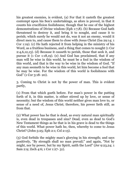his greatest enemies, is evident, (a) For that it casteth the greatest contempt upon his Son's undertakings, as afore is proved, in that it counts his crucifixion foolishness; though that be one of the highest demonstrations of Divine wisdom (Eph 1:7,8). (b) Because God hath threatened to destroy it, and bring it to nought, and cause it to perish; which surely he would not do, was it not an enemy, would it direct men to, and cause them to close with Jesus Christ (Isa 29:14; 1 Cor 1:19). (c) He hath rejected it from helping in the ministry of his Word, as a fruitless business, and a thing that comes to nought (1 Cor 2:4,6,12,13). (d) Because it causeth to perish, those that seek it, and pursue it (1 Cor 1:18,19). (e) And God has proclaimed, that if any man will be wise in this world, he must be a fool in the wisdom of this world, and that is the way to be wise in the wisdom of God. "If any man seemeth to be wise in this world, let him become a fool that he may be wise. For the wisdom of this world is foolishness with God" (1 Cor 3:18- 20).

3. Coming to Christ is not by the power of man. This is evident partly,

(1) From that which goeth before. For man's power in the putting forth of it, in this matter, is either stirred up by love, or sense of necessity; but the wisdom of this world neither gives man love to, or sense of a need of, Jesus Christ; therefore, his power lieth still, as from that.

(2) What power has he that is dead, as every natural man spiritually is, even dead in trespasses and sins? Dead, even as dead to God's New Testament things as he that is in his grave is dead to the things of this world. What power hath he, then, whereby to come to Jesus Christ? (John 5:25; Eph 2:1; Col 2:13).

(3) God forbids the mighty man's glorying in his strength; and says positively, "By strength shall no man prevail;" and again, "Not by might, nor by power, but by my Spirit, saith the Lord" (Jer 9:23,24; 1 Sam 2:9; Zech 4:6; 1 Cor 1:27- 31).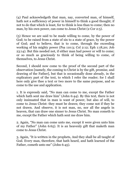(4) Paul acknowledgeth that man, nay, converted man, of himself, hath not a sufficiency of power in himself to think a good thought; if not to do that which is least, for to think is less than to come; then no man, by his own power, can come to Jesus Christ (2 Cor 2:5).

(5) Hence we are said to be made willing to come, by the power of God; to be raised from a state of sin to a state of grace, by the power of God; and to believe, that is to come, through the exceeding working of his mighty power (Psa 110:3; Col 2:12; Eph 1:18,20; Job 23:14). But this needed not, if either man had power or will to come; or so much as graciously to think of being willing to come, of themselves, to Jesus Christ.

Second, I should now come to the proof of the second part of the observation [namely, the coming to Christ is by the gift, promise, and drawing of the Father], but that is occasionally done already, in the explicatory part of the text, to which I refer the reader; for I shall here only give thee a text or two more to the same purpose, and so come to the use and application.

1. It is expressly said, "No man can come to me, except the Father which hath sent me draw him" (John 6:44). By this text, there is not only insinuated that in man is want of power, but also of will, to come to Jesus Christ: they must be drawn; they come not if they be not drawn. And observe, it is not man, no, nor all the angels in heaven, that can draw one sinner to Jesus Christ. No man cometh to me, except the Father which hath sent me draw him.

2. Again, "No man can come unto me, except it were given unto him of my Father" (John 6:65). It is an heavenly gift that maketh man come to Jesus Christ.

3. Again, "It is written in the prophets, And they shall be all taught of God. Every man, therefore, that hath heard, and hath learned of the Father, cometh unto me" (John 6:45).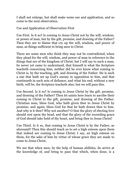I shall not enlarge, but shall make some use and application, and so come to the next observation.

Use and Application of Observation First

Use First. Is it so? Is coming to Jesus Christ not by the will, wisdom, or power of man, but by the gift, promise, and drawing of the Father? Then they are to blame that cry up the will, wisdom, and power of man, as things sufficient to bring men to Christ.

There are some men who think they may not be contradicted, when they plead for the will, wisdom, and power of man in reference to the things that are of the kingdom of Christ; but I will say to such a man, he never yet came to understand, that himself is what the Scripture teacheth concerning him; neither did he ever know what coming to Christ is, by the teaching, gift, and drawing of the Father. He is such a one that hath set up God's enemy in opposition to him, and that continueth in such acts of defiance; and what his end, without a new birth, will be, the Scripture teacheth also; but we will pass this.

Use Second. Is it so? Is coming to Jesus Christ by the gift, promise, and drawing of the Father? Then let saints here learn to ascribe their coming to Christ to the gift, promise, and drawing of the Father. Christian man, bless God, who hath given thee to Jesus Christ by promise; and again, bless God for that he hath drawn thee to him. And why is it thee? Why not another? O that the glory of electing love should rest upon thy head, and that the glory of the exceeding grace of God should take hold of thy heart, and bring thee to Jesus Christ!

Use Third. Is it so, that coming to Jesus Christ is by the Father, as aforesaid? Then this should teach us to set a high esteem upon them that indeed are coming to Jesus Christ; I say, an high esteem on them, for the sake of him by virtue of whose grace they are made to come to Jesus Christ.

We see that when men, by the help of human abilities, do arrive at the knowledge of, and bring to pass that which, when done, is a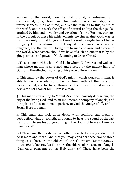wonder to the world, how he that did it, is esteemed and commended; yea, how are his wits, parts, industry, and unweariedness in all admired, and yet the man, as to this, is but of the world, and his work the effect of natural ability; the things also attained by him end in vanity and vexation of spirit. Further, perhaps in the pursuit of these his achievements, he sins against God, wastes his time vainly, and at long- run loses his soul by neglecting of better things; yet he is admired! But I say, if this man's parts, labour, diligence, and the like, will bring him to such applause and esteem in the world, what esteem should we have of such an one that is by the gift, promise, and power of God, coming to Jesus Christ?

1. This is a man with whom God is, in whom God works and walks; a man whose motion is governed and steered by the mighty hand of God, and the effectual working of his power. Here is a man!

2. This man, by the power of God's might, which worketh in him, is able to cast a whole world behind him, with all the lusts and pleasures of it, and to charge through all the difficulties that men and devils can set against him. Here is a man.

3. This man is travelling to Mount Zion, the heavenly Jerusalem, the city of the living God, and to an innumerable company of angels, and the spirits of just men made perfect, to God the Judge of all, and to Jesus. Here is a man!

4. This man can look upon death with comfort, can laugh at destruction when it cometh, and longs to hear the sound of the last trump, and to see his Judge coming in the clouds of heaven. Here is a man indeed!

Let Christians, then, esteem each other as such. I know you do it; but do it more and more. And that you may, consider these two or three things. (1) These are the objects of Christ's esteem (Matt 12:48,49; 15:22- 28; Luke 7:9). (2) These are the objects of the esteem of angels (Dan 9:12; 10:21,22; 13:3,4; Heb 2:14). (3) These have been the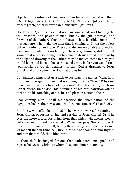objects of the esteem of heathens, when but convinced about them (Dan 5:10,11; Acts 5:15; 1 Cor 14:24,25). "Let each [of you, then,] esteem [each] other better than themselves" (Phil 2:2).

Use Fourth. Again, Is it so, that no man comes to Jesus Christ by the will, wisdom, and power of man, but by the gift, promise, and drawing of the Father? Then this shows us how horribly ignorant of this such are, who make the man that is coming to Christ the object of their contempt and rage. These are also unreasonable and wicked men; men in whom is no faith (2 Thess 3:2). Sinners, did you but know what a blessed thing it is to come to Jesus Christ, and that by the help and drawing of the Father, they do indeed come to him; you would hang and burn in hell a thousand years, before you would turn your spirits as you do, against him that God is drawing to Jesus Christ, and also against the God that draws him.

But, faithless sinner, let us a little expostulate the matter. What hath this man done against thee, that is coming to Jesus Christ? Why dost thou make him the object of thy scorn? doth his coming to Jesus Christ offend thee? doth his pursuing of his own salvation offend thee? doth his forsaking of his sins and pleasures offend thee?

Poor coming man! "Shall we sacrifice the abomination of the Egyptians before their eyes, and will they not stone us?" (Exo 8:26).

But, I say, why offended at this? Is he ever the worse for coming to Jesus Christ, or for his loving and serving of Jesus Christ? Or is he ever the more a fool, for flying from that which will drown thee in hell- fire, and for seeking eternal life? Besides, pray, Sirs, consider it; this he doth, not of himself, but by the drawing of the Father. Come, let me tell thee in thine ear, thou that wilt not come to him thyself, and him that would, thou hinderest -

1. Thou shalt be judged for one that hath hated, maligned, and reproached Jesus Christ, to whom this poor sinner is coming.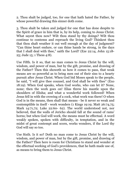2. Thou shalt be judged, too, for one that hath hated the Father, by whose powerful drawing this sinner doth come.

3. Thou shalt be taken and judged for one that has done despite to the Spirit of grace in him that is, by its help, coming to Jesus Christ. What sayest thou now? Wilt thou stand by thy doings? Wilt thou continue to contemn and reproach the living God? Thinkest thou that thou shalt weather it out well enough at the day of judgment? "Can thine heart endure, or can thine hands be strong, in the days that I shall deal with thee," saith the Lord? (Eze 22:14, John 15:18- 25; Jude 15; 1 Thess 4:8).

Use Fifth. Is it so, that no man comes to Jesus Christ by the will, wisdom, and power of man, but by the gift, promise, and drawing of the Father? Then this showeth us how it comes to pass, that weak means are so powerful as to bring men out of their sins to a hearty pursuit after Jesus Christ. When God bid Moses speak to the people, he said, "I will give thee counsel, and God shall be with thee" (Exo 18:19). When God speaks, when God works, who can let it? None, none; then the work goes on! Elias threw his mantle upon the shoulders of Elisha; and what a wonderful work followed! When Jesus fell in with the crowing of a cock, what work was there! O when God is in the means, then shall that means - be it never so weak and contemptible in itself - work wonders (1 Kings 19:19; Matt 26:74,75; Mark 14:71,72; Luke 22:60- 62). The world understood not, nor believed, that the walls of Jericho should fall at the sound of rams' horns; but when God will work, the means must be effectual. A word weakly spoken, spoken with difficulty, in temptation, and in the midst of great contempt and scorn, works wonders, if the Lord thy God will say so too.

Use Sixth. Is it so? Doth no man come to Jesus Christ by the will, wisdom, and power of man, but by the gift, promise, and drawing of the Father? Then here is room for Christians to stand and wonder at the effectual working of God's providences, that he hath made use of, as means to bring them to Jesus Christ.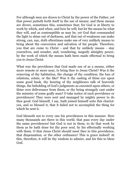For although men are drawn to Christ by the power of the Father, yet that power putteth forth itself in the use of means: and these means are divers, sometimes this, sometimes that; for God is at liberty to work by which, and when, and how he will; but let the means be what they will, and as contemptible as may be, yet God that commanded the light to shine out of darkness, and that out of weakness can make strong, can, nay, doth oftentimes make use of very unlikely means to bring about the conversion and salvation of his people. Therefore, you that are come to Christ - and that by unlikely means - stay yourselves, and wonder, and, wondering, magnify almighty power, by the work of which the means hath been made effectual to bring you to Jesus Christ.

What was the providence that God made use of as a means, either more remote or more near, to bring thee to Jesus Christ? Was it the removing of thy habitation, the change of thy condition, the loss of relations, estate, or the like? Was it thy casting of thine eye upon some good book, thy hearing of thy neighbours talk of heavenly things, the beholding of God's judgments as executed upon others, or thine own deliverance from them, or thy being strangely cast under the ministry of some godly man? O take notice of such providence or providences! They were sent and managed by mighty power to do thee good. God himself, I say, hath joined himself unto this chariot: yea, and so blessed it, that it failed not to accomplish the thing for which he sent it.

God blesseth not to every one his providences in this manner. How many thousands are there in this world, that pass every day under the same providences! but God is not in them, to do that work by them as he hath done for thy poor soul, by his effectually working with them. O that Jesus Christ should meet thee in this providence, that dispensation, or the other ordinance! This is grace indeed! At this, therefore, it will be thy wisdom to admire, and for this to bless God.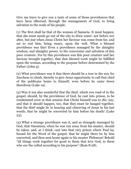Give me leave to give you a taste of some of those providences that have been effectual, through the management of God, to bring salvation to the souls of his people.

(1) The first shall be that of the woman of Samaria. It must happen, that she must needs go out of the city to draw water, not before nor after, but just when Jesus Christ her Saviour was come from far, and set to rest him, being weary, upon the well. What a blessed providence was this! Even a providence managed by the almighty wisdom, and almighty power, to the conversion and salvation of this poor creature. For by this providence was this poor creature and her Saviour brought together, that that blessed work might be fulfilled upon the woman, according to the purpose before determined by the Father (John 4).

(2) What providence was it that there should be a tree in the way for Zaccheus to climb, thereby to give Jesus opportunity to call that chief of the publicans home to himself, even before he came down therefrom (Luke 19).

(3) Was it not also wonderful that the thief, which you read of in the gospel, should, by the providence of God, be cast into prison, to be condemned even at that session that Christ himself was to die; nay, and that it should happen, too, that they must be hanged together, that the thief might be in hearing and observing of Jesus in his last words, that he might be converted by him before his death! (Luke 23).

(4) What a strange providence was it, and as strangely managed by God, that Onesimus, when he was run away from his master, should be taken, and, as I think, cast into that very prison where Paul lay bound for the Word of the gospel; that he might there be by him converted, and then sent home again to his master Philemon! Behold "all things work together for good to them that love God, to them who are the called according to his purpose" (Rom 8:28).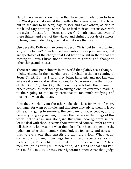Nay, I have myself known some that have been made to go to hear the Word preached against their wills; others have gone not to hear, but to see and to be seen; nay, to jeer and flout others, as also to catch and carp at things. Some also to feed their adulterous eyes with the sight of beautiful objects; and yet God hath made use even of these things, and even of the wicked and sinful proposals of sinners, to bring them under the grace that might save their souls.

Use Seventh. Doth no man come to Jesus Christ but by the drawing, &c., of the Father? Then let me here caution those poor sinners, that are spectators of the change that God hath wrought in them that are coming to Jesus Christ, not to attribute this work and change to other things and causes.

There are some poor sinners in the world that plainly see a change, a mighty change, in their neighbours and relations that are coming to Jesus Christ. But, as I said, they being ignorant, and not knowing whence it comes and whither it goes, for "so is every one that is born of the Spirit," (John 3:8), therefore they attribute this change to others causes: as melancholy; to sitting alone; to overmuch reading; to their going to too many sermons; to too much studying and musing on what they hear.

Also they conclude, on the other side, that it is for want of merry company; for want of physic; and therefore they advise them to leave off reading, going to sermons, the company of sober people; and to be merry, to go a gossiping, to busy themselves in the things of this world, not to sit musing alone, &c. But come, poor ignorant sinner, let me deal with thee. It seems thou art turned counsellor for Satan: I tell thee thou knowest not what thou dost. Take heed of spending thy judgment after this manner; thou judgest foolishly, and sayest in this, to every one that passeth by, thou art a fool. What! count convictions for sin, mournings for sin, and repentance for sin, melancholy? This is like those that on the other side said, "These men are [drunk with] full of new wine," &c. Or as he that said Paul was mad (Acts 2:13, 26:24). Poor ignorant sinner! canst thou judge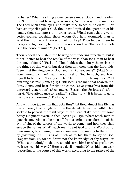no better? What! is sitting alone, pensive under God's hand, reading the Scriptures, and hearing of sermons, &c., the way to be undone? The Lord open thine eyes, and make thee to see thine error! Thou hast set thyself against God, thou hast despised the operation of his hands, thou attemptest to murder souls. What! canst thou give no better counsel touching those whom God hath wounded, than to send them to the ordinances of hell for help? Thou biddest them be merry and lightsome; but dost thou not know that "the heart of fools is in the house of mirth?" (Eccl 7:4).

Thou biddest them shun the hearing of thundering preachers; but is it not "better to hear the rebuke of the wise, than for a man to hear the song of fools?" (Eccl 7:5). Thou biddest them busy themselves in the things of this world; but dost thou not know that the Lord bids, "Seek first the kingdom of God, and his righteousness?" (Matt 6:33). Poor ignorant sinner! hear the counsel of God to such, and learn thyself to be wiser. "Is any afflicted? let him pray. Is any merry? let him sing psalms" (James 5:13). "Blessed is the man that heareth me" (Prov 8:32). And hear for time to come, "Save yourselves from this untoward generation" (Acts 2:40). "Search the Scriptures" (John 5:39). "Give attendance to reading" (1 Tim 4:13). "It is better to go to the house of mourning" (Eccl 7:2,3).

And wilt thou judge him that doth thus? Art thou almost like Elymas the sorcerer, that sought to turn the deputy from the faith? Thou seekest to pervert the right ways of the Lord. Take heed lest some heavy judgment overtake thee (Acts 13:8-13). What! teach men to quench convictions; take men off from a serious consideration of the evil of sin, of the terrors of the world to come, and how they shall escape the same? What! teach men to put God and his Word out of their minds, by running to merry company, by running to the world, by gossiping? &c. This is as much as to bid them to say to God, "Depart from us, for we desire not the knowledge of thy ways;" or, "What is the Almighty that we should serve him? or what profit have we if we keep his ways?" Here is a devil in grain! What! bid man walk "according to the course of this world, according to the prince of the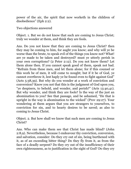power of the air, the spirit that now worketh in the children of disobedience" (Eph 2:2).

Two objections answered

Object. 1. But we do not know that such are coming to Jesus Christ; truly we wonder at them, and think they are fools.

Ans. Do you not know that they are coming to Jesus Christ? then they may be coming to him, for aught you know; and why will ye be worse than the brute, to speak evil of the things you know not? What! are ye made to be taken and destroyed? must ye utterly perish in your own corruptions? (2 Peter 2:12). Do you not know them? Let them alone then. If you cannot speak good of them, speak not bad. "Refrain from these men, and let them alone; for if this counsel or this work be of men, it will come to nought; but if it be of God, ye cannot overthrow it, lest haply ye be found even to fight against God" (Acts 5:38,39). But why do you wonder at a work of conviction and conversion? Know you not that this is the judgment of God upon you, "ye despisers, to behold, and wonder, and perish?" (Acts 13:40,41). But why wonder, and think they are fools? Is the way of the just an abomination to you? See that passage, and be ashamed, "He that is upright in the way is abomination to the wicked" (Prov 29:27). Your wondering at them argues that you are strangers to yourselves, to conviction for sin, and to hearty desires to be saved; as also to coming to Jesus Christ.

Object. 2. But how shall we know that such men are coming to Jesus Christ?

Ans. Who can make them see that Christ has made blind? (John 2:8,9). Nevertheless, because I endeavour thy conviction, conversion, and salvation, consider: Do they cry out of sin, being burthened with it, as of an exceeding bitter thing? Do they fly from it, as from the face of a deadly serpent? Do they cry out of the insufficiency of their own righteousness, as to justification in the sight of God? Do they cry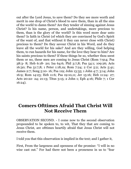out after the Lord Jesus, to save them? Do they see more worth and merit in one drop of Christ's blood to save them, than in all the sins of the world to damn them? Are they tender of sinning against Jesus Christ? Is his name, person, and undertakings, more precious to them, than is the glory of the world? Is this word more dear unto them? Is faith in Christ (of which they are convinced by God's Spirit of the want of, and that without it they can never close with Christ) precious to them? Do they savour Christ in his Word, and do they leave all the world for his sake? And are they willing, God helping them, to run hazards for his name, for the love they bear to him? Are his saints precious to them? If these things be so, whether thou seest them or no, these men are coming to Jesus Christ (Rom 7:914; Psa 38:3- 8; Heb 6:18- 20; Isa 64:6; Phil 3:7,8; Psa 54:1; 109:26; Acts 16:30; Psa 51:7,8; 1 Peter 1:18,19; Rom 7:24; 2 Cor 5:2; Acts 5:41; James 2:7; Song 5:10- 16; Psa 119; John 13:35; 1 John 4:7; 3:14; John 16:9; Rom 14:23; Heb 11:6; Psa 19:10,11; Jer 15:16; Heb 11:24- 27; Acts 20:22- 24; 21:13; Titus 3:15; 2 John 1; Eph 4:16; Phile 7; 1 Cor 16:24).

## **Comers Ofttimes Afraid That Christ Will Not Receive Them**

OBSERVATION SECOND. - I come now to the second observation propounded to be spoken to, to wit, That they that are coming to Jesus Christ, are ofttimes heartily afraid that Jesus Christ will not receive them.

I told you that this observation is implied in the text; and I gather it,

First, From the largeness and openness of the promise: "I will in no wise cast out." For had there not been a proneness in us to "fear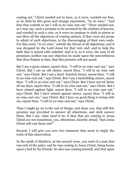casting out," Christ needed not to have, as it were, waylaid our fear, as he doth by this great and strange expression, "In no wise;" "And him that cometh to me I will in no wise cast out." There needed not, as I may say, such a promise to be invented by the wisdom of heaven, and worded at such a rate, as it were on purpose to dash in pieces at one blow all the objections of coming sinners, if they were not prone to admit of such objections, to the discouraging of their own souls. For this word, "in no wise," cutteth the throat of all objections; and it was dropped by the Lord Jesus for that very end; and to help the faith that is mixed with unbelief. And it is, as it were, the sum of all promises; neither can any objection be made upon the unworthiness that thou findest in thee, that this promise will not assoil.

But I am a great sinner, sayest thou. "I will in no wise cast out," says Christ. But I am an old sinner, sayest thou. "I will in no wise cast out," says Christ. But I am a hard- hearted sinner, sayest thou. "I will in no wise cast out," says Christ. But I am a backsliding sinner, sayest thou. "I will in no wise cast out," says Christ. But I have served Satan all my days, sayest thou. "I will in no wise cast out," says Christ. But I have sinned against light, sayest thou. "I will in no wise cast out," says Christ. But I have sinned against mercy, sayest thou. "I will in no wise cast out," says Christ. But I have no good thing to bring with me, sayest thou. "I will in no wise cast out," says Christ.

Thus I might go on to the end of things, and show you, that still this promise was provided to answer all objections, and doth answer them. But I say, what need it be, if they that are coming to Jesus Christ are not sometimes, yea, oftentimes, heartily afraid, "that Jesus Christ will cast them out?"

Second, I will give you now two instances that seem to imply the truth of this observation.

In the ninth of Matthew, at the second verse, you read of a man that was sick of the palsy; and he was coming to Jesus Christ, being borne upon a bed by his friends: he also was coming himself, and that upon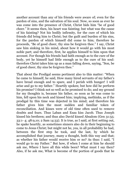another account than any of his friends were aware of; even for the pardon of sins, and the salvation of his soul. Now, so soon as ever he was come into the presence of Christ, Christ bids him "be of good cheer." It seems then, his heart was fainting; but what was the cause of his fainting? Not his bodily infirmity, for the cure of which his friends did bring him to Christ; but the guilt and burden of his sins, for the pardon of which himself did come to him; therefore he proceeds, "Be of good cheer, thy sins be forgiven thee." I say, Christ saw him sinking in his mind, about how it would go with his most noble part; and therefore, first, he applies himself to him upon that account. For though his friends had faith enough as to the cure of the body, yet he himself had little enough as to the cure of his soul: therefore Christ takes him up as a man falling down, saying, "Son, be of good cheer, thy sins be forgiven thee."

That about the Prodigal seems pertinent also to this matter: "When he came to himself, he said, How many hired servants of my father's have bread enough and to spare, and I perish with hunger! I will arise and go to my father." Heartily spoken; but how did he perform his promise? I think not so well as he promised to do; and my ground for my thoughts is, because his father, so soon as he was come to him, fell upon his neck and kissed him; implying, methinks, as if the prodigal by this time was dejected in his mind; and therefore his father gives him the most sudden and familiar token of reconciliation. And kisses were of old time often used to remove doubts and fears. Thus Laban and Esau kiss Jacob. Thus Joseph kissed his brethren; and thus also David kissed Absalom (Gen 31:55; 33:1- 4; 48:9,10; 2 Sam 14:33). It is true, as I said, at first setting out, he spake heartily, as sometimes sinners also do in their beginning to come to Jesus Christ; but might not he, yea, in all probability he had, between the first step he took, and the last, by which he accomplished that journey, many a thought, both this way and that; as whether his father would receive him or no? As thus: I said, "I would go to my Father." But how, if when I come at him he should ask me, Where I have all this while been? What must I say then? Also, if he ask me, What is become of the portion of goods that he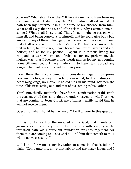gave me? What shall I say then? If he asks me, Who have been my companions? What shall I say then? If he also shall ask me, What hath been my preferment in all the time of my absence from him? What shall I say then? Yea, and if he ask me, Why I came home no sooner? What shall I say then? Thus, I say, might he reason with himself, and being conscious to himself, that he could give but a bad answer to any of these interrogatories, no marvel if he stood in need first of all of a kiss from his father's lips. For had he answered the first in truth, he must say, I have been a haunter of taverns and alehouses; and as for my portion, I spent it in riotous living; my companions were whores and drabs; as for my preferment, the highest was, that I became a hog- herd; and as for my not coming home till now, could I have made shift to have staid abroad any longer, I had not lain at thy feet for mercy now.

I say, these things considered, and considering, again, how prone poor man is to give way, when truly awakened, to despondings and heart misgivings, no marvel if he did sink in his mind, between the time of his first setting out, and that of his coming to his Father.

Third, But, thirdly, methinks I have for the confirmation of this truth the consent of all the saints that are under heaven, to wit, That they that are coming to Jesus Christ, are ofttimes heartily afraid that he will not receive them.

Quest. But what should be the reason? I will answer to this question thus:

1. It is not for want of the revealed will of God, that manifesteth grounds for the contrary, for of that there is a sufficiency; yea, the text itself hath laid a sufficient foundation for encouragement, for them that are coming to Jesus Christ. "And him that cometh to me I will in no wise cast out."

2. It is not for want of any invitation to come, for that is full and plain. "Come unto me, all ye that labour and are heavy laden, and I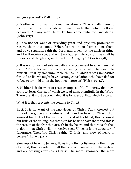will give you rest" (Matt 11:28).

3. Neither is it for want of a manifestation of Christ's willingness to receive, as those texts above named, with that which follows, declareth, "If any man thirst, let him come unto me, and drink" (John 7:37).

4. It is not for want of exceeding great and precious promises to receive them that come. "Wherefore come out from among them, and be ye separate, saith the Lord, and touch not the unclean thing, and I will receive you, and will be a Father unto you, and ye shall be my sons and daughters, saith the Lord Almighty" (2 Cor 6:17,18).

5. It is not for want of solemn oath and engagement to save them that come. "For - because he could swear by no greater, he sware by himself - that by two immutable things, in which it was impossible for God to lie, we might have a strong consolation, who have fled for refuge to lay hold upon the hope set before us" (Heb 6:13- 18).

6. Neither is it for want of great examples of God's mercy, that have come to Jesus Christ, of which we read most plentifully in the Word. Therefore, it must be concluded, it is for want of that which follows.

What it is that prevents the coming to Christ

First, It is for want of the knowledge of Christ. Thou knowest but little of the grace and kindness that is in the heart of Christ; thou knowest but little of the virtue and merit of his blood; thou knowest but little of the willingness that is in his heart to save thee; and this is the reason of the fear that ariseth in thy heart, and that causeth thee to doubt that Christ will not receive thee. Unbelief is the daughter of Ignorance. Therefore Christ saith, "O fools, and slow of heart to believe" (Luke 24:25).

Slowness of heart to believe, flows from thy foolishness in the things of Christ; this is evident to all that are acquainted with themselves, and are seeking after Jesus Christ. The more ignorance, the more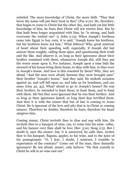unbelief. The more knowledge of Christ, the more faith. "They that know thy name will put their trust in thee" (Psa 9:10). He, therefore, that began to come to Christ but the other day, and hath yet but little knowledge of him, he fears that Christ will not receive him. But he that hath been longer acquainted with him, he "is strong, and hath overcome the wicked one" (1 John 2:13). When Joseph's brethren came into Egypt to buy corn, it is said, "Joseph knew his brethren, but his brethren knew not him." What follows? Why, great mistrust of heart about their speeding well; especially, if Joseph did but answer them roughly, calling them spies, and questioning their truth and the like. And observe it, so long as their ignorance about their brother remained with them, whatsoever Joseph did, still they put the worse sense upon it. For instance, Joseph upon a time bids the steward of his house bring them home, to dine with him, to dine even in Joseph's house. And how is this resented by them? Why, they are afraid. "And the men were afraid, because they were brought unto" their brother "Joseph's house." And they said, He seeketh occasion against us, and will fall upon us, and take us for bondmen, and our asses (Gen 42, 43). What! afraid to go to Joseph's house? He was their brother; he intended to feast them; to feast them, and to feast with them. Ah! but they were ignorant that he was their brother. And so long as their ignorance lasted, so long their fear terrified them. Just thus it is with the sinner that but of late is coming to Jesus Christ. He is ignorant of the love and pity that is in Christ to coming sinners. Therefore he doubts, therefore he fears, therefore his heart misgives him.

Coming sinner, Christ inviteth thee to dine and sup with him. He inviteth thee to a banquet of wine, yea, to come into his wine- cellar, and his banner over thee shall be love (Rev 3:20; Song 2:5). But I doubt it, says the sinner: but, it is answered, he calls thee, invites thee to his banquet, flagons, apples; to his wine, and to the juice of his pomegranate. "O, I fear, I doubt, I mistrust, I tremble in expectation of the contrary!" Come out of the man, thou dastardly ignorance! Be not afraid, sinner, only believe; "He that cometh to Christ he will in no wise cast out."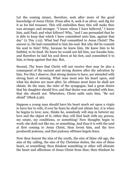Let the coming sinner, therefore, seek after more of the good knowledge of Jesus Christ. Press after it, seek it as silver, and dig for it as for hid treasure. This will embolden thee; this will make thee wax stronger and stronger. "I know whom I have believed," I know him, said Paul; and what follows? Why, "and I am persuaded that he is able to keep that which I have committed unto him, against that day" (2 Tim 1:12). What had Paul committed to Jesus Christ? The answer is, He had committed to him his soul. But why did he commit his soul to him? Why, because he knew him. He knew him to be faithful, to be kind. He knew he would not fail him, nor forsake him; and therefore he laid his soul down at his feet, and committed it to him, to keep against that day. But,

Second, Thy fears that Christ will not receive thee may be also a consequent of thy earnest and strong desires after thy salvation by him. For this I observe, that strong desires to have, are attended with strong fears of missing. What man most sets his heart upon, and what his desires are most after, he ofttimes most fears he shall not obtain. So the man, the ruler of the synagogue, had a great desire that his daughter should live; and that desire was attended with fear, that she should not. Wherefore, Christ saith unto him, "Be not afraid" (Mark 5:36).

Suppose a young man should have his heart much set upon a virgin to have her to wife, if ever he fears he shall not obtain her, it is when he begins to love; now, thinks he, somebody will step in betwixt my love and the object of it; either they will find fault with my person, my estate, my conditions, or something! Now thoughts begin to work; she doth not like me, or something. And thus it is with the soul at first coming to Jesus Christ, thou lovest him, and thy love produceth jealousy, and that jealousy ofttimes begets fears.

Now thou fearest the sins of thy youth, the sins of thine old age, the sins of thy calling, the sins of thy Christian duties, the sins of thine heart, or something; thou thinkest something or other will alienate the heart and affections of Jesus Christ from thee; thou thinkest he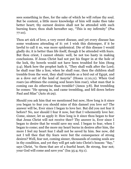sees something in thee, for the sake of which he will refuse thy soul. But be content, a little more knowledge of him will make thee take better heart; thy earnest desires shall not be attended with such burning fears; thou shalt hereafter say, "This is my infirmity" (Psa 77:10).

Thou art sick of love, a very sweet disease, and yet every disease has some weakness attending of it: yet I wish this distemper, if it be lawful to call it so, was more epidemical. Die of this disease I would gladly do; it is better than life itself, though it be attended with fears. But thou criest, I cannot obtain: well, be not too hasty in making conclusions. If Jesus Christ had not put his finger in at the hole of the lock, thy bowels would not have been troubled for him (Song 5:4). Mark how the prophet hath it, "They shall walk after the Lord; he shall roar like a lion; when he shall roar, then the children shall tremble from the west, they shall tremble as a bird out of Egypt, and as a dove out of the land of Assyria" (Hosea 11:10,11). When God roars (as ofttimes the coming soul hears him roar), what man that is coming can do otherwise than tremble? (Amos 3:8). But trembling he comes: "He sprang in, and came trembling, and fell down before Paul and Silas" (Acts 16:29).

Should you ask him that we mentioned but now, How long is it since you began to fear you should miss of this damsel you love so? The answer will be, Ever since I began to love her. But did you not fear it before? No, nor should I fear it now, but that I vehemently love her. Come, sinner, let us apply it: How long is it since thou began to fear that Jesus Christ will not receive thee? Thy answer is, Ever since I began to desire that he would save my soul. I began to fear, when I began to come; and the more my heart burns in desires after him, the more I feel my heart fear I shall not be saved by him. See now, did not I tell thee that thy fears were but the consequence of strong desires? Well, fear not, coming sinner, thousands of coming souls are in thy condition, and yet they will get safe into Christ's bosom: "Say," says Christ, "to them that are of a fearful heart, Be strong, fear not; your God will come and save you" (Isa 35:4; 63:1).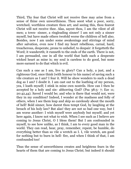Third, Thy fear that Christ will not receive thee may arise from a sense of thine own unworthiness. Thou seest what a poor, sorry, wretched, worthless creature thou art; and seeing this, thou fearest Christ will not receive thee. Alas, sayest thou, I am the vilest of all men; a town- sinner, a ringleading sinner! I am not only a sinner myself, but have made others twofold worse the children of hell also. Besides, now I am under some awakenings and stirrings of mind after salvation, even now I find my heart rebellious, carnal, hard, treacherous, desperate, prone to unbelief, to despair: it forgetteth the Word; it wandereth; it runneth to the ends of the earth. There is not, I am persuaded, one in all the world that hath such a desperate wicked heart as mine is; my soul is careless to do good, but none more earnest to do that which is evil.

Can such a one as I am, live in glory? Can a holy, a just, and a righteous God, once think (with honour to his name) of saving such a vile creature as I am? I fear it. Will he show wonders to such a dead dog as I am? I doubt it. I am cast out to the loathing of my person, yea, I loath myself; I stink in mine own nostrils. How can I then be accepted by a holy and sin- abhorring God? (Psa 38:5- 7; Eze 11; 20:42,44). Saved I would be; and who is there that would not, were they in my condition? Indeed, I wonder at the madness and folly of others, when I see them leap and skip so carelessly about the mouth of hell! Bold sinner, how darest thou tempt God, by laughing at the breach of his holy law? But alas! they are not so bad one way, but I am worse another: I wish myself were anybody but myself; and yet here again, I know not what to wish. When I see such as I believe are coming to Jesus Christ, O I bless them! But I am confounded in myself, to see how unlike, as I think, I am to every good man in the world. They can read, hear, pray, remember, repent, be humble, do everything better than so vile a wretch as I. I, vile wretch, am good for nothing but to burn in hell- fire, and when I think of that, I am confounded too!

Thus the sense of unworthiness creates and heightens fears in the hearts of them that are coming to Jesus Christ; but indeed it should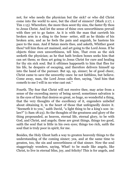not; for who needs the physician but the sick? or who did Christ come into the world to save, but the chief of sinners? (Mark 2:17; 1 Tim 1:15). Wherefore, the more thou seest thy sins, the faster fly thou to Jesus Christ. And let the sense of thine own unworthiness prevail with thee yet to go faster. As it is with the man that carrieth his broken arm in a sling to the bone- setter, still as he thinks of his broken arm, and as he feels the pain and anguish, he hastens his pace to the man. And if Satan meets thee, and asketh, Whither goest thou? tell him thou art maimed, and art going to the Lord Jesus. If he objects thine own unworthiness, tell him, That even as the sick seeketh the physician; as he that hath broken bones seeks him that can set them; so thou art going to Jesus Christ for cure and healing for thy sin sick soul. But it ofttimes happeneth to him that flies for his life, he despairs of escaping, and therefore delivers himself up into the hand of the pursuer. But up, up, sinner; be of good cheer, Christ came to save the unworthy ones: be not faithless, but believe. Come away, man, the Lord Jesus calls thee, saying, "And him that cometh to me I will in no wise cast out."

Fourth. Thy fear that Christ will not receive thee, may arise from a sense of the exceeding mercy of being saved; sometimes salvation is in the eyes of him that desires so great, so huge, so wonderful a thing, that the very thoughts of the excellency of it, engenders unbelief about obtaining it, in the heart of those that unfeignedly desire it. "Seemeth it to you," saith David, "a light thing to be a king's son- inlaw?" (1 Sam 18:23). So the thoughts of the greatness and glory of the thing propounded, as heaven, eternal life, eternal glory, to be with God, and Christ, and angels; these are great things, things too good, saith the soul that is little in his own eyes; things too rich, saith the soul that is truly poor in spirit, for me.

Besides, the Holy Ghost hath a way to greaten heavenly things to the understanding of the coming sinner; yea, and at the same time to greaten, too, the sin and unworthiness of that sinner. Now the soul staggeringly wonders, saying, What! to be made like angels, like Christ, to live in eternal bliss, joy, and felicity! This is for angels, and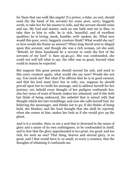for them that can walk like angels! If a prince, a duke, an earl, should send (by the hand of his servant) for some poor, sorry, beggarly scrub, to take her for his master to wife, and the servant should come and say, My lord and master, such an one hath sent me to thee, to take thee to him to wife; he is rich, beautiful, and of excellent qualities; he is loving, meek, humble, well- spoken, &c. What now would this poor, sorry, beggarly creature think? What would she say? or how would she frame an answer? When king David sent to Abigail upon this account, and though she was a rich woman, yet she said, "Behold, let thine handmaid be a servant to wash the feet of the servants of my lord" (1 Sam 25:40,41). She was confounded, she could not well tell what to say, the offer was so great, beyond what could in reason be expected.

But suppose this great person should second his suit, and send to this sorry creature again, what would she say now? Would she not say, You mock me? But what if he affirms that he is in good earnest, and that his lord must have her to wife; yea, suppose he should prevail upon her to credit his message, and to address herself for her journey; yet, behold every thought of her pedigree confounds her; also her sense of want of beauty makes her ashamed; and if she doth but think of being embraced, the unbelief that is mixed with that thought whirls her into tremblings; and now she calls herself fool, for believing the messenger, and thinks not to go; if she thinks of being bold, she blushes; and the least thought that she shall be rejected, when she comes at him, makes her look as if she would give up the ghost.

And is it a wonder, then, to see a soul that is drowned in the sense of glory and a sense of its own nothingness, to be confounded in itself, and to fear that the glory apprehended is too great, too good, and too rich, for such an one? That thing, heaven and eternal glory, is so great, and I that would have it, so small, so sorry a creature, that the thoughts of obtaining it confounds me.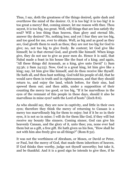Thus, I say, doth the greatness of the things desired, quite dash and overthrow the mind of the desirer. O, it is too big! it is too big! it is too great a mercy! But, coming sinner, let me reason with thee. Thou sayest, it is too big, too great. Well, will things that are less satisfy thy soul? Will a less thing than heaven, than glory and eternal life, answer thy desires? No, nothing less; and yet I fear they are too big, and too good for me, ever to obtain. Well, as big and as good as they are, God giveth them to such as thou; they are not too big for God to give; no, not too big to give freely. Be content; let God give like himself; he is that eternal God, and giveth like himself. When kings give, they do not use to give as poor men do. Hence it is said, that Nabal made a feast in his house like the feast of a king; and again, "All these things did Araunah, as a king, give unto David" (1 Sam 25:36; 2 Sam 24:23). Now, God is a great king, let him give like a king; nay, let him give like himself, and do thou receive like thyself. He hath all, and thou hast nothing. God told his people of old, that he would save them in truth and in righteousness, and that they should return to, and enjoy the land, which before, for their sins, had spewed them out; and then adds, under a supposition of their counting the mercy too good, or too big, "If it be marvellous in the eyes of the remnant of this people in these days, should it also be marvellous in mine eyes? saith the Lord of hosts" (Zech 8:6).

As who should say, they are now in captivity, and little in their own eyes; therefore they think the mercy of returning to Canaan is a mercy too marvellously big for them to enjoy; but if it be so in their eyes, it is not so in mine; I will do for them like God, if they will but receive my bounty like sinners. Coming sinner, God can give his heavenly Canaan, and the glory of it, unto thee; yea, none ever had them but as a gift, a free gift. He hath given us his Son, "How shall he not with him also freely give us all things?" (Rom 8:32).

It was not the worthiness of Abraham, or Moses, or David or Peter, or Paul, but the mercy of God, that made them inheritors of heaven. If God thinks thee worthy, judge not thyself unworthy; but take it, and be thankful. And it is a good sign he intends to give thee, if he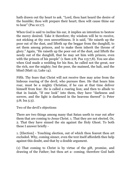hath drawn out thy heart to ask. "Lord, thou hast heard the desire of the humble; thou wilt prepare their heart; thou wilt cause thine ear to hear" (Psa 10:17).

When God is said to incline his ear, it implies an intention to bestow the mercy desired. Take it therefore; thy wisdom will be to receive, not sticking at thy own unworthiness. It is said, "He raiseth up the poor out of the dust, and lifteth up the beggar from the dunghill, to set them among princes, and to make them inherit the throne of glory." Again, "He raiseth up the poor out of the dust, and lifteth the needy out of the dunghill, that he may set him with princes, even with the princes of his people" (1 Sam 2:8; Psa 113:7,8). You see also when God made a wedding for his Son, he called not the great, nor the rich, nor the mighty; but the poor, the maimed, the halt, and the blind (Matt 12; Luke 14).

Fifth. Thy fears that Christ will not receive thee may arise from the hideous roaring of the devil, who pursues thee. He that hears him roar, must be a mighty Christian, if he can at that time deliver himself from fear. He is called a roaring lion; and then to allude to that in Isaiah, "If one look" into them, they have "darkness and sorrow, and the light is darkened in the heavens thereof" (1 Peter 5:8; Isa 5:3).

Two of the devil's objections

There are two things among many that Satan useth to roar out after them that are coming to Jesus Christ. 1. That they are not elected. Or, 2. That they have sinned the sin against the Holy Ghost. To both these I answer briefly -

1. [Election] - Touching election, out of which thou fearest thou art excluded. Why, coming sinner, even the text itself affordeth thee help against this doubt, and that by a double argument.

(1) That coming to Christ is by virtue of the gift, promise, and drawing of the Father; but thou art a- coming; therefore God hath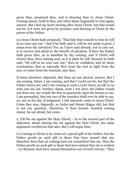given thee, promised thee, and is drawing thee to Jesus Christ. Coming sinner, hold to this; and when Satan beginneth to roar again, answer, But I feel my heart moving after Jesus Christ; but that would not be, if it were not given by promise, and drawing to Christ by the power of the Father.

(2) Jesus Christ hath promised, "That him that cometh to him he will in no wise cast out." And if he hath said it, will he not make it good, I mean even thy salvation? For, as I have said already, not to cast out, is to receive and admit to the benefit of salvation. If then the Father hath given thee, as is manifest by thy coming; and if Christ will receive thee, thou coming soul, as it is plain he will, because he hath said, "He will in no wise cast out;" then be confident, and let those conclusions, that as naturally flow from the text as light from the sun, or water from the fountain, stay thee.

If Satan therefore objecteth, But thou art not elected; answer, But I am coming, Satan, I am coming; and that I could not be, but that the Father draws me; and I am coming to such a Lord Jesus, as will in no wise cast me out. Further, Satan, were I not elect, the Father would not draw me, nor would the Son so graciously open his bosom to me. I am persuaded, that not one of the nonelect shall ever be able to say, no, not in the day of judgment, I did sincerely come to Jesus Christ. Come they may, feignedly, as Judas and Simon Magus did; but that is not our question. Therefore, O thou honest- hearted coming sinner, be not afraid, but come.

2. [Of the sin against the Holy Ghost] - As to the second part of the objection, about sinning the sin against the Holy Ghost, the same argument overthrows that also. But I will argue thus:

(1) Coming to Christ is by virtue of a special gift of the Father; but the Father giveth no such gift to them that have sinned that sin; therefore thou that art coming hast not committed that sin. That the Father giveth no such gift to them that have sinned that sin is evident - (a) Because such have sinned themselves out of God's favour; "They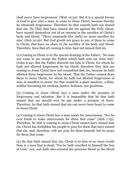shall never have forgiveness" (Matt 12:32). But it is a special favour of God to give unto a man, to come to Jesus Christ; because thereby he obtaineth forgiveness. Therefore he that cometh hath not sinned that sin. (b) They that have sinned the sin against the Holy Ghost, have sinned themselves out of an interest in the sacrifice of Christ's body and blood; "There remaineth [for such] no more sacrifice for sins" (Heb 10:26). But God giveth not grace to any of them to come to Christ, that have no share in the sacrifice of his body and blood. Therefore, thou that art coming to him, hast not sinned that sin.

(2) Coming to Christ is by the special drawing of the Father; "No man can come to me except the Father which hath sent me draw him" (John 6:44). But the Father draweth not him to Christ, for whom he hath not allotted forgiveness by his blood; therefore they that are coming to Jesus Christ have not committed that sin, because he hath allotted them forgiveness by his blood. That the Father cannot draw them to Jesus Christ, for whom he hath not allotted forgiveness of sins, is manifest to sense: for that would be a plain mockery, a flam, neither becoming his wisdom, justice, holiness, nor goodness.

(3) Coming to Jesus Christ lays a man under the promise of forgiveness and salvation. But it is impossible that he that hath sinned that sin should ever be put under a promise of these. Therefore, he that hath sinned that sin can never have heart to come to Jesus Christ.

(4) Coming to Jesus Christ lays a man under his intercession. "For he ever liveth to make intercession for them that come" (Heb 7:25). Therefore, he that is coming to Jesus Christ cannot have sinned that sin. Christ has forbidden his people to pray for them that have sinned that sin; and, therefore, will not pray for them himself, but he prays for them that come.

(5) He that hath sinned that sin, Christ is to him of no more worth than is a man that is dead; "For he hath crucified to himself the Son of God;" yea, and hath also counted his precious blood as the blood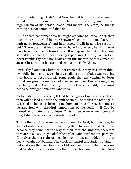of an unholy thing. (Heb 6, 10) Now, he that hath this low esteem of Christ will never come to him for life; but the coming man has an high esteem of his person, blood, and merits. Therefore, he that is coming has not committed that sin.

(6) If he that has sinned this sin might yet come to Jesus Christ, then must the truth of God be overthrown; which saith in one place, "He hath never forgiveness;" and in another, "I will in no wise cast him out." Therefore, that he may never have forgiveness, he shall never have heart to come to Jesus Christ. It is impossible that such an one should be renewed, either to or by repentance (Heb 6). Wherefore, never trouble thy head nor heart about this matter; he that cometh to Jesus Christ cannot have sinned against the Holy Ghost.

Sixth, Thy fears that Christ will not receive thee may arise from thine own folly, in inventing, yea, in thy chalking out to God, a way to bring thee home to Jesus Christ. Some souls that are coming to Jesus Christ are great tormentors of themselves upon this account; they conclude, that if their coming to Jesus Christ is right, they must needs be brought home thus and thus.

As to instance: 1. Says one, If God be bringing of me to Jesus Christ, then will he load me with the guilt of sin till he makes me roar again. 2. If God be indeed a- bringing me home to Jesus Christ, then must I be assaulted with dreadful temptations of the devil. 3. If God be indeed a- bringing me to Jesus Christ, then, even when I come at him, I shall have wonderful revelations of him.

This is the way that some sinners appoint for God; but, perhaps, he will not walk therein; yet will he bring them to Jesus Christ. But now, because they come not the way of their own chalking out, therefore they are at a loss. They look for heavy load and burden; but, perhaps, God gives them a sight of their lost condition, and addeth not that heavy weight and burden. They look for fearful temptations of Satan; but God sees that yet they are not fit for them, nor is the time come that he should be honoured by them in such a condition. They look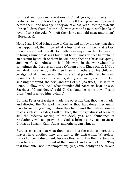for great and glorious revelations of Christ, grace, and mercy; but, perhaps, God only takes the yoke from off their jaws, and lays meat before them. And now again they are at a loss, yet a- coming to Jesus Christ; "I drew them," saith God, "with cords of a man, with bands of love - I took the yoke from off their jaws, and laid meat unto them" (Hosea 11:4).

Now, I say, If God brings thee to Christ, and not by the way that thou hast appointed, then thou art at a loss; and for thy being at a loss, thou mayest thank thyself. God hath more ways than thou knowest of to bring a sinner to Jesus Christ; but he will not give thee beforehand an account by which of them he will bring thee to Christ (Isa 40:13; Job 33:13). Sometimes he hath his ways in the whirlwind; but sometimes the Lord is not there (Nahum 1:3; 1 Kings 19:11). If God will deal more gently with thee than with others of his children, grudge not at it; refuse not the waters that go softly, lest he bring upon thee the waters of the rivers, strong and many, even these two smoking firebrand, the devil and guilt of sin (Isa 8:6,7). He saith to Peter, "Follow me." And what thunder did Zaccheus hear or see? Zaccheus, "Come down," said Christ; "and he came down," says Luke, "and received him joyfully."

But had Peter or Zaccheus made the objection that thou hast made, and directed the Spirit of the Lord as thou hast done, they might have looked long enough before they had found themselves coming to Jesus Christ. Besides, I will tell thee, that the greatness of sense of sin, the hideous roaring of the devil, yea, and abundance of revelations, will not prove that God is bringing thy soul to Jesus Christ; as Balaam, Cain, Judas, and others, can witness.

Further, consider that what thou hast not of these things here, thou mayest have another time, and that to thy distraction. Wherefore, instead of being discontent, because thou art not in the fire, because thou hearest not the sound of the trumpet and alarm of war, "Pray that thou enter not into temptation;" yea, come boldly to the throne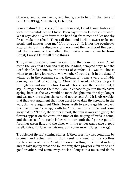of grace, and obtain mercy, and find grace to help in that time of need (Psa 88:15; Matt 26:41; Heb 4:16).

Poor creature! thou criest, if I were tempted, I could come faster and with more confidence to Christ. Thou sayest thou knowest not what. What says Job? "Withdraw thine hand far from me: and let not thy dread make me afraid. Then call thou, and I will answer: or let me speak, and answer thou me" (Job 13:21,22). It is not the overheavy load of sin, but the discovery of mercy; not the roaring of the devil, but the drawing of the Father, that makes a man come to Jesus Christ; I myself know all these things.

True, sometimes, yea, most an end, they that come to Jesus Christ come the way that thou desirest; the loading, tempted way; but the Lord also leads some by the waters of comfort. If I was to choose when to go a long journey, to wit, whether I would go it in the dead of winter or in the pleasant spring, though, if it was a very profitable journey, as that of coming to Christ is, I would choose to go it through fire and water before I would choose lose the benefit. But, I say, if I might choose the time, I would choose to go it in the pleasant spring, because the way would be more delightsome, the days longer and warmer, the nights shorter and not so cold. And it is observable, that that very argument that thou usest to weaken thy strength in the way, that very argument Christ Jesus useth to encourage his beloved to come to him: "Rise up," saith he, "my love, my fair one, and come away." Why? "For lo, the winter is past, the rain is over and gone; the flowers appear on the earth, the time of the singing of birds is come, and the voice of the turtle is heard in our land; the fig- tree putteth forth her green figs, and the vines with the tender grape give a good smell. Arise, my love, my fair one, and come away" (Song 2:10- 13).

Trouble not thyself, coming sinner. If thou seest thy lost condition by original and actual sin; if thou seest thy need of the spotless righteousness of Jesus Christ; if thou art willing to be found in him, and to take up thy cross and follow him; then pray for a fair wind and good weather, and come away. Stick no longer in a muse and doubt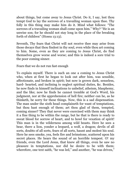about things, but come away to Jesus Christ. Do it, I say, lest thou tempt God to lay the sorrows of a travailing woman upon thee. Thy folly in this thing may make him do it. Mind what follows: "The sorrows of a travailing woman shall come upon him." Why? "He is an unwise son; for he should not stay long in the place of the breaking forth of children" (Hosea 13:13).

Seventh, Thy fears that Christ will not receive thee may arise from those decays that thou findest in thy soul, even while thou art coming to him. Some, even as they are coming to Jesus Christ, do find themselves grow worse and worse; and this is indeed a sore trial to the poor coming sinner.

Fears that we do not run fast enough

To explain myself. There is such an one a coming to Jesus Christ who, when at first he began to look out after him, was sensible, affectionate, and broken in spirit; but now is grown dark, senseless, hard- hearted, and inclining to neglect spiritual duties, &c. Besides, he now finds in himself inclinations to unbelief, atheism, blasphemy, and the like; now he finds he cannot tremble at God's Word, his judgment, nor at the apprehension of hell fire; neither can he, as he thinketh, be sorry for these things. Now, this is a sad dispensation. The man under the sixth head complaineth for want of temptations, but thou hast enough of them; art thou glad of them, tempted, coming sinner? They that never were exercised with them may think it a fine thing to be within the range, but he that is there is ready to sweat blood for sorrow of heart, and to howl for vexation of spirit! This man is in the wilderness among wild beasts. Here he sees a bear, there a lion, yonder a leopard, a wolf, a dragon; devils of all sorts, doubts of all sorts, fears of all sorts, haunt and molest his soul. Here he sees smoke, yea, feels fire and brimstone, scattered upon his secret places. He hears the sound of an horrible tempest. O! my friends, even the Lord Jesus, that knew all things, even he saw no pleasure in temptations, nor did he desire to be with them; wherefore, one text saith, "he was led," and another, "he was driven,"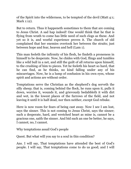of the Spirit into the wilderness, to be tempted of the devil (Matt 4:1; Mark 1:12).

But to return. Thus it happeneth sometimes to them that are coming to Jesus Christ. A sad hap indeed! One would think that he that is flying from wrath to come has little need of such clogs as these. And yet so it is, and woeful experience proves it. The church of old complained that her enemies overtook her between the straits; just between hope and fear, heaven and hell (Lam 1).

This man feeleth the infirmity of his flesh, he findeth a proneness in himself to be desperate. Now, he chides with God, flings and tumbles like a wild bull in a net, and still the guilt of all returns upon himself, to the crushing of him to pieces. Yet he feeleth his heart so hard, that he can find, as he thinks, no kind falling under any of his miscarriages. Now, he is a lump of confusion in his own eyes, whose spirit and actions are without order.

Temptations serve the Christian as the shepherd's dog serveth the silly sheep; that is, coming behind the flock, he runs upon it, pulls it down, worries it, wounds it, and grievously bedabbleth it with dirt and wet, in the lowest places of the furrows of the field, and not leaving it until it is half dead, nor then neither, except God rebuke.

Here is now room for fears of being cast away. Now I see I am lost, says the sinner. This is not coming to Jesus Christ, says the sinner; such a desperate, hard, and wretched heart as mine is, cannot be a gracious one, saith the sinner. And bid such an one be better, he says, I cannot; no, I cannot.

Why temptations assail God's people

Quest. But what will you say to a soul in this condition?

Ans. I will say, That temptations have attended the best of God's people. I will say, That temptations come to do us good; and I will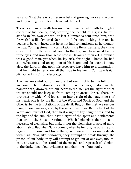say also, That there is a difference betwixt growing worse and worse, and thy seeing more clearly how bad thou art.

There is a man of an ill- favoured countenance, who hath too high a conceit of his beauty; and, wanting the benefit of a glass, he still stands in his own conceit; at last a limner is sent unto him, who draweth his ill- favoured face to the life; now looking thereon, he begins to be convinced that he is not half so handsome as he thought he was. Coming sinner, thy temptations are these painters; they have drawn out thy ill- favoured heart to the life, and have set it before thine eyes, and now thou seest how ill- favoured thou art. Hezekiah was a good man, yet when he lay sick, for aught I know, he had somewhat too good an opinion of his heart; and for aught I know also, the Lord might, upon his recovery, leave him to a temptation, that he might better know all that was in his heart. Compare Isaiah 38:1- 3, with 2 Chronicles 32:31.

Alas! we are sinful out of measure, but see it not to be the full, until an hour of temptation comes. But when it comes, it doth as the painter doth, draweth out our heart to the life: yet the sight of what we are should not keep us from coming to Jesus Christ. There are two ways by which God lets a man into a sight of the naughtiness of his heart; one is, by the light of the Word and Spirit of God; and the other is, by the temptations of the devil. But, by the first, we see our naughtiness one way; and, by the second, another. By the light of the Word and Spirit of God, thou hast a sight of thy naughtiness; and by the light of the sun, thou hast a sight of the spots and defilements that are in thy house or raiment. Which light gives thee to see a necessity of cleansing, but maketh not the blemishes to spread more abominably. But when Satan comes, when he tempts, he puts life and rage into our sins, and turns them, as it were, into so many devils within us. Now, like prisoners, they attempt to break through the prison of our body; they will attempt to get out at our eyes, mouth, ears, any ways, to the scandal of the gospel, and reproach of religion, to the darkening of our evidences, and damning of our souls.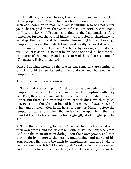But I shall say, as I said before, this hath ofttimes been the lot of God's people. And, "There hath no temptation overtaken you but such as is common to man; but God is faithful, who will not suffer you to be tempted above that ye are able" (1 Cor 10:13). See the Book of Job, the Book of Psalms, and that of the Lamentations. And remember further, that Christ himself was tempted to blaspheme, to worship the devil, and to murder himself, (Matt 4; Luke 4); temptations worse than which thou canst hardly be overtaken with. But he was sinless, that is true. And he is thy Saviour, and that is as true! Yea, it is as true also, that by his being tempted, he became the conqueror of the tempter, and a succourer of those that are tempted (Col 2:14,15; Heb 2:15; 4:15,16).

Quest. But what should be the reason that some that are coming to Christ should be so lamentably cast down and buffeted with temptations?

Ans. It may be for several causes.

1. Some that are coming to Christ cannot be persuaded, until the temptation comes, that they are so vile as the Scripture saith they are. True, they see so much of their wretchedness as to drive them to Christ. But there is an over and above of wickedness which they see not. Peter little thought that he had had cursing, and swearing, and lying, and an inclination in his heart to deny his Master, before the temptation came; but when that indeed came upon him, then he found it there to his sorrow (John 13:36- 38; Mark 14:36- 40; 68- 72).

2. Some that are coming to Jesus Christ are too much affected with their own graces, and too little taken with Christ's person; wherefore God, to take them off from doting upon their own jewels, and that they might look more to the person, undertaking, and merits of his Son, plunges them into the ditch by temptations. And this I take to be the meaning of Job, "If I wash myself," said he, "with snow- water, and make my hands never so clean, yet shalt thou plunge me in the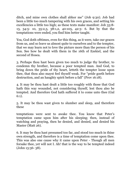ditch, and mine own clothes shall abhor me" (Job 9:30). Job had been a little too much tampering with his own graces, and setting his excellencies a little too high; as these texts make manifest: Job 33:8- 13, 34:5- 10, 35:2,3, 38:1,2, 40:105, 42:3- 6. But by that the temptations were ended, you find him better taught.

Yea, God doth ofttimes, even for this thing, as it were, take our graces from us, and so leave us almost quite to ourselves and to the tempter, that we may learn not to love the picture more than the person of his Son. See how he dealt with them in the 16th of Ezekiel, and the second of Hosea.

3. Perhaps thou hast been given too much to judge thy brother, to condemn thy brother, because a poor tempted man. And God, to bring down the pride of thy heart, letteth the tempter loose upon thee, that thou also mayst feel thyself weak. For "pride goeth before destruction, and an haughty spirit before a fall" (Prov 16:18).

4. It may be thou hast dealt a little too roughly with those that God hath this way wounded, not considering thyself, lest thou also be tempted. And therefore God hath suffered it to come unto thee (Gal 6:1).

5. It may be thou wast given to slumber and sleep, and therefore these

temptations were sent to awake thee. You know that Peter's temptation came upon him after his sleeping; then, instead of watching and praying, then he denied, and denied, and denied his Master (Matt 26).

6. It may be thou hast presumed too far, and stood too much in thine own strength, and therefore is a time of temptation come upon thee. This was also one cause why it came upon Peter - Though all men forsake thee, yet will not I. Ah! that is the way to be tempted indeed (John 13:36- 38).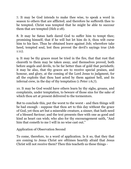7. It may be God intends to make thee wise, to speak a word in season to others that are afflicted; and therefore he suffereth thee to be tempted. Christ was tempted that he might be able to succour them that are tempted (Heb 2:18).

8. It may be Satan hath dared God to suffer him to tempt thee; promising himself, that if he will but let him do it, thou wilt curse him to his face. Thus he obtained leave against Job; wherefore take heed, tempted soul, lest thou provest the devil's sayings true (Job 1:11).

9. It may be thy graces must be tried in the fire, that that rust that cleaveth to them may be taken away, and themselves proved, both before angels and devils, to be far better than of gold that perisheth; it may be also, that thy graces are to receive special praises, and honour, and glory, at the coming of the Lord Jesus to judgment, for all the exploits that thou hast acted by them against hell, and its infernal crew, in the day of thy temptation (1 Peter 1:6,7).

10. It may be God would have others learn by thy sighs, groans, and complaints, under temptation, to beware of those sins for the sake of which thou art at present delivered to the tormentors.

But to conclude this, put the worst to the worst - and then things will be bad enough - suppose that thou art to this day without the grace of God, yet thou art but a miserable creature, a sinner, that hath need of a blessed Saviour; and the text presents thee with one as good and kind as heart can wish; who also for thy encouragement saith, "And him that cometh to me I will in no wise cast out."

Application of Observation Second

To come, therefore, to a word of application. Is it so, that they that are coming to Jesus Christ are ofttimes heartily afraid that Jesus Christ will not receive them? Then this teacheth us these things -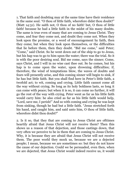1. That faith and doubting may at the same time have their residence in the same soul. "O thou of little faith, wherefore didst thou doubt?" (Matt 14:31). He saith not, O thou of no faith! but, O thou of little faith! because he had a little faith in the midst of his many doubts. The same is true even of many that are coming to Jesus Christ. They come, and fear they come not, and doubt they come not. When they look upon the promise, or a word of encouragement by faith, then they come; but when they look upon themselves, or the difficulties that lie before them, then they doubt. "Bid me come," said Peter; "Come," said Christ. So he went down out of the ship to go to Jesus, but his hap was to go to him upon the water; there was the trial. So it is with the poor desiring soul. Bid me come, says the sinner; Come, says Christ, and I will in no wise cast thee out. So he comes, but his hap is to come upon the water, upon drowning difficulties; if, therefore, the wind of temptations blow, the waves of doubts and fears will presently arise, and this coming sinner will begin to sink, if he has but little faith. But you shall find here in Peter's little faith, a twofold act; to wit, coming and crying. Little faith cannot come all the way without crying. So long as its holy boldness lasts, so long it can come with peace; but when it is so, it can come no further, it will go the rest of the way with crying. Peter went as far as his little faith would carry him: he also cried as far as his little faith would help, "Lord, save me, I perish!" And so with coming and crying he was kept from sinking, though he had but a little faith. "Jesus stretched forth his hand, and caught him, and said unto him, O thou of little faith, wherefore didst thou doubt?"

2. Is it so, that they that are coming to Jesus Christ are ofttimes heartily afraid that Jesus Christ will not receive them? Then this shows us a reason of that dejection, and those castings down, that very often we perceive to be in them that are coming to Jesus Christ. Why, it is because they are afraid that Jesus Christ will not receive them. The poor world they mock us, because we are a dejected people; I mean, because we are sometimes so: but they do not know the cause of our dejection. Could we be persuaded, even then, when we are dejected, that Jesus Christ would indeed receive us, it would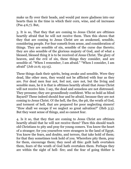make us fly over their heads, and would put more gladness into our hearts than in the time in which their corn, wine, and oil increases (Psa 4:6,7). But,

3. It is so, That they that are coming to Jesus Christ are ofttimes heartily afraid that he will not receive them. Then this shows that they that are coming to Jesus Christ are an awakened, sensible, considering people. For fear cometh from sense, and consideration of things. They are sensible of sin, sensible of the curse due thereto; they are also sensible of the glorious majesty of God, and of what a blessed, blessed thing it is to be received of Jesus Christ. The glory of heaven, and the evil of sin, these things they consider, and are sensible of. "When I remember, I am afraid." "When I consider, I am afraid" (Job 21:6; 23:15).

These things dash their spirits, being awake and sensible. Were they dead, like other men, they would not be afflicted with fear as they are. For dead men fear not, feel not, care not, but the living and sensible man, he it is that is ofttimes heartily afraid that Jesus Christ will not receive him. I say, the dead and senseless are not distressed. They presume; they are groundlessly confident. Who so bold as blind Bayard? These indeed should fear and be afraid, because they are not coming to Jesus Christ. O! the hell, the fire, the pit, the wrath of God, and torment of hell, that are prepared for poor neglecting sinners! "How shall we escape if we neglect so great salvation?" (Heb 3:3). But they want sense of things, and so cannot fear.

4. Is it so, that they that are coming to Jesus Christ are ofttimes heartily afraid that he will not receive them? Then this should teach old Christians to pity and pray for young comers. You know the heart of a stranger; for you yourselves were strangers in the land of Egypt. You know the fears, and doubts, and terrors, that take hold of them; for that they sometimes took hold of you. Wherefore pity them, pray for them, encourage them; they need all this: guilt hath overtaken them, fears of the wrath of God hath overtaken them. Perhaps they are within the sight of hell- fire; and the fear of going thither is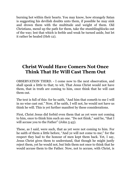burning hot within their hearts. You may know, how strangely Satan is suggesting his devilish doubts unto them, if possible he may sink and drown them with the multitude and weight of them. Old Christians, mend up the path for them, take the stumblingblocks out of the way; lest that which is feeble and weak be turned aside, but let it rather be healed (Heb 12).

## **Christ Would Have Comers Not Once Think That He Will Cast Them Out**

OBSERVATION THIRD. - I come now to the next observation, and shall speak a little to that; to wit, That Jesus Christ would not have them, that in truth are coming to him, once think that he will cast them out.

The text is full of this: for he saith, "And him that cometh to me I will in no wise cast out." Now, if he saith, I will not, he would not have us think he will. This is yet further manifest by these considerations.

First, Christ Jesus did forbid even them that as yet were not coming to him, once to think him such an one. "Do not think," said he, "that I will accuse you to the Father" (John 5:45).

These, as I said, were such, that as yet were not coming to him. For he saith of them a little before, "And ye will not come to me;" for the respect they had to the honour of men kept them back. Yet, I say, Jesus Christ gives them to understand, that though he might justly reject them, yet he would not, but bids them not once to think that he would accuse them to the Father. Now, not to accuse, with Christ, is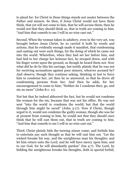to plead for: for Christ in these things stands not neuter between the Father and sinners. So then, if Jesus Christ would not have them think, that yet will not come to him, that he will accuse them; then he would not that they should think so, that in truth are coming to him. "And him that cometh to me I will in no wise cast out."

Second, When the woman taken in adultery, even in the very act, was brought before Jesus Christ, he so carried it both by words and actions, that he evidently enough made it manifest, that condemning and casting out were such things, for the doing of which he came not into the world. Wherefore, when they had set her before him, and had laid to her charge her heinous fact, he stooped down, and with his finger wrote upon the ground, as though he heard them not. Now what did he do by this his carriage, but testify plainly that he was not for receiving accusations against poor sinners, whoever accused by? And observe, though they continue asking, thinking at last to force him to condemn her; yet then he so answered, so that he drove all condemning persons from her. And then he adds, for her encouragement to come to him; "Neither do I condemn thee; go, and sin no more" (John 8:1- 11).

Not but that he indeed abhorred the fact, but he would not condemn the woman for the sin, because that was not his office. He was not sent "into the world to condemn the world; but that the world through him might be saved" (John 3:17). Now if Christ, though urged to it, would not condemn the guilty woman, though she was far at present from coming to him, he would not that they should once think that he will cast them out, that in truth are coming to him. "And him that cometh to me I will in no wise cast out."

Third, Christ plainly bids the turning sinner come; and forbids him to entertain any such thought as that he will cast him out. "Let the wicked forsake his way, and the unrighteous man his thoughts; and let him return unto the Lord, and he will have mercy upon him; and to our God, for he will abundantly pardon" (Isa 4:7). The Lord, by bidding the unrighteous forsake his thoughts, doth in special forbid,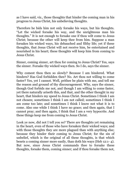as I have said, viz., those thoughts that hinder the coming man in his progress to Jesus Christ, his unbelieving thoughts.

Therefore he bids him not only forsake his ways, but his thoughts. "Let the wicked forsake his way, and the unrighteous man his thoughts." It is not enough to forsake one if thou wilt come to Jesus Christ; because the other will keep thee from him. Suppose a man forsakes his wicked ways, his debauched and filthy life; yet if these thoughts, that Jesus Christ will not receive him, be entertained and nourished in his heart; these thoughts will keep him from coming to Jesus Christ.

Sinner, coming sinner, art thou for coming to Jesus Christ? Yes, says the sinner. Forsake thy wicked ways then. So I do, says the sinner.

Why comest thou then so slowly? Because I am hindered. What hinders? Has God forbidden thee? No. Art thou not willing to come faster? Yes, yet I cannot. Well, prithee be plain with me, and tell me the reason and ground of thy discouragement. Why, says the sinner, though God forbids me not, and though I am willing to come faster, yet there naturally ariseth this, and that, and the other thought in my heart, that hinders my speed to Jesus Christ. Sometimes I think I am not chosen; sometimes I think I am not called; sometimes I think I am come too late; and sometimes I think I know not what it is to come. Also one while I think I have no grace; and then again, that I cannot pray; and then again, I think that I am a very hypocrite. And these things keep me from coming to Jesus Christ.

Look ye now, did not I tell you so? There are thoughts yet remaining in the heart, even of those who have forsaken their wicked ways; and with those thoughts they are more plagued than with anything else; because they hinder their coming to Jesus Christ; for the sin of unbelief, which is the original of all these thoughts, is that which besets a coming sinner more easily, than doth his ways (Heb 12:1- 4). But now, since Jesus Christ commands thee to forsake these thoughts, forsake them, coming sinner; and if thou forsake them not,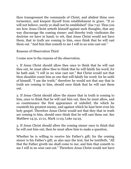thou transgressest the commands of Christ, and abidest thine own tormentor, and keepest thyself from establishment in grace. "If ye will not believe, surely ye shall not be established" (Isa 7:9). Thus you see how Jesus Christ setteth himself against such thoughts, that any way discourage the coming sinner; and thereby truly vindicates the doctrine we have in hand; to wit, that Jesus Christ would not have them, that in truth are coming to him, once think that he will cast them out. "And him that cometh to me I will in no wise cast out."

Reasons of Observation Third

I come now to the reasons of the observation.

1. If Jesus Christ should allow thee once to think that he will cast thee out, he must allow thee to think that he will falsify his word; for he hath said, "I will in no wise cast out." But Christ would not that thou shouldst count him as one that will falsify his word; for he saith of himself, "I am the truth;" therefore he would not that any that in truth are coming to him, should once think that he will cast them out.

2. If Jesus Christ should allow the sinner that in truth is coming to him, once to think that he will cast him out, then he must allow, and so countenance the first appearance of unbelief; the which he counteth his greatest enemy, and against which he hast bent even his holy gospel. Therefore Jesus Christ would not that they that in truth are coming to him, should once think that he will cast them out. See Matthew 14:31, 21:21, Mark 11:23, Luke 24:25.

3. If Jesus Christ should allow the coming sinner once to think that he will cast him out; then he must allow him to make a question,

Whether he is willing to receive his Father's gift; for the coming sinner is his Father's gift; as also says the text; but he testifieth, "All that the Father giveth me shall come to me; and him that cometh to me I will in no wise cast out." Therefore Jesus Christ would not have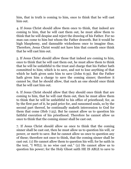him, that in truth is coming to him, once to think that he will cast him out.

4. If Jesus Christ should allow them once to think, that indeed are coming to him, that he will cast them out, he must allow them to think that he will despise and reject the drawing of his Father. For no man can come to him but whom the Father draweth. But it would be high blasphemy, and damnable wickedness once to imagine thus. Therefore, Jesus Christ would not have him that cometh once think that he will cast him out.

5. If Jesus Christ should allow those that indeed are coming to him, once to think that he will cast them out, he must allow them to think that he will be unfaithful to the trust and charge that his Father hath committed to him; which is to save, and not to lose anything of that which he hath given unto him to save (John 6:39). But the Father hath given him a charge to save the coming sinner; therefore it cannot be, that he should allow, that such an one should once think that he will cast him out.

6. If Jesus Christ should allow that they should once think that are coming to him, that he will cast them out, then he must allow them to think that he will be unfaithful to his office of priesthood; for, as by the first part of it, he paid price for, and ransomed souls, so by the second part thereof, he continually maketh intercession to God for them that come (Heb 7:25). But he cannot allow us to question his faithful execution of his priesthood. Therefore he cannot allow us once to think that the coming sinner shall be cast out.

7. If Jesus Christ should allow us once to think that the coming sinner shall be cast out, then he must allow us to question his will, or power, or merit to save. But he cannot allow us once to question any of these; therefore not once to think, that the coming sinner shall be cast out. (1) He cannot allow them to question his will; for he saith in the text, "I WILL in no wise cast out." (2) He cannot allow us to question his power; for the Holy Ghost saith HE IS ABLE to save to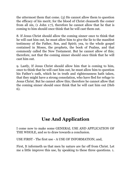the uttermost them that come. (3) He cannot allow them to question the efficacy of his merit; for the blood of Christ cleanseth the comer from all sin, (1 John 1:7), therefore he cannot allow that he that is coming to him should once think that he will cast them out.

8. If Jesus Christ should allow the coming sinner once to think that he will cast him out, he must allow him to give the lie to the manifest testimony of the Father, Son, and Spirit; yea, to the whole gospel contained in Moses, the prophets, the book of Psalms, and that commonly called the New Testament. But he cannot allow of this; therefore, not that the coming sinner should once think that he will cast him out.

9. Lastly, If Jesus Christ should allow him that is coming to him, once to think that he will cast him out, he must allow him to question his Father's oath, which he in truth and righteousness hath taken, that they might have a strong consolation, who have fled for refuge to Jesus Christ. But he cannot allow this; therefore he cannot allow that the coming sinner should once think that he will cast him out (Heb 6).

## **Use And Application**

I come now to make some GENERAL USE AND APPLICATION OF THE WHOLE, and so to draw towards a conclusion.

USE FIRST - The first use - A USE OF INFORMATION; and,

First, It informeth us that men by nature are far off from Christ. Let me a little improve this use, by speaking to these three questions. 1.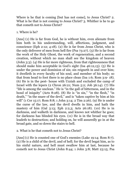Where is he that is coming [but has not come], to Jesus Christ? 2. What is he that is not coming to Jesus Christ? 3. Whither is he to go that cometh not to Jesus Christ?

1. Where is he?

[Ans] (1) He is far from God, he is without him, even alienate from him both in his understanding, will, affections, judgment, and conscience (Eph 2:12; 4:18). (2) He is far from Jesus Christ, who is the only deliverer of men from hell fire (Psa 73:27). (3) He is far from the work of the Holy Ghost, the work of regeneration, and a second creation, without which no man shall see the kingdom of heaven (John 3:3). (4) He is far more righteous, from that righteousness that should make him acceptable in God's sight (Isa 46:12,13). (5) He is under the power and dominion of sin; sin reigneth in and over him; it dwelleth in every faculty of his soul, and member of his body; so that from head to foot there is no place clean (Isa 1:6; Rom 3:9- 18). (6) He is in the pest- house with Uzziah and excluded the camp of Israel with the lepers (2 Chron 26:21; Num 5:2; Job 36:14). (7) His "life is among the unclean." He is "in the gall of bitterness, and in the bond of iniquity" (Acts 8:28). (8) He is "in sin," "in the flesh," "in death," "in the snare of the devil," and is "taken captive by him at his will" (1 Cor 15:17; Rom 8:8; 1 John 3:14; 2 Tim 2:26). (9) He is under the curse of the law, and the devil dwells in him, and hath the mastery of him (Gal 3:13; Eph 2:2,3; Acts 26:18). (10) He is in darkness, and walketh in darkness, and knows not whither he goes; for darkness has blinded his eyes. (11) He is in the broad way that leadeth to destruction; and holding on, he will assuredly go in at the broad gate, and so down the stairs to hell.

2. What is he that cometh not to Jesus Christ?

[Ans] (1) He is counted one of God's enemies (Luke 19:14; Rom 8:7). (2) He is a child of the devil, and of hell; for the devil begat him, as to his sinful nature, and hell must swallow him at last, because he cometh not to Jesus Christ (John 8:44; 1 John 3:8; Matt 23:15; Psa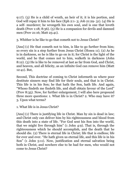9:17). (3) He is a child of wrath, an heir of it; it is his portion, and God will repay it him to his face (Eph 2:1- 3; Job 21:29- 31). (4) He is a self- murderer; he wrongeth his own soul, and is one that loveth death (Prov 1:18; 8:36). (5) He is a companion for devils and damned men (Prov 21:16; Matt 25:41).

3. Whither is he like to go that cometh not to Jesus Christ?

[Ans] (1) He that cometh not to him, is like to go further from him; so every sin is a step further from Jesus Christ (Hosea 11). (2) As he is in darkness, so he is like to go on in it; for Christ is the light of the world, and he that comes not to him, walketh in darkness (John 8:12). (3) He is like to be removed at last as far from God, and Christ, and heaven, and all felicity, as an infinite God can remove him (Matt 12:41). But,

Second, This doctrine of coming to Christ informeth us where poor destitute sinners may find life for their souls, and that is in Christ. This life is in his Son; he that hath the Son, hath life. And again, "Whoso findeth me findeth life, and shall obtain favour of the Lord" (Prov 8:35). Now, for further enlargement, I will also here propound three more questions: 1. What life is in Christ? 2. Who may have it? 3. Upon what terms?

1. What life is in Jesus Christ?

[Ans] (1) There is justifying life in Christ. Man by sin is dead in law; and Christ only can deliver him by his righteousness and blood from this death into a state of life. "For God sent his Son into the world, that we might live through him" (1 John 4:9). That is, through the righteousness which he should accomplish, and the death that he should die. (2) There is eternal life in Christ; life that is endless; life for ever and ever. "He hath given us eternal life, and this life is in his Son" (1 John 5:11). Now, justification and eternal salvation being both in Christ, and nowhere else to be had for men, who would not come to Jesus Christ?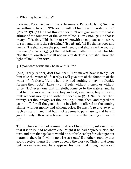2. Who may have this life?

I answer, Poor, helpless, miserable sinners. Particularly, (1) Such as are willing to have it. "Whosoever will, let him take the water of life" (Rev 22:17). (2) He that thirsteth for it. "I will give unto him that is athirst of the fountain of the water of life" (Rev 21:6). (3) He that is weary of his sins. "This is the rest wherewith ye may cause the weary to rest; and this is the refreshing" (Isa 28:12). (4) He that is poor and needy. "He shall spare the poor and needy, and shall save the souls of the needy" (Psa 72:13). (5) He that followeth after him, crieth for life. "He that followeth me shall not walk in darkness, but shall have the light of life" (John 8:12).

3. Upon what terms may he have this life?

[Ans] Freely. Sinner, dost thou hear. Thou mayest have it freely. Let him take the water of life freely. I will give him of the fountain of the water of life freely. "And when they had nothing to pay, he frankly forgave them both" (Luke 7:42). Freely, without money, or without price. "Ho! every one that thirsteth, come ye to the waters, and he that hath no money, come ye, buy and eat; yea, come, buy wine and milk without money and without price" (Isa 55:1). Sinner, art thou thirsty? art thou weary? art thou willing? Come, then, and regard not your stuff; for all the good that is in Christ is offered to the coming sinner, without money and without price. He has life to give away to such as want it, and that hath not a penny to purchase it; and he will give it freely. Oh what a blessed condition is the coming sinner in! But,

Third, This doctrine of coming to Jesus Christ for life, informeth us, that it is to be had nowhere else. Might it be had anywhere else, the text, and him that spoke it, would be but little set by; for what greater matter is there in "I will in no wise cast out," if another stood by that could receive them? But here appears the glory of Christ, that none but he can save. And here appears his love, that though none can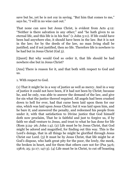save but he, yet he is not coy in saving. "But him that comes to me," says he, "I will in no wise cast out."

That none can save but Jesus Christ, is evident from Acts 4:12: "Neither is there salvation in any other;" and "he hath given to us eternal life, and this life is in his Son" (1 John 5:11). If life could have been had anywhere else, it should have been in the law. But it is not in the law; for by the deeds of the law, no man living shall be justified; and if not justified, then no life. Therefore life is nowhere to be had but in Jesus Christ (Gal 3).

[Quest] But why would God so order it, that life should be had nowhere else but in Jesus Christ?

[Ans] There is reason for it, and that both with respect to God and us.

1. With respect to God.

(1) That it might be in a way of justice as well as mercy. And in a way of justice it could not have been, if it had not been by Christ; because he, and he only, was able to answer the demand of the law, and give for sin what the justice thereof required. All angels had been crushed down to hell for ever, had that curse been laid upon them for our sins, which was laid upon Jesus Christ; but it was laid upon him, and he bare it; and answered the penalty, and redeemed his people from under it, with that satisfaction to Divine justice that God himself doth now proclaim, That he is faithful and just to forgive us, if by faith we shall venture to Jesus, and trust to what he has done for life (Rom 3:24- 26; John 1:4). (2) Life must be by Jesus Christ, that God might be adored and magnified, for finding out this way. This is the Lord's doings, that in all things he might be glorified through Jesus Christ our Lord. (3) It must be by Jesus Christ, that life might be at God's dispose, who hath great pity for the poor, the lowly, the meek, the broken in heart, and for them that others care not for (Psa 34:6; 138:6; 25; 51:17; 147:3). (4) Life must be in Christ, to cut off boasting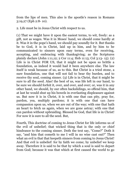from the lips of men. This also is the apostle's reason in Romans 3:19,27 (Eph 2:8- 10).

2. Life must be in Jesus Christ with respect to us.

(1) That we might have it upon the easiest terms, to wit, freely: as a gift, not as wages. Was it in Moses' hand, we should come hardly at it. Was it in the pope's hand, we should pay soundly for it. But thanks be to God, it is in Christ, laid up in him, and by him to be communicated to sinners upon easy terms, even for receiving, accepting, and embracing with thanksgiving; as the Scriptures plainly declare (John 1:11,12; 2 Cor 11:4; Heb 11:13; Col 3:13- 15). (2) Life is in Christ FOR US, that it might not be upon so brittle a foundation, as indeed it would had it been anywhere else. The law itself is weak because of us, as to this. But Christ is a tried stone, a sure foundation, one that will not fail to bear thy burden, and to receive thy soul, coming sinner. (3) Life is in Christ, that it might be sure to all the seed. Alas! the best of us, was life left in our hand, to be sure we should forfeit it, over, and over, and over; or, was it in any other hand, we should, by our often backslidings, so offend him, that at last he would shut up his bowels in everlasting displeasure against us. But now it is in Christ, it is with one that can pity, pray for, pardon, yea, multiply pardons; it is with one that can have compassion upon us, when we are out of the way; with one that hath an heart to fetch us again, when we are gone astray; with one that can pardon without upbraiding. Blessed be God, that life is in Christ! For now it is sure to all the seed. But,

Fourth, This doctrine of coming to Jesus Christ for life informs us of the evil of unbelief; that wicked thing that is the only or chief hindrance to the coming sinner. Doth the text say, "Come?" Doth it say, "and him that cometh to me I will in no wise cast out?" Then what an evil is that that keepeth sinners from coming to Jesus Christ! And that evil is unbelief: for by faith we come; by unbelief we keep away. Therefore it is said to be that by which a soul is said to depart from God; because it was that which at first caused the world to go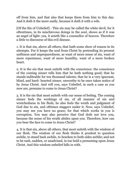off from him, and that also that keeps them from him to this day. And it doth it the more easily, because it doth it with a wile.

[Of the Sin of Unbelief] - This sin may be called the white devil, for it oftentimes, in its mischievous doings in the soul, shows as if it was an angel of light: yea, it acteth like a counsellor of heaven. Therefore a little to discourse of this evil disease.

1. It is that sin, above all others, that hath some show of reason in its attempts. For it keeps the soul from Christ by pretending its present unfitness and unpreparedness; as want of more sense of sin, want of more repentance, want of more humility, want of a more broken heart.

2. It is the sin that most suiteth with the conscience: the conscience of the coming sinner tells him that he hath nothing good; that he stands inditeable for ten thousand talents; that he is a very ignorant, blind, and hard- hearted sinner, unworthy to be once taken notice of by Jesus Christ. And will you, says Unbelief, in such a case as you now are, presume to come to Jesus Christ?

3. It is the sin that most suiteth with our sense of feeling. The coming sinner feels the workings of sin, of all manner of sin and wretchedness in his flesh; he also feels the wrath and judgment of God due to sin, and ofttimes staggers under it. Now, says Unbelief, you may see you have no grace; for that which works in you is corruption. You may also perceive that God doth not love you, because the sense of his wrath abides upon you. Therefore, how can you bear the face to come to Jesus Christ?

4. It is that sin, above all others, that most suiteth with the wisdom of our flesh. The wisdom of our flesh thinks it prudent to question awhile, to stand back awhile, to hearken to both sides awhile; and not to be rash, sudden, or unadvised, in too bold a presuming upon Jesus Christ. And this wisdom unbelief falls in with.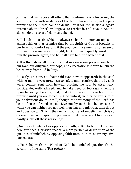5. It is that sin, above all other, that continually is whispering the soul in the ear with mistrusts of the faithfulness of God, in keeping promise to them that come to Jesus Christ for life. It also suggests mistrust about Christ's willingness to receive it, and save it. And no sin can do this so artificially as unbelief.

6. It is also that sin which is always at hand to enter an objection against this or that promise that by the Spirit of God is brought to our heart to comfort us; and if the poor coming sinner is not aware of it, it will, by some evasion, slight, trick, or cavil, quickly wrest from him the promise again, and he shall have but little benefit of it.

7. It is that, above all other sins, that weakness our prayers, our faith, our love, our diligence, our hope, and expectations: it even taketh the heart away from God in duty.

8. Lastly, This sin, as I have said even now, it appeareth in the soul with so many sweet pretences to safety and security, that it is, as it were, counsel sent from heaven; bidding the soul be wise, wary, considerate, well- advised, and to take heed of too rash a venture upon believing. Be sure, first, that God loves you; take hold of no promise until you are forced by God unto it; neither be you sure of your salvation; doubt it still, though the testimony of the Lord has been often confirmed in you. Live not by faith, but by sense; and when you can neither see nor feel, then fear and mistrust, then doubt and question all. This is the devilish counsel of unbelief, which is so covered over with specious pretences, that the wisest Christian can hardly shake off these reasonings.

[Qualities of unbelief as opposed to faith] - But to be brief. Let me here give thee, Christian reader, a more particular description of the qualities of unbelief, by opposing faith unto it, in these twenty- five particulars: -

1. Faith believeth the Word of God; but unbelief questioneth the certainty of the same (Psa 106:24).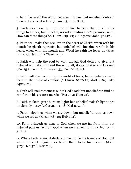2. Faith believeth the Word, because it is true; but unbelief doubteth thereof, because it is true (1 Tim 4:3; John 8:45).

3. Faith sees more in a promise of God to help, than in all other things to hinder; but unbelief, notwithstanding God's promise, saith, How can these things be? (Rom 4:19- 21; 2 Kings 7:2; John 3:11,12).

4. Faith will make thee see love in the heart of Christ, when with his mouth he giveth reproofs; but unbelief will imagine wrath in his heart, when with his mouth and Word he saith he loves us (Matt 15:22,28; Num 13; 2 Chron 14:3).

5. Faith will help the soul to wait, though God defers to give; but unbelief will take huff and throw up all, if God makes any tarrying (Psa 25:5; Isa 8:17; 2 Kings 6:33; Psa 106:13,14).

6. Faith will give comfort in the midst of fears; but unbelief causeth fears in the midst of comfort (2 Chron 20:20,21; Matt 8:26; Luke 24:26,27).

7. Faith will suck sweetness out of God's rod; but unbelief can find no comfort in his greatest mercies (Psa 23:4; Num 21).

8. Faith maketh great burdens light; but unbelief maketh light ones intolerably heavy (2 Cor 4:1; 14- 18; Mal 1:12,13).

9. Faith helpeth us when we are down; but unbelief throws us down when we are up (Micah 7:8- 10; Heb 4:11).

10. Faith bringeth us near to God when we are far from him; but unbelief puts us far from God when we are near to him (Heb 10:22; 3:12,13).

11. Where faith reigns, it declareth men to be the friends of God; but where unbelief reigns, it declareth them to be his enemies (John 3:23; Heb 3:18; Rev 21:8).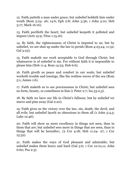12. Faith putteth a man under grace; but unbelief holdeth him under wrath (Rom 3:24- 26; 14:6; Eph 2:8; John 3:36; 1 John 5:10; Heb 3:17; Mark 16:16).

13. Faith purifieth the heart; but unbelief keepeth it polluted and impure (Acts 15:9; Titus 1:15,16).

14. By faith, the righteousness of Christ is imputed to us; but by unbelief, we are shut up under the law to perish (Rom 4:23,24; 11:32; Gal 3:23).

15. Faith maketh our work acceptable to God through Christ; but whatsoever is of unbelief is sin. For without faith it is impossible to please him (Heb 11:4; Rom 14:23; Heb 6:6).

16. Faith giveth us peace and comfort in our souls; but unbelief worketh trouble and tossings, like the restless waves of the sea (Rom 5:1; James 1:6).

17. Faith maketh us to see preciousness in Christ; but unbelief sees no form, beauty, or comeliness in him (1 Peter 2:7; Isa 53:2,3).

18. By faith we have our life in Christ's fullness; but by unbelief we starve and pine away (Gal 2:20).

19. Faith gives us the victory over the law, sin, death, the devil, and all evils; but unbelief layeth us obnoxious to them all (1 John 5:4,5; Luke 12:46).

20. Faith will show us more excellency in things not seen, than in them that are; but unbelief sees more in things that are seen, than in things that will be hereafter;. (2 Cor 4:18; Heb 11:24- 27; 1 Cor 15:32).

21. Faith makes the ways of God pleasant and admirable; but unbelief makes them heavy and hard (Gal 5:6; 1 Cor 12:10,11; John 6:60; Psa 2:3).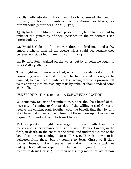22. By faith Abraham, Isaac, and Jacob possessed the land of promise; but because of unbelief, neither Aaron, nor Moses, nor Miriam could get thither (Heb 11:9; 3:19).

23. By faith the children of Israel passed through the Red Sea; but by unbelief the generality of them perished in the wilderness (Heb 11:29; Jude 5).

24. By faith Gideon did more with three hundred men, and a few empty pitchers, than all the twelve tribes could do, because they believed not God (Judg 7:16- 22; Num 14:11,14).

25. By faith Peter walked on the water; but by unbelief he began to sink (Matt 14:28- 30).

Thus might many more be added, which, for brevity's sake, I omit; beseeching every one that thinketh he hath a soul to save, or be damned, to take heed of unbelief; lest, seeing there is a promise left us of entering into his rest, any of us by unbelief should indeed come short of it.

USE SECOND - The second use - A USE OF EXAMINATION

We come now to a use of examination. Sinner, thou hast heard of the necessity of coming to Christ; also of the willingness of Christ to receive the coming soul; together with the benefit that they by him shall have that indeed come to him. Put thyself now upon this serious inquiry, Am I indeed come to Jesus Christ?

Motives plenty I might here urge, to prevail with thee to a conscientious performance of this duty. As, 1. Thou art in sin, in the flesh, in death, in the snare of the devil, and under the curse of the law, if you are not coming to Jesus Christ. 2. There is no way to be delivered from these, but by coming to Jesus Christ. 3. If thou comest, Jesus Christ will receive thee, and will in no wise cast thee out. 4. Thou wilt not repent it in the day of judgment, if now thou comest to Jesus Christ. 5. But thou wilt surely mourn at last, if now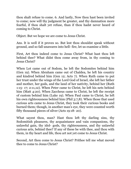thou shalt refuse to come. 6. And lastly, Now thou hast been invited to come; now will thy judgment be greater, and thy damnation more fearful, if thou shalt yet refuse, than if thou hadst never heard of coming to Christ.

Object. But we hope we are come to Jesus Christ.

Ans. It is well if it proves so. But lest thou shouldst speak without ground, and so fall unawares into hell- fire, let us examine a little.

First, Art thou indeed come to Jesus Christ? What hast thou left behind thee? What didst thou come away from, in thy coming to Jesus Christ?

When Lot came out of Sodom, he left the Sodomites behind him (Gen 19). When Abraham came out of Chaldea, he left his country and kindred behind him (Gen 12; Acts 7). When Ruth came to put her trust under the wings of the Lord God of Israel, she left her father and mother, her gods, and the land of her nativity, behind her (Ruth 1:15- 17; 2:11,12). When Peter came to Christ, he left his nets behind him (Matt 4:20). When Zaccheus came to Christ, he left the receipt of custom behind him (Luke 19). When Paul came to Christ, he left his own righteousness behind him (Phil 3:7,8). When those that used curious arts came to Jesus Christ, they took their curious books and burned them; though, in another man's eye, they were counted worth fifty thousand pieces of silver (Acts 19:18- 20).

What sayest thou, man? Hast thou left thy darling sins, thy Sodomitish pleasures, thy acquaintance and vain companions, thy unlawful gain, thy idol- gods, thy righteousness, and thy unlawful curious arts, behind thee? If any of these be with thee, and thou with them, in thy heart and life, thou art not yet come to Jesus Christ.

Second, Art thou come to Jesus Christ? Prithee tell me what moved thee to come to Jesus Christ?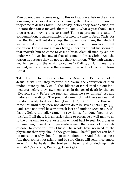Men do not usually come or go to this or that place, before they have a moving cause, or rather a cause moving them thereto. No more do they come to Jesus Christ - I do not say, before they have a cause, but - before that cause moveth them to come. What sayest thou? Hast thou a cause moving thee to come? To be at present in a state of condemnation, is cause sufficient for men to come to Jesus Christ for life. But that will not do, except the cause move them; the which it will never do, until their eyes be opened to see themselves in that condition. For it is not a man's being under wrath, but his seeing it, that moveth him to come to Jesus Christ. Alas! all men by sin are under wrath; yet but few of that all come to Jesus Christ. And the reason is, because they do not see their condition. "Who hath warned you to flee from the wrath to come?" (Matt 3:7). Until men are warned, and also receive the warning, they will not come to Jesus Christ.

Take three or four instances for this. Adam and Eve came not to Jesus Christ until they received the alarm, the conviction of their undone state by sin. (Gen 3) The children of Israel cried not out for a mediator before they saw themselves in danger of death by the law (Exo 20:18,19). Before the publican came, he saw himself lost and undone (Luke 18:13). The prodigal came not, until he saw death at the door, ready to devour him (Luke 15:17,18). The three thousand came not, until they knew not what to do to be saved (Acts 2:37- 39). Paul came not, until he saw himself lost and undone (Acts 9:3- 8,11). Lastly, Before the jailer came, he saw himself undone (Acts 16:29- 31). And I tell thee, it is an easier thing to persuade a well man to go to the physician for cure, or a man without hurt to seek for a plaster to cure him, than it is to persuade a man that sees not his souldisease, to come to Jesus Christ. The whole have no need of the physician; then why should they go to him? The full pitcher can hold no more; then why should it go to the fountain? And if thou comest full, thou comest not aright; and be sure Christ will send thee empty away. "But he healeth the broken in heart, and bindeth up their wounds" (Mark 2:17; Psa 147:3; Luke 1:53).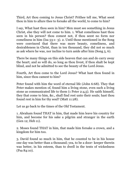Third, Art thou coming to Jesus Christ? Prithee tell me, What seest thou in him to allure thee to forsake all the world, to come to him?

I say, What hast thou seen in him? Men must see something in Jesus Christ, else they will not come to him. 1. What comeliness hast thou seen in his person? thou comest not, if thou seest no form nor comeliness in him (Isa 53:1- 3). 2. Until those mentioned in the Song were convinced that there was more beauty, comeliness, and desirableness in Christ, than in ten thousand, they did not so much as ask where he was, nor incline to turn aside after him (Song 5, 6).

There be many things on this side heaven that can and do carry away the heart; and so will do, so long as thou livest, if thou shalt be kept blind, and not be admitted to see the beauty of the Lord Jesus.

Fourth, Art thou come to the Lord Jesus? What hast thou found in him, since thou camest to him?

Peter found with him the word of eternal life (John 6:68). They that Peter makes mention of, found him a living stone, even such a living stone as communicated life to them (1 Peter 2:4,5). He saith himself, they that come to him, &c., shall find rest unto their souls; hast thou found rest in him for thy soul? (Matt 11:28).

Let us go back to the times of the Old Testament.

1. Abraham found THAT in him, that made him leave his country for him, and become for his sake a pilgrim and stranger in the earth (Gen 12; Heb 11).

2. Moses found THAT in him, that made him forsake a crown, and a kingdom for him too.

3. David found so much in him, that he counted to be in his house one day was better than a thousand; yea, to be a door- keeper therein was better, in his esteem, than to dwell in the tents of wickedness (Psa 84:10).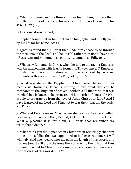4. What did Daniel and the three children find in him, to make them run the hazards of the fiery furnace, and the den of lions, for his sake? (Dan 3, 6).

Let us come down to martyrs.

1. Stephen found that in him that made him joyful, and quietly yield up his life for his name (Acts 7).

2. Ignatius found that in Christ that made him choose to go through the torments of the devil, and hell itself, rather than not to have him. - Fox's Acts and Monuments, vol. 1, p. 52, Anno. 111. Edit. 1632.

3. What saw Romanus in Christ, when he said to the raging Emperor, who threatened him with fearful torments, Thy sentence, O Emperor, I joyfully embrace, and refuse not to be sacrificed by as cruel torments as thou canst invent? - Fox, vol. 1, p. 116.

4. What saw Menas, the Egyptian, in Christ, when he said, under most cruel torments, There is nothing in my mind that can be compared to the kingdom of heaven; neither is all the world, if it was weighed in a balance, to be preferred with the price of one soul? Who is able to separate us from the love of Jesus Christ our Lord? And I have learned of my Lord and King not to fear them that kill the body, &c. P. 117.

5. What did Eulalia see in Christ, when she said, as they were pulling her one joint from another, Behold, O Lord, I will not forget thee. What a pleasure it is for them, O Christ! that remember thy triumphant victory? P. 121.

6. What think you did Agnes see in Christ, when rejoicingly she went to meet the soldier that was appointed to be her executioner. I will willingly, said she, receive into my paps the length of this sword, and into my breast will draw the force thereof, even to the hilts; that thus I, being married to Christ my spouse, may surmount and escape all the darkness of this world? P. 122.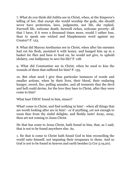7. What do you think did Julitta see in Christ, when, at the Emperor's telling of her, that except she would worship the gods, she should never have protection, laws, judgments, nor life, she replied, Farewell life, welcome death; farewell riches, welcome poverty: all that I have, if it were a thousand times more, would I rather lose, than to speak one wicked and blasphemous word against my Creator? P. 123.

8. What did Marcus Arethusius see in Christ, when after his enemies had cut his flesh, anointed it with honey, and hanged him up in a basket for flies and bees to feed on, he would not give, to uphold idolatry, one halfpenny to save his life? P. 128.

9. What did Constantine see in Christ, when he used to kiss the wounds of them that suffered for him? P. 135.

10. But what need I give thus particular instances of words and smaller actions, when by their lives, their blood, their enduring hunger, sword, fire, pulling asunder, and all torments that the devil and hell could devise, for the love they bare to Christ, after they were come to him?

What hast THOU found in him, sinner?

What! come to Christ, and find nothing in him! - when all things that are worth looking after are in him! - or if anything, yet not enough to wean thee from thy sinful delights, and fleshly lusts! Away, away, thou art not coming to Jesus Christ.

He that has come to Jesus Christ, hath found in him, that, as I said, that is not to be found anywhere else. As,

1. He that is come to Christ hath found God in him reconciling the world unto himself, not imputing their trespasses to them. And so God is not to be found in heaven and earth besides (2 Cor 5:19,20).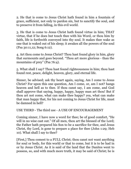2. He that is come to Jesus Christ hath found in him a fountain of grace, sufficient, not only to pardon sin, but to sanctify the soul, and to preserve it from falling, in this evil world.

3. He that is come to Jesus Christ hath found virtue in him; THAT virtue, that if he does but touch thee with his Word, or thou him by faith, life is forthwith conveyed into thy soul. It makes thee wake as one that is waked out of his sleep; it awakes all the powers of the soul (Psa 30:11,12; Song 6:12).

4. Art thou come to Jesus Christ? Thou hast found glory in him, glory that surmounts and goes beyond. "Thou art more glorious - than the mountains of prey" (Psa 76:4).

5. What shall I say? Thou hast found righteousness in him; thou hast found rest, peace, delight, heaven, glory, and eternal life.

Sinner, be advised; ask thy heart again, saying, Am I come to Jesus Christ? For upon this one question, Am I come, or, am I not? hangs heaven and hell as to thee. If thou canst say, I am come, and God shall approve that saying, happy, happy, happy man art thou! But if thou art not come, what can make thee happy? yea, what can make that man happy that, for his not coming to Jesus Christ for life, must be damned in hell?

USE THIRD - The third use - A USE OF ENCOURAGEMENT

Coming sinner, I have now a word for thee; be of good comfort, "He will in no wise cast out." Of all men, thou art the blessed of the Lord; the Father hath prepared his Son to be a sacrifice for thee, and Jesus Christ, thy Lord, is gone to prepare a place for thee (John 1:29; Heb 10). What shall I say to thee?

[First,] Thou comest to a FULL Christ; thou canst not want anything for soul or body, for this world or that to come, but it is to be had in or by Jesus Christ. As it is said of the land that the Danites went to possess, so, and with much more truth, it may be said of Christ; he is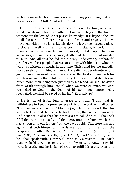such an one with whom there is no want of any good thing that is in heaven or earth. A full Christ is thy Christ.

1. He is full of grace. Grace is sometimes taken for love; never any loved like Jesus Christ. Jonathan's love went beyond the love of women; but the love of Christ passes knowledge. It is beyond the love of all the earth, of all creatures, even of men and angels. His love prevailed with him to lay aside his glory, to leave the heavenly place, to clothe himself with flesh, to be born in a stable, to be laid in a manger, to live a poor life in the world, to take upon him our sicknesses, infirmities, sins, curse, death, and the wrath that was due to man. And all this he did for a base, undeserving, unthankful people; yea, for a people that was at enmity with him. "For when we were yet without strength, in due time Christ died for the ungodly. For scarcely for a righteous man will one die; yet peradventure for a good man some would even dare to die. But God commendeth his love toward us, in that while we were yet sinners, Christ died for us. Much more, then, being now justified by his blood, we shall be saved from wrath through him. For if, when we were enemies, we were reconciled to God by the death of his Son, much more, being reconciled, we shall be saved by his life" (Rom 5:6- 10).

2. He is full of truth. Full of grace and truth. Truth, that is, faithfulness in keeping promise, even this of the text, with all other, "I will in no wise cast out" (John 14:6). Hence it is said, that his words be true, and that he is the faithful God, that keepeth covenant. And hence it is also that his promises are called truth: "Thou wilt fulfil thy truth unto Jacob, and thy mercy unto Abraham, which thou hast sworn unto our fathers from the days of old." Therefore it is said again, that both himself and words are truth: "I am the truth, the Scripture of truth" (Dan 10:21). "Thy word is truth," (John 17:17; 2) Sam 7:28); "thy law is truth," (Psa 119:142); and "my mouth," saith he, "shall speak truth," (Prov 8:7); see also Ecclesiastes 12:10, Isaiah 25:1, Malachi 2:6, Acts 26:25, 2 Timothy 2:12,13. Now, I say, his word is truth, and he is full of truth to fulfil his truth, even to a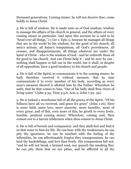thousand generations. Coming sinner, he will not deceive thee; come boldly to Jesus Christ.

3. He is full of wisdom. He is made unto us of God wisdom; wisdom to manage the affairs of his church in general, and the affairs of every coming sinner in particular. And upon this account he is said to be "head over all things," (1 Cor 1; Eph 1), because he manages all things that are in the world by his wisdom, for the good of his church; all men's actions, all Satan's temptations, all God's providences, all crosses, and disappointments; all things whatever are under the hand of Christ - who is the wisdom of God - and he ordereth them all for good to his church. And can Christ help it - and be sure he can nothing shall happen or fall out in the world, but it shall, in despite of all opposition, have a good tendency to his church and people.

4. He is full of the Spirit, to communicate it to the coming sinner; he hath therefore received it without measure, that he may communicate it to every member of his body, according as every man's measure thereof is allotted him by the Father. Wherefore he saith, that he that comes to him, "Out of his belly shall flow rivers of living water" (John 3:34; Titus 3:5,6; Acts 2; John 7:33- 39).

5. He is indeed a storehouse full of all the graces of the Spirit. "Of his fullness have all we received, and grace for grace" (John 1:16). Here is more faith, more love, more sincerity, more humility, more of every grace; and of this, even more of this, he giveth to every lowly, humble, penitent coming sinner. Wherefore, coming soul, thou comest not to a barren wilderness when thou comest to Jesus Christ.

6. He is full of bowels and compassion: and they shall feel and find it so that come to him for life. He can bear with thy weaknesses, he can pity thy ignorance, he can be touched with the feeling of thy infirmities, he can affectionately forgive they transgressions, he can heal thy backslidings, and love thee freely. His compassions fail not; "and he will not break a bruised reed, nor quench the smoking flax; he can pity them that no eye pities, and be afflicted in all thy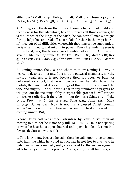afflictions" (Matt 26:41; Heb 5:2; 2:18; Matt 9:2; Hosea 14:4; Eze 16:5,6; Isa 63:9; Psa 78:38; 86:15; 111:4; 112:4; Lam 3:22; Isa 42:3).

7. Coming soul, the Jesus that thou art coming to, is full of might and terribleness for thy advantage; he can suppress all thine enemies; he is the Prince of the kings of the earth; he can bow all men's designs for thy help; he can break all snares laid for thee in the way; he can lift thee out of all difficulties wherewith thou mayest be surrounded; he is wise in heart, and mighty in power. Every life under heaven is in his hand; yea, the fallen angels tremble before him. And he will save thy life, coming sinner (1 Cor 1:24; Rom 8:28; Matt 28:18; Rev 4; Psa 19:3; 27:5,6; Job 9:4; John 17:2; Matt 8:29; Luke 8:28; James 2:19).

8. Coming sinner, the Jesus to whom thou art coming is lowly in heart, he despiseth not any. It is not thy outward meanness, nor thy inward weakness; it is not because thou art poor, or base, or deformed, or a fool, that he will despise thee: he hath chosen the foolish, the base, and despised things of this world, to confound the wise and mighty. He will bow his ear to thy stammering prayers he will pick out the meaning of thy inexpressible groans; he will respect thy weakest offering, if there be in it but thy heart (Matt 11:20; Luke 14:21; Prov 9:4- 6; Isa 38:14,15; Song 5:15; John 4:27; Mark 12:33,34; James 5:11). Now, is not this a blessed Christ, coming sinner? Art thou not like to fare well, when thou hast embraced him, coming sinner? But,

Second. Thou hast yet another advantage by Jesus Christ, thou art coming to him, for he is not only full, BUT FREE. He is not sparing of what he has; he is open- hearted and open- handed. Let me in a few particulars show thee this:

1. This is evident, because he calls thee; he calls upon thee to come unto him; the which he would not do, was he not free to give; yea, he bids thee, when come, ask, seek, knock. And for thy encouragement, adds to every command a promise, "Seek, and ye shall find; ask, and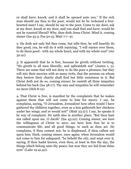ye shall have; knock, and it shall be opened unto you." If the rich man should say thus to the poor, would not he be reckoned a freehearted man? I say, should he say to the poor, Come to my door, ask at my door, knock at my door, and you shall find and have; would he not be counted liberal? Why, thus doth Jesus Christ. Mind it, coming sinner (Isa 55:3; Psa 50:15; Matt 7:7- 9).

2. He doth not only bid thee come, but tells thee, he will heartily do thee good; yea, he will do it with rejoicing; "I will rejoice over them, to do them good - with my whole heart, and with my whole soul" (Jer 32:41).

3. It appeareth that he is free, because he giveth without twitting. "He giveth to all men liberally, and upbraideth not" (James 1, 5). There are some that will not deny to do the poor a pleasure, but they will mix their mercies with so many twits, that the persons on whom they bestow their charity shall find but little sweetness in it. But Christ doth not do so, coming sinner; he casteth all thine iniquities behind his back (Isa 38:17). Thy sins and iniquities he will remember no more (Heb 8:12).

4. That Christ is free, is manifest by the complaints that he makes against them that will not come to him for mercy. I say, he complains, saying, "O Jerusalem, Jerusalem! how often would I have gathered thy children together, even as a hen gathereth her chickens under her wings, and ye would not!" (Matt 23:37). I say, he speaks it by way of complaint. He saith also in another place, "But thou hast not called upon me, O Jacob" (Isa 43:22). Coming sinner, see here the willingness of Christ to save; see here how free he is to communicate life, and all good things, to such as thou art. He complains, if thou comest not; he is displeased, if thou callest not upon him. Hark, coming sinner, once again; when Jerusalem would not come to him for safeguard, "he beheld the city, and wept over it, saying, If thou hadst known, even thou, at least in this thy day, the things which belong unto thy peace; but now they are hid from thine eyes" (Luke 19:41,42).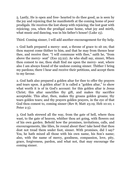5. Lastly, He is open and free- hearted to do thee good, as is seen by the joy and rejoicing that he manifesteth at the coming home of poor prodigals. He receives the lost sheep with rejoicing; the lost goat with rejoicing; yea, when the prodigal came home, what joy and mirth, what music and dancing, was in his father's house! (Luke 15).

Third. Coming sinner, I will add another encouragement for thy help.

1. God hath prepared a mercy- seat, a throne of grace to sit on; that thou mayest come thither to him, and that he may from thence hear thee, and receive thee. "I will commune with thee," saith he, "from above the mercy- seat" (Exo 25:22). As who shall say, sinner, When thou comest to me, thou shalt find me upon the mercy- seat, where also I am always found of the undone coming sinner. Thither I bring my pardons; there I hear and receive their petitions, and accept them to my favour.

2. God hath also prepared a golden altar for thee to offer thy prayers and tears upon. A golden altar! It is called a "golden altar," to show what worth it is of in God's account: for this golden altar is Jesus Christ; this altar sanctifies thy gift, and makes thy sacrifice acceptable. This altar, then, makes thy groans golden groans; thy tears golden tears; and thy prayers golden prayers, in the eye of that God thou comest to, coming sinner (Rev 8; Matt 23:19; Heb 10:10; 1 Peter 2:5).

3. God hath strewed all the way, from the gate of hell, where thou wast, to the gate of heaven, whither thou art going, with flowers out of his own garden. Behold how the promises, invitations, calls, and encouragements, like lilies, lie round about thee! take heed that thou dost not tread them under foot, sinner. With promises, did I say? Yea, he hath mixed all those with his own name, his Son's name; also, with the name of mercy, goodness, compassion, love, pity, grace, forgiveness, pardon, and what not, that may encourage the coming sinner.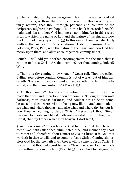4. He hath also for thy encouragement laid up the names, and set forth the sins, of those that have been saved. In this book they are fairly written, that thou, through patience and comfort of the Scriptures, mightest have hope. (1) In this book is recorded Noah's maim and sin; and how God had mercy upon him. (2) In this record is fairly written the name of Lot, and the nature of his sin; and how the Lord had mercy upon him. (3) In this record thou hast also fairly written the names of Moses, Aaron, Gideon, Samson, David, Solomon, Peter, Paul, with the nature of their sins; and how God had mercy upon them; and all to encourage thee, coming sinner.

Fourth. I will add yet another encouragement for the man that is coming to Jesus Christ. Art thou coming? Art thou coming, indeed? Why,

1. Then this thy coming is by virtue of God's call. Thou art called. Calling goes before coming. Coming is not of works, but of him that calleth. "He goeth up into a mountain, and calleth unto him whom he would; and they came unto him" (Mark 3:13).

2. Art thou coming? This is also by virtue of illumination. God has made thee see; and, therefore, thou art coming. So long as thou wast darkness, thou lovedst darkness, and couldst not abide to come, because thy deeds were evil; but being now illuminated and made to see what and where thou art, and also what and where thy Saviour is, now thou art coming to Jesus Christ; "Blessed art thou, Simon Barjona: for flesh and blood hath not revealed it unto thee," saith Christ, "but my Father which is in heaven" (Matt 16:17).

3. Art thou coming? This is because God hath inclined thine heart to come. God hath called thee, illuminated thee, and inclined thy heart to come; and, therefore, thou comest to Jesus Christ. It is God that worketh in thee to will, and to come to Jesus Christ. Coming sinner, bless God for that he hath given thee a will to come to Jesus Christ. It is a sign that thou belongest to Jesus Christ, because God has made thee willing to come to him (Psa 110:3). Bless God for slaying the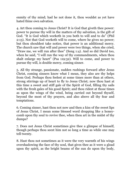enmity of thy mind; had he not done it, thou wouldst as yet have hated thine own salvation.

4. Art thou coming to Jesus Christ? It is God that giveth thee power: power to pursue thy will in the matters of thy salvation, is the gift of God. "It is God which worketh in you both to will and to do" (Phil 2:13). Not that God worketh will to come, where he gives no power; but thou shouldest take notice, that power is an additional mercy. The church saw that will and power were two things, when she cried, "Draw me, we will run after thee" (Song 1:4). And so did David too, when he said, "I will run the way of thy commandments, when thou shalt enlarge my heart" (Psa 119:32). Will to come, and power to pursue thy will, is double mercy, coming sinner.

5. All thy strange, passionate, sudden rushings forward after Jesus Christ, coming sinners know what I mean, they also are thy helps from God. Perhaps thou feelest at some times more than at others, strong stirrings up of heart to fly to Jesus Christ; now thou hast at this time a sweet and stiff gale of the Spirit of God, filling thy sails with the fresh gales of his good Spirit; and thou ridest at those times as upon the wings of the wind, being carried out beyond thyself, beyond the most of thy prayers, and also above all thy fear and temptations.

6. Coming sinner, hast thou not now and then a kiss of the sweet lips of Jesus Christ, I mean some blessed word dropping like a honeycomb upon thy soul to revive thee, when thou art in the midst of thy dumps?

7. Does not Jesus Christ sometimes give thee a glimpse of himself, though perhaps thou seest him not so long a time as while one may tell twenty.

8. Hast thou not sometimes as it were the very warmth of his wings overshadowing the face of thy soul, that gives thee as it were a gload upon thy spirit, as the bright beams of the sun do upon thy body,